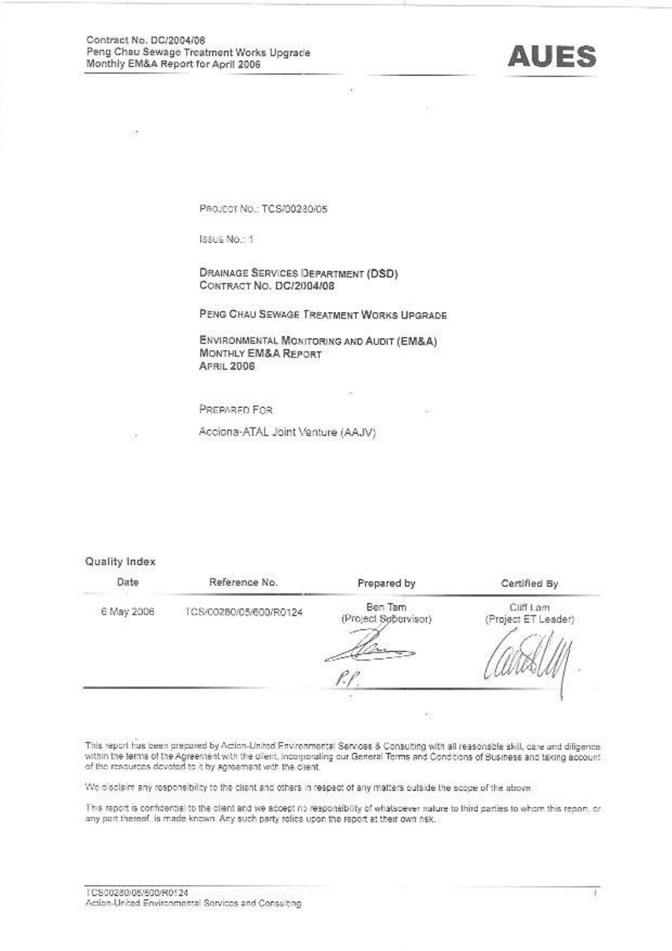Contract No. DC/2004/08 Peng Chau Sewage Treatment Works Upgrade Monthly EM&A Report for April 2006



PROJECT NO.: TCS/00280/05

ISSUE No.: 1

DRAINAGE SERVICES DEPARTMENT (DSD) CONTRACT NO. DC/2004/08

PENG CHAU SEWAGE TREATMENT WORKS UPGRADE

ENVIRONMENTAL MONITORING AND AUDIT (EM&A) MONTHLY EM&A REPORT **APRIL 2006** 

PREPARED FOR

Acciona-ATAL Joint Venture (AAJV)

#### Quality Index

| Date       | Reference No.          | Prepared by                     | Certified By                     |  |
|------------|------------------------|---------------------------------|----------------------------------|--|
| 6 May 2006 | TCS/00280/05/600/R0124 | Ben Tam<br>(Project Subervisor) | Cliff Lam<br>(Project ET Leader) |  |
|            |                        |                                 |                                  |  |

This report has been prepared by Action-United Environmental Services & Consulting with all reasonable skill, care and diligence within the terms of the Agreement with the client, incorporating our General Torms and Condit

We disclaim any responsibility to the client and others in respect of any matters outside the scope of the above

This report is confidential to the client and we accept no responsibility of whatspever nature to third parties to whom this report, or any part thereof, is made known. Any such party relies upon the report at their own nsk...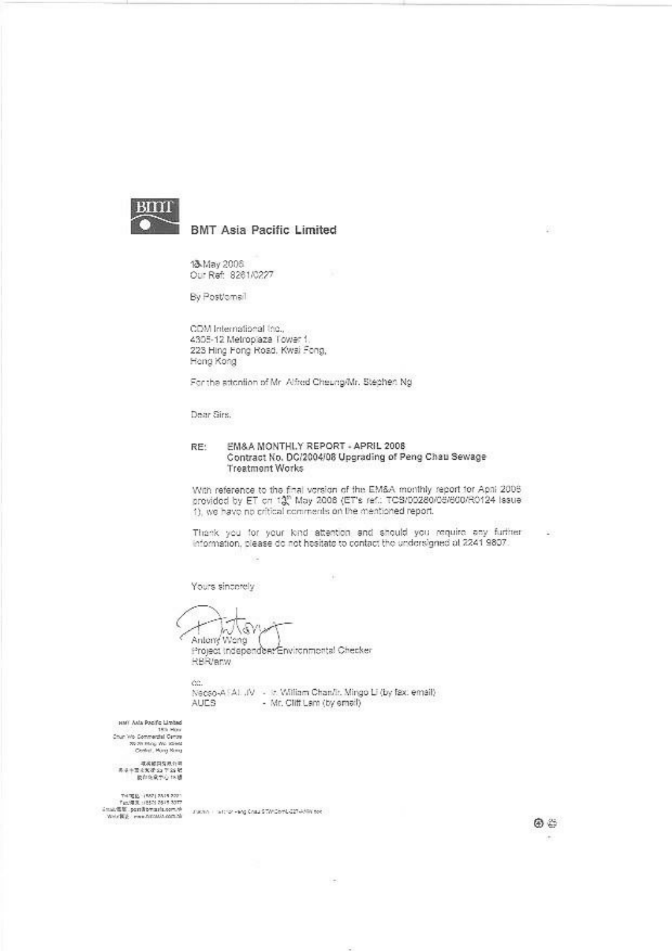

# **BMT Asia Pacific Limited**

13 May 2008 Our Ref: 8261/0227

By Post/omail

COM International Inc., 4305-12 Metropiaza Tower 1 223 Hing Fong Road, Kwai Fong, Hong Kong

For the attention of Mr. Alfred Cheung/Mr. Stephen Ng.

Dear Sirs.

#### EM&A MONTHLY REPORT - APRIL 2008 RE: Contract No. DC/2004/08 Upgrading of Peng Chau Sewage **Treatment Works**

Ŵ

With reference to the final version of the EM&A monthly report for Apni 2008 provided by ET on 13<sup>m</sup> May 2008 (ET's ref.: TCS/00280/08/600/R0124 issue 1), we have no critical comments on the mentioned report.

Thank you for your kind attention and should you require any further S. information, please do not hasitate to contact the undersigned at 2241 9807.

Yours sincorely

Antony Wong Project Independent Environmental Checker

**RBR/anw** 

cc.

Necso-AFAL JV - In William Chan/In Mingo Li (by fax: email) - Mr. Cliff Lam (by email) **AUCS** 

 $\sim$ 

HMT AAA Pacific Limited 15% Most<br>Chun Wo Commercial Certae 20 29 Mag Wa Steld<br>Coded, Mary King

 $\begin{array}{l} \begin{array}{l} \text{Hom} \text{Hom} \text{Hom} \text{Hom} \\ \text{Mod} \text{Hom} \text{Hom} \\ \text{Mod} \text{Hom} \text{Mod} \text{Hom} \\ \text{Hom} \text{Mod} \text{Hom} \end{array} \end{array}$ 

THING IS THAT SUPPORT THE THE REPORT OF THE STATE OF THE STATE OF THE STATE OF THE STATE OF THE STATE OF THE STATE OF THE STATE OF THE STATE OF THE STATE OF THE STATE OF THE STATE OF THE STATE OF THE STATE OF THE STATE OF

08

s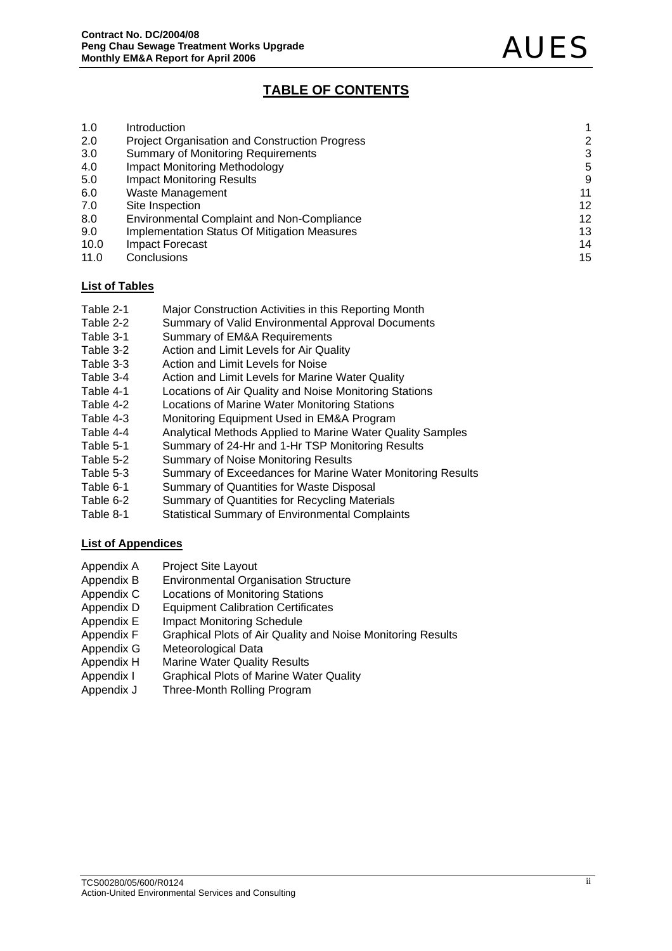# **TABLE OF CONTENTS**

| 1.0  | Introduction                                          |    |
|------|-------------------------------------------------------|----|
| 2.0  | <b>Project Organisation and Construction Progress</b> | 2  |
| 3.0  | <b>Summary of Monitoring Requirements</b>             | 3  |
| 4.0  | <b>Impact Monitoring Methodology</b>                  | 5  |
| 5.0  | <b>Impact Monitoring Results</b>                      | 9  |
| 6.0  | Waste Management                                      | 11 |
| 7.0  | Site Inspection                                       | 12 |
| 8.0  | <b>Environmental Complaint and Non-Compliance</b>     | 12 |
| 9.0  | <b>Implementation Status Of Mitigation Measures</b>   | 13 |
| 10.0 | <b>Impact Forecast</b>                                | 14 |
| 11.0 | Conclusions                                           | 15 |

# **List of Tables**

- Table 2-1 Major Construction Activities in this Reporting Month
- Table 2-2 Summary of Valid Environmental Approval Documents
- Table 3-1 Summary of EM&A Requirements
- Table 3-2 Action and Limit Levels for Air Quality
- Table 3-3 Action and Limit Levels for Noise
- Table 3-4 Action and Limit Levels for Marine Water Quality
- Table 4-1 Locations of Air Quality and Noise Monitoring Stations
- Table 4-2 Locations of Marine Water Monitoring Stations
- Table 4-3 Monitoring Equipment Used in EM&A Program
- Table 4-4 Analytical Methods Applied to Marine Water Quality Samples
- Table 5-1 Summary of 24-Hr and 1-Hr TSP Monitoring Results
- Table 5-2 Summary of Noise Monitoring Results
- Table 5-3 Summary of Exceedances for Marine Water Monitoring Results
- Table 6-1 Summary of Quantities for Waste Disposal
- Table 6-2 Summary of Quantities for Recycling Materials
- Table 8-1 Statistical Summary of Environmental Complaints

# **List of Appendices**

- Appendix A Project Site Layout
- Appendix B Environmental Organisation Structure
- Appendix C Locations of Monitoring Stations
- Appendix D Equipment Calibration Certificates
- Appendix E Impact Monitoring Schedule
- Appendix F Graphical Plots of Air Quality and Noise Monitoring Results
- Appendix G Meteorological Data
- Appendix H Marine Water Quality Results
- Appendix I Graphical Plots of Marine Water Quality
- Appendix J Three-Month Rolling Program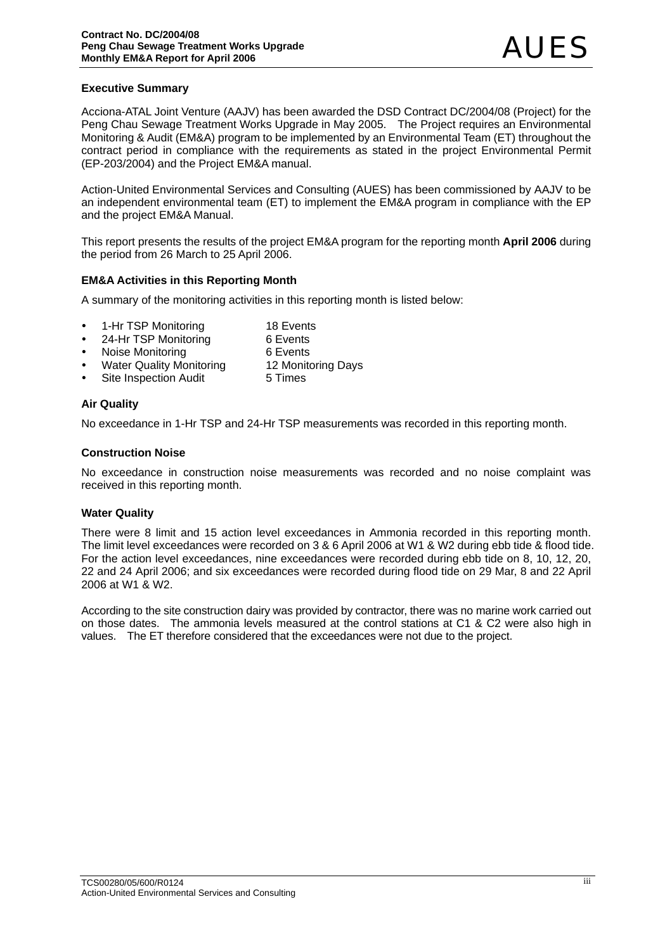# **Executive Summary**

Acciona-ATAL Joint Venture (AAJV) has been awarded the DSD Contract DC/2004/08 (Project) for the Peng Chau Sewage Treatment Works Upgrade in May 2005. The Project requires an Environmental Monitoring & Audit (EM&A) program to be implemented by an Environmental Team (ET) throughout the contract period in compliance with the requirements as stated in the project Environmental Permit (EP-203/2004) and the Project EM&A manual.

Action-United Environmental Services and Consulting (AUES) has been commissioned by AAJV to be an independent environmental team (ET) to implement the EM&A program in compliance with the EP and the project EM&A Manual.

This report presents the results of the project EM&A program for the reporting month **April 2006** during the period from 26 March to 25 April 2006.

# **EM&A Activities in this Reporting Month**

A summary of the monitoring activities in this reporting month is listed below:

- 1-Hr TSP Monitoring 18 Events
- 24-Hr TSP Monitoring 6 Events
- Noise Monitoring **6** Events
- Water Quality Monitoring 12 Monitoring Days
- Site Inspection Audit 5 Times

# **Air Quality**

No exceedance in 1-Hr TSP and 24-Hr TSP measurements was recorded in this reporting month.

## **Construction Noise**

No exceedance in construction noise measurements was recorded and no noise complaint was received in this reporting month.

#### **Water Quality**

There were 8 limit and 15 action level exceedances in Ammonia recorded in this reporting month. The limit level exceedances were recorded on 3 & 6 April 2006 at W1 & W2 during ebb tide & flood tide. For the action level exceedances, nine exceedances were recorded during ebb tide on 8, 10, 12, 20, 22 and 24 April 2006; and six exceedances were recorded during flood tide on 29 Mar, 8 and 22 April 2006 at W1 & W2.

According to the site construction dairy was provided by contractor, there was no marine work carried out on those dates. The ammonia levels measured at the control stations at C1 & C2 were also high in values. The ET therefore considered that the exceedances were not due to the project.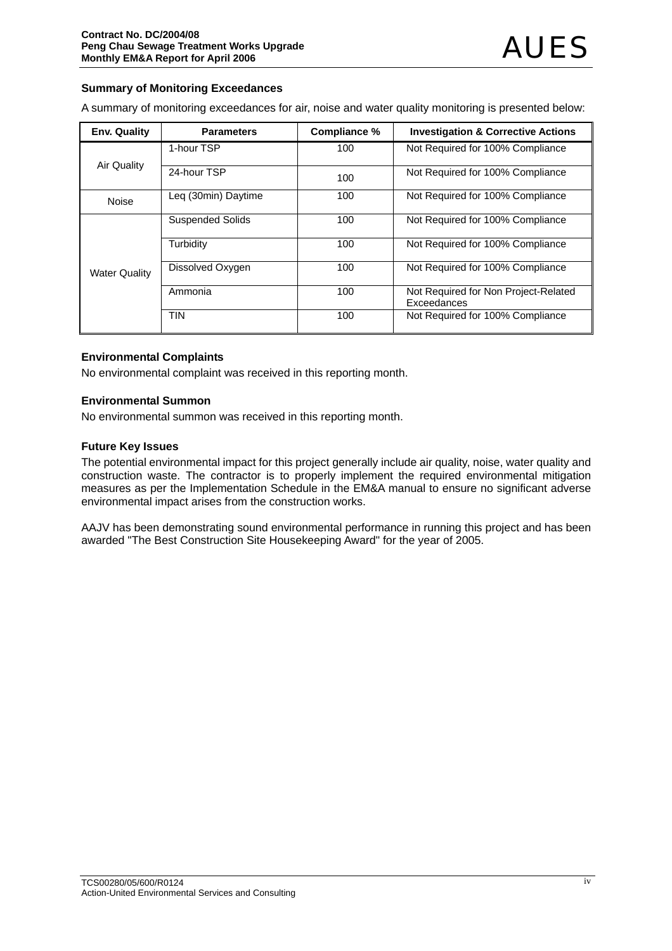# **Summary of Monitoring Exceedances**

A summary of monitoring exceedances for air, noise and water quality monitoring is presented below:

| <b>Env. Quality</b>  | <b>Parameters</b>       | Compliance % | <b>Investigation &amp; Corrective Actions</b>       |
|----------------------|-------------------------|--------------|-----------------------------------------------------|
|                      | 1-hour TSP              | 100          | Not Required for 100% Compliance                    |
| <b>Air Quality</b>   | 24-hour TSP             | 100          | Not Required for 100% Compliance                    |
| Noise                | Leg (30min) Daytime     | 100          | Not Required for 100% Compliance                    |
|                      | <b>Suspended Solids</b> | 100          | Not Required for 100% Compliance                    |
|                      | Turbidity               | 100          | Not Required for 100% Compliance                    |
| <b>Water Quality</b> | Dissolved Oxygen        | 100          | Not Required for 100% Compliance                    |
|                      | Ammonia                 | 100          | Not Required for Non Project-Related<br>Exceedances |
|                      | <b>TIN</b>              | 100          | Not Required for 100% Compliance                    |

# **Environmental Complaints**

No environmental complaint was received in this reporting month.

## **Environmental Summon**

No environmental summon was received in this reporting month.

## **Future Key Issues**

The potential environmental impact for this project generally include air quality, noise, water quality and construction waste. The contractor is to properly implement the required environmental mitigation measures as per the Implementation Schedule in the EM&A manual to ensure no significant adverse environmental impact arises from the construction works.

AAJV has been demonstrating sound environmental performance in running this project and has been awarded "The Best Construction Site Housekeeping Award" for the year of 2005.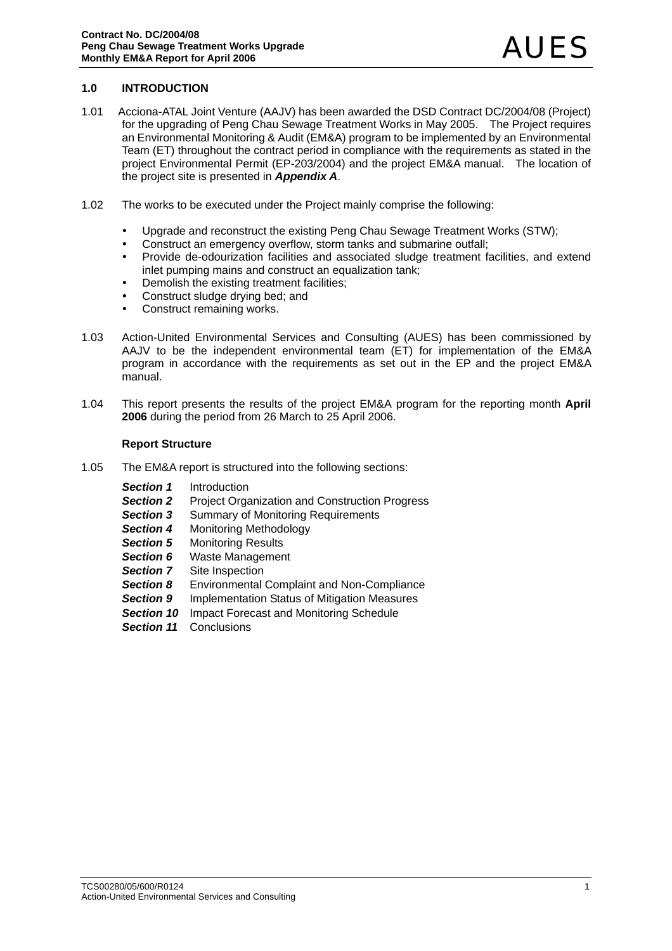# **1.0 INTRODUCTION**

- 1.01 Acciona-ATAL Joint Venture (AAJV) has been awarded the DSD Contract DC/2004/08 (Project) for the upgrading of Peng Chau Sewage Treatment Works in May 2005. The Project requires an Environmental Monitoring & Audit (EM&A) program to be implemented by an Environmental Team (ET) throughout the contract period in compliance with the requirements as stated in the project Environmental Permit (EP-203/2004) and the project EM&A manual. The location of the project site is presented in *Appendix A*.
- 1.02 The works to be executed under the Project mainly comprise the following:
	- Upgrade and reconstruct the existing Peng Chau Sewage Treatment Works (STW):
	- Construct an emergency overflow, storm tanks and submarine outfall:
	- Provide de-odourization facilities and associated sludge treatment facilities, and extend inlet pumping mains and construct an equalization tank;
	- Demolish the existing treatment facilities;
	- Construct sludge drying bed; and
	- Construct remaining works.
- 1.03 Action-United Environmental Services and Consulting (AUES) has been commissioned by AAJV to be the independent environmental team (ET) for implementation of the EM&A program in accordance with the requirements as set out in the EP and the project EM&A manual.
- 1.04 This report presents the results of the project EM&A program for the reporting month **April 2006** during the period from 26 March to 25 April 2006.

#### **Report Structure**

- 1.05 The EM&A report is structured into the following sections:
	- *Section 1* Introduction
	- **Section 2** Project Organization and Construction Progress
	- **Section 3** Summary of Monitoring Requirements
	- *Section 4* Monitoring Methodology
	- **Section 5** Monitoring Results
	- **Section 6** Waste Management
	- **Section 7** Site Inspection
	- *Section 8* Environmental Complaint and Non-Compliance
	- **Section 9** Implementation Status of Mitigation Measures
	- **Section 10** Impact Forecast and Monitoring Schedule
	- *Section 11* Conclusions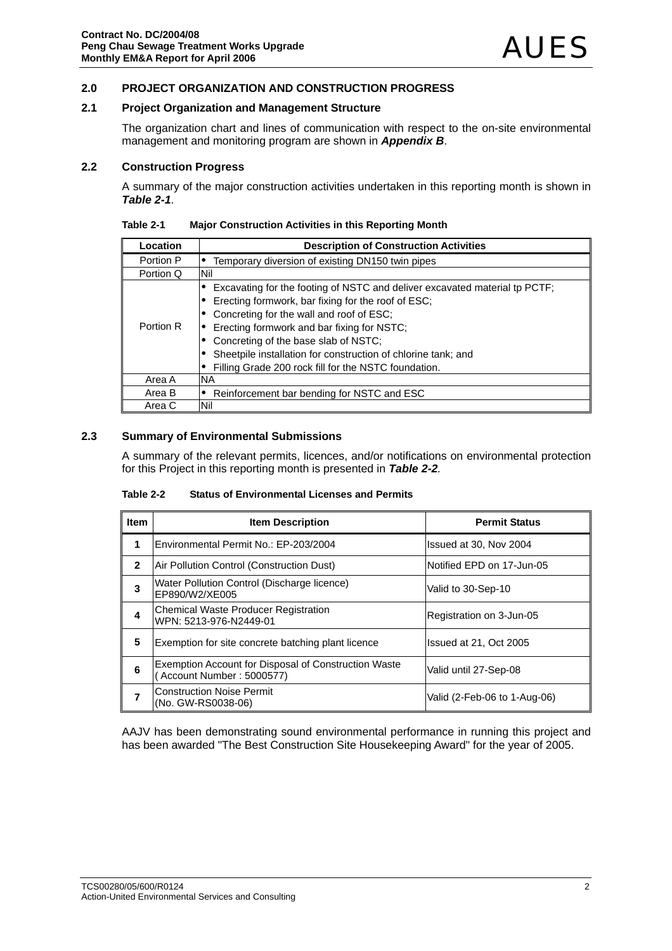# **2.0 PROJECT ORGANIZATION AND CONSTRUCTION PROGRESS**

# **2.1 Project Organization and Management Structure**

The organization chart and lines of communication with respect to the on-site environmental management and monitoring program are shown in *Appendix B*.

#### **2.2 Construction Progress**

A summary of the major construction activities undertaken in this reporting month is shown in *Table 2-1*.

| Table 2-1 | <b>Major Construction Activities in this Reporting Month</b> |  |
|-----------|--------------------------------------------------------------|--|
|           |                                                              |  |

| Location  | <b>Description of Construction Activities</b>                                                                                                                                                                                                                                                                                                                                               |
|-----------|---------------------------------------------------------------------------------------------------------------------------------------------------------------------------------------------------------------------------------------------------------------------------------------------------------------------------------------------------------------------------------------------|
| Portion P | Temporary diversion of existing DN150 twin pipes                                                                                                                                                                                                                                                                                                                                            |
| Portion Q | Nil                                                                                                                                                                                                                                                                                                                                                                                         |
| Portion R | Excavating for the footing of NSTC and deliver excavated material tp PCTF;<br>Erecting formwork, bar fixing for the roof of ESC;<br>Concreting for the wall and roof of ESC;<br>Erecting formwork and bar fixing for NSTC;<br>Concreting of the base slab of NSTC;<br>Sheetpile installation for construction of chlorine tank; and<br>Filling Grade 200 rock fill for the NSTC foundation. |
| Area A    | <b>NA</b>                                                                                                                                                                                                                                                                                                                                                                                   |
| Area B    | Reinforcement bar bending for NSTC and ESC                                                                                                                                                                                                                                                                                                                                                  |
| Area C    | Nil                                                                                                                                                                                                                                                                                                                                                                                         |

#### **2.3 Summary of Environmental Submissions**

A summary of the relevant permits, licences, and/or notifications on environmental protection for this Project in this reporting month is presented in *Table 2-2.* 

**Table 2-2 Status of Environmental Licenses and Permits** 

| <b>Item</b>  | <b>Item Description</b>                                                          | <b>Permit Status</b>         |
|--------------|----------------------------------------------------------------------------------|------------------------------|
| 1            | Environmental Permit No.: EP-203/2004                                            | Issued at 30, Nov 2004       |
| $\mathbf{2}$ | Air Pollution Control (Construction Dust)                                        | Notified EPD on 17-Jun-05    |
| 3            | Water Pollution Control (Discharge licence)<br>EP890/W2/XE005                    | Valid to 30-Sep-10           |
| 4            | <b>Chemical Waste Producer Registration</b><br>WPN: 5213-976-N2449-01            | Registration on 3-Jun-05     |
| 5            | Exemption for site concrete batching plant licence                               | Issued at 21, Oct 2005       |
| 6            | Exemption Account for Disposal of Construction Waste<br>Account Number: 5000577) | Valid until 27-Sep-08        |
| 7            | <b>Construction Noise Permit</b><br>(No. GW-RS0038-06)                           | Valid (2-Feb-06 to 1-Aug-06) |

AAJV has been demonstrating sound environmental performance in running this project and has been awarded "The Best Construction Site Housekeeping Award" for the year of 2005.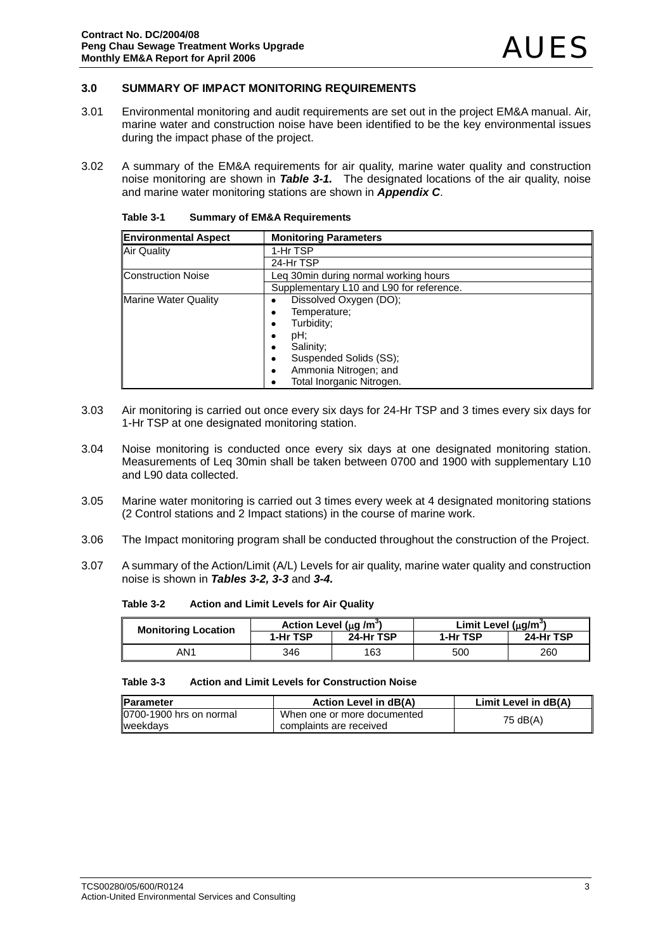# **3.0 SUMMARY OF IMPACT MONITORING REQUIREMENTS**

- 3.01 Environmental monitoring and audit requirements are set out in the project EM&A manual. Air, marine water and construction noise have been identified to be the key environmental issues during the impact phase of the project.
- 3.02 A summary of the EM&A requirements for air quality, marine water quality and construction noise monitoring are shown in *Table 3-1.* The designated locations of the air quality, noise and marine water monitoring stations are shown in *Appendix C*.

| <b>Environmental Aspect</b> | <b>Monitoring Parameters</b>             |
|-----------------------------|------------------------------------------|
| <b>Air Quality</b>          | 1-Hr TSP                                 |
|                             | 24-Hr TSP                                |
| <b>Construction Noise</b>   | Leg 30min during normal working hours    |
|                             | Supplementary L10 and L90 for reference. |
| <b>Marine Water Quality</b> | Dissolved Oxygen (DO);                   |
|                             | Temperature:                             |
|                             | Turbidity;                               |
|                             | pH;<br>٠                                 |
|                             | Salinity;<br>٠                           |
|                             | Suspended Solids (SS);<br>٠              |
|                             | Ammonia Nitrogen; and<br>٠               |
|                             | Total Inorganic Nitrogen.                |

| Table 3-1 |  | <b>Summary of EM&amp;A Requirements</b> |
|-----------|--|-----------------------------------------|
|           |  |                                         |

- 3.03 Air monitoring is carried out once every six days for 24-Hr TSP and 3 times every six days for 1-Hr TSP at one designated monitoring station.
- 3.04 Noise monitoring is conducted once every six days at one designated monitoring station. Measurements of Leq 30min shall be taken between 0700 and 1900 with supplementary L10 and L90 data collected.
- 3.05 Marine water monitoring is carried out 3 times every week at 4 designated monitoring stations (2 Control stations and 2 Impact stations) in the course of marine work.
- 3.06 The Impact monitoring program shall be conducted throughout the construction of the Project.
- 3.07 A summary of the Action/Limit (A/L) Levels for air quality, marine water quality and construction noise is shown in *Tables 3-2, 3-3* and *3-4.*

**Table 3-2 Action and Limit Levels for Air Quality** 

| <b>Monitoring Location</b> | Action Level (µq /m <sup>o</sup> ) |           | Limit Level $(uq/m^3)$ |           |
|----------------------------|------------------------------------|-----------|------------------------|-----------|
|                            | 1-Hr TSP                           | 24-Hr TSP | 1-Hr TSP               | 24-Hr TSP |
| AN1                        | 346                                | 163       | 500                    | 260       |

#### **Table 3-3 Action and Limit Levels for Construction Noise**

| <b>IParameter</b>                   | <b>Action Level in dB(A)</b>                           | Limit Level in dB(A) |
|-------------------------------------|--------------------------------------------------------|----------------------|
| 0700-1900 hrs on normal<br>weekdays | When one or more documented<br>complaints are received | 75 dB(A)             |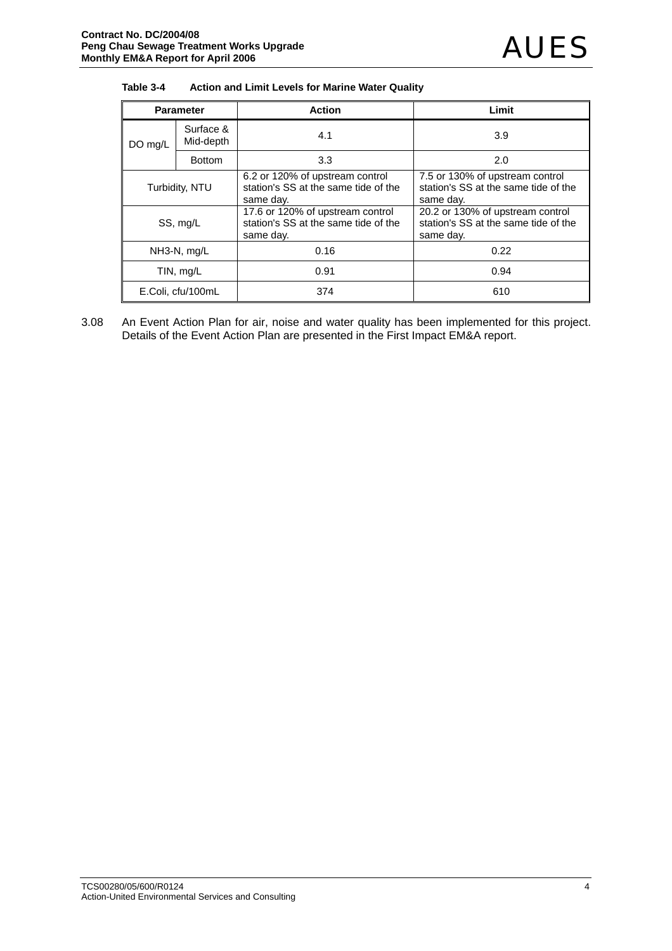| Table 3-4 | Action and Limit Levels for Marine Water Quality |
|-----------|--------------------------------------------------|
|-----------|--------------------------------------------------|

| <b>Parameter</b>                  |               | <b>Action</b>                                                                         | Limit                                                                                 |
|-----------------------------------|---------------|---------------------------------------------------------------------------------------|---------------------------------------------------------------------------------------|
| Surface &<br>Mid-depth<br>DO mg/L |               | 4.1                                                                                   | 3.9                                                                                   |
|                                   | <b>Bottom</b> | 3.3                                                                                   | 2.0                                                                                   |
| Turbidity, NTU                    |               | 6.2 or 120% of upstream control<br>station's SS at the same tide of the<br>same day.  | 7.5 or 130% of upstream control<br>station's SS at the same tide of the<br>same day.  |
| SS, mg/L                          |               | 17.6 or 120% of upstream control<br>station's SS at the same tide of the<br>same day. | 20.2 or 130% of upstream control<br>station's SS at the same tide of the<br>same day. |
| $NH3-N$ , $mg/L$                  |               | 0.16                                                                                  | 0.22                                                                                  |
| TIN, mg/L                         |               | 0.91                                                                                  | 0.94                                                                                  |
| E.Coli, cfu/100mL                 |               | 374                                                                                   | 610                                                                                   |

3.08 An Event Action Plan for air, noise and water quality has been implemented for this project. Details of the Event Action Plan are presented in the First Impact EM&A report.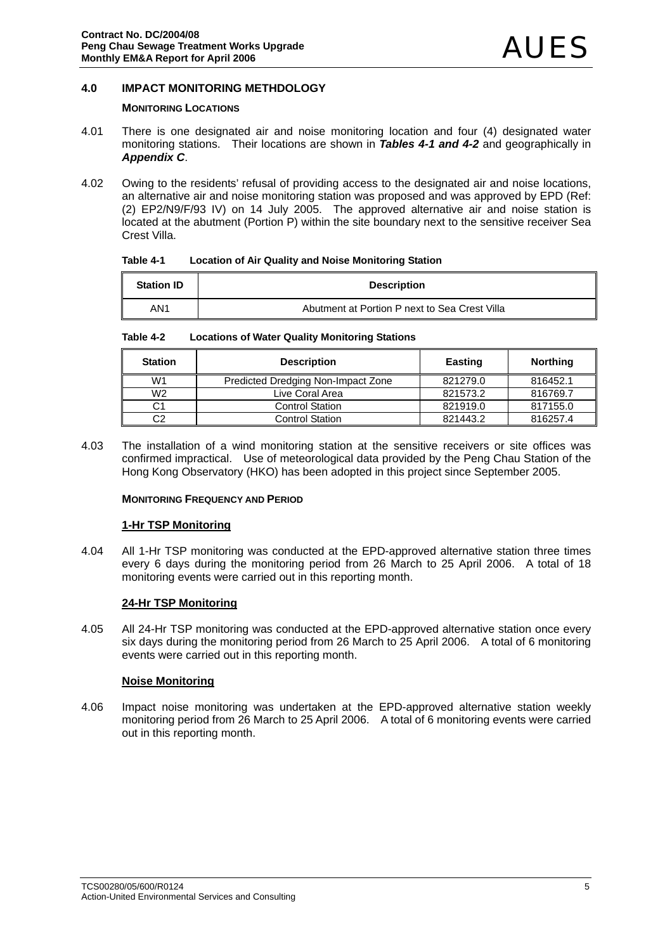## **4.0 IMPACT MONITORING METHDOLOGY**

#### **MONITORING LOCATIONS**

- 4.01 There is one designated air and noise monitoring location and four (4) designated water monitoring stations. Their locations are shown in *Tables 4-1 and 4-2* and geographically in *Appendix C*.
- 4.02 Owing to the residents' refusal of providing access to the designated air and noise locations, an alternative air and noise monitoring station was proposed and was approved by EPD (Ref: (2) EP2/N9/F/93 IV) on 14 July 2005. The approved alternative air and noise station is located at the abutment (Portion P) within the site boundary next to the sensitive receiver Sea Crest Villa.

| Table 4-1 |  | <b>Location of Air Quality and Noise Monitoring Station</b> |
|-----------|--|-------------------------------------------------------------|
|           |  |                                                             |

| <b>Station ID</b> | <b>Description</b>                            |
|-------------------|-----------------------------------------------|
| AN1               | Abutment at Portion P next to Sea Crest Villa |

#### **Table 4-2 Locations of Water Quality Monitoring Stations**

| <b>Station</b> | <b>Description</b>                 | <b>Easting</b> | <b>Northing</b> |
|----------------|------------------------------------|----------------|-----------------|
| W1             | Predicted Dredging Non-Impact Zone | 821279.0       | 816452.1        |
| W <sub>2</sub> | Live Coral Area                    | 821573.2       | 816769.7        |
| C1             | <b>Control Station</b>             | 821919.0       | 817155.0        |
| C2             | <b>Control Station</b>             | 821443.2       | 816257.4        |

4.03 The installation of a wind monitoring station at the sensitive receivers or site offices was confirmed impractical. Use of meteorological data provided by the Peng Chau Station of the Hong Kong Observatory (HKO) has been adopted in this project since September 2005.

#### **MONITORING FREQUENCY AND PERIOD**

#### **1-Hr TSP Monitoring**

4.04 All 1-Hr TSP monitoring was conducted at the EPD-approved alternative station three times every 6 days during the monitoring period from 26 March to 25 April 2006. A total of 18 monitoring events were carried out in this reporting month.

#### **24-Hr TSP Monitoring**

4.05 All 24-Hr TSP monitoring was conducted at the EPD-approved alternative station once every six days during the monitoring period from 26 March to 25 April 2006. A total of 6 monitoring events were carried out in this reporting month.

#### **Noise Monitoring**

4.06 Impact noise monitoring was undertaken at the EPD-approved alternative station weekly monitoring period from 26 March to 25 April 2006. A total of 6 monitoring events were carried out in this reporting month.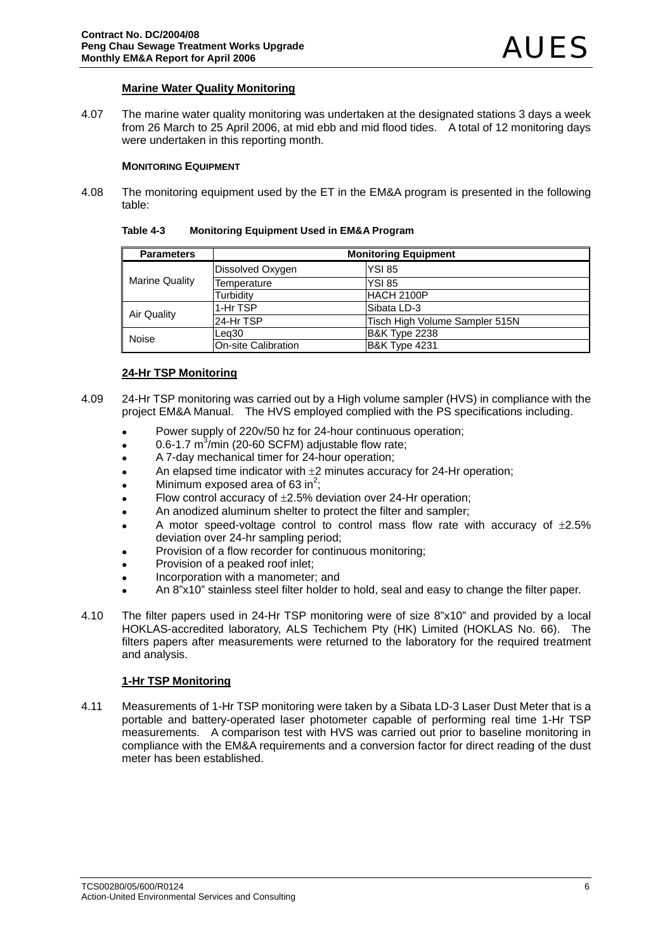## **Marine Water Quality Monitoring**

4.07 The marine water quality monitoring was undertaken at the designated stations 3 days a week from 26 March to 25 April 2006, at mid ebb and mid flood tides. A total of 12 monitoring days were undertaken in this reporting month.

#### **MONITORING EQUIPMENT**

4.08 The monitoring equipment used by the ET in the EM&A program is presented in the following table:

| Table 4-3 | <b>Monitoring Equipment Used in EM&amp;A Program</b> |
|-----------|------------------------------------------------------|
|-----------|------------------------------------------------------|

| <b>Parameters</b>     | <b>Monitoring Equipment</b> |                                |  |  |  |  |  |
|-----------------------|-----------------------------|--------------------------------|--|--|--|--|--|
|                       | Dissolved Oxygen            | <b>YSI 85</b>                  |  |  |  |  |  |
| <b>Marine Quality</b> | Temperature                 | <b>YSI 85</b>                  |  |  |  |  |  |
|                       | Turbidity                   | IHACH 2100P                    |  |  |  |  |  |
| Air Quality           | 1-Hr TSP                    | Sibata LD-3                    |  |  |  |  |  |
|                       | l24-Hr TSP                  | Tisch High Volume Sampler 515N |  |  |  |  |  |
| Noise                 | Lea30                       | <b>B&amp;K Type 2238</b>       |  |  |  |  |  |
|                       | On-site Calibration         | <b>B&amp;K Type 4231</b>       |  |  |  |  |  |

## **24-Hr TSP Monitoring**

- 4.09 24-Hr TSP monitoring was carried out by a High volume sampler (HVS) in compliance with the project EM&A Manual. The HVS employed complied with the PS specifications including.
	- Power supply of 220v/50 hz for 24-hour continuous operation:
	- $\bullet$  0.6-1.7 m<sup>3</sup>/min (20-60 SCFM) adjustable flow rate;
	- A 7-day mechanical timer for 24-hour operation;
	- An elapsed time indicator with  $\pm 2$  minutes accuracy for 24-Hr operation;
	- Minimum exposed area of 63 in<sup>2</sup>;
	- Flow control accuracy of  $\pm 2.5$ % deviation over 24-Hr operation;
	- An anodized aluminum shelter to protect the filter and sampler;
	- A motor speed-voltage control to control mass flow rate with accuracy of  $\pm 2.5\%$ deviation over 24-hr sampling period;
	- Provision of a flow recorder for continuous monitoring;
	- Provision of a peaked roof inlet:
	- Incorporation with a manometer; and
	- An 8"x10" stainless steel filter holder to hold, seal and easy to change the filter paper.
- 4.10 The filter papers used in 24-Hr TSP monitoring were of size 8"x10" and provided by a local HOKLAS-accredited laboratory, ALS Techichem Pty (HK) Limited (HOKLAS No. 66). The filters papers after measurements were returned to the laboratory for the required treatment and analysis.

# **1-Hr TSP Monitoring**

4.11 Measurements of 1-Hr TSP monitoring were taken by a Sibata LD-3 Laser Dust Meter that is a portable and battery-operated laser photometer capable of performing real time 1-Hr TSP measurements. A comparison test with HVS was carried out prior to baseline monitoring in compliance with the EM&A requirements and a conversion factor for direct reading of the dust meter has been established.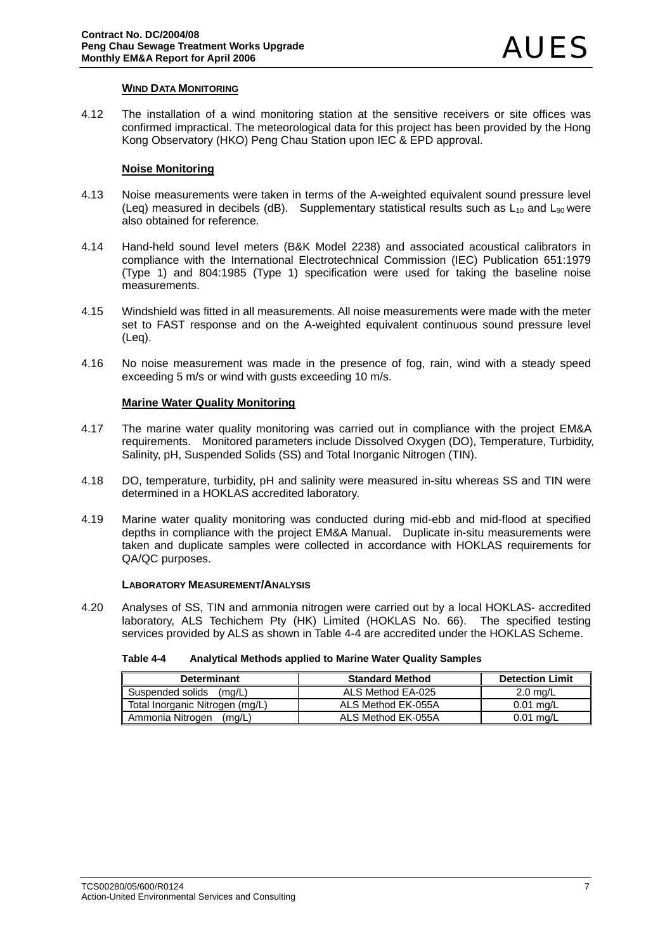# **WIND DATA MONITORING**

4.12 The installation of a wind monitoring station at the sensitive receivers or site offices was confirmed impractical. The meteorological data for this project has been provided by the Hong Kong Observatory (HKO) Peng Chau Station upon IEC & EPD approval.

## **Noise Monitoring**

- 4.13 Noise measurements were taken in terms of the A-weighted equivalent sound pressure level (Leq) measured in decibels (dB). Supplementary statistical results such as  $L_{10}$  and  $L_{90}$  were also obtained for reference.
- 4.14 Hand-held sound level meters (B&K Model 2238) and associated acoustical calibrators in compliance with the International Electrotechnical Commission (IEC) Publication 651:1979 (Type 1) and 804:1985 (Type 1) specification were used for taking the baseline noise measurements.
- 4.15 Windshield was fitted in all measurements. All noise measurements were made with the meter set to FAST response and on the A-weighted equivalent continuous sound pressure level (Leq).
- 4.16 No noise measurement was made in the presence of fog, rain, wind with a steady speed exceeding 5 m/s or wind with gusts exceeding 10 m/s.

## **Marine Water Quality Monitoring**

- 4.17 The marine water quality monitoring was carried out in compliance with the project EM&A requirements. Monitored parameters include Dissolved Oxygen (DO), Temperature, Turbidity, Salinity, pH, Suspended Solids (SS) and Total Inorganic Nitrogen (TIN).
- 4.18 DO, temperature, turbidity, pH and salinity were measured in-situ whereas SS and TIN were determined in a HOKLAS accredited laboratory.
- 4.19 Marine water quality monitoring was conducted during mid-ebb and mid-flood at specified depths in compliance with the project EM&A Manual. Duplicate in-situ measurements were taken and duplicate samples were collected in accordance with HOKLAS requirements for QA/QC purposes.

## **LABORATORY MEASUREMENT/ANALYSIS**

4.20 Analyses of SS, TIN and ammonia nitrogen were carried out by a local HOKLAS- accredited laboratory, ALS Techichem Pty (HK) Limited (HOKLAS No. 66). The specified testing services provided by ALS as shown in Table 4-4 are accredited under the HOKLAS Scheme.

| Table 4-4 |  | Analytical Methods applied to Marine Water Quality Samples |
|-----------|--|------------------------------------------------------------|
|           |  |                                                            |

| <b>Determinant</b>              | <b>Standard Method</b> | <b>Detection Limit</b> |
|---------------------------------|------------------------|------------------------|
| Suspended solids<br>(ma/L)      | ALS Method EA-025      | $2.0 \text{ rad/L}$    |
| Total Inorganic Nitrogen (mg/L) | ALS Method EK-055A     | $0.01$ ma/L            |
| Ammonia Nitrogen<br>(ma/L)      | ALS Method EK-055A     | $0.01$ ma/L            |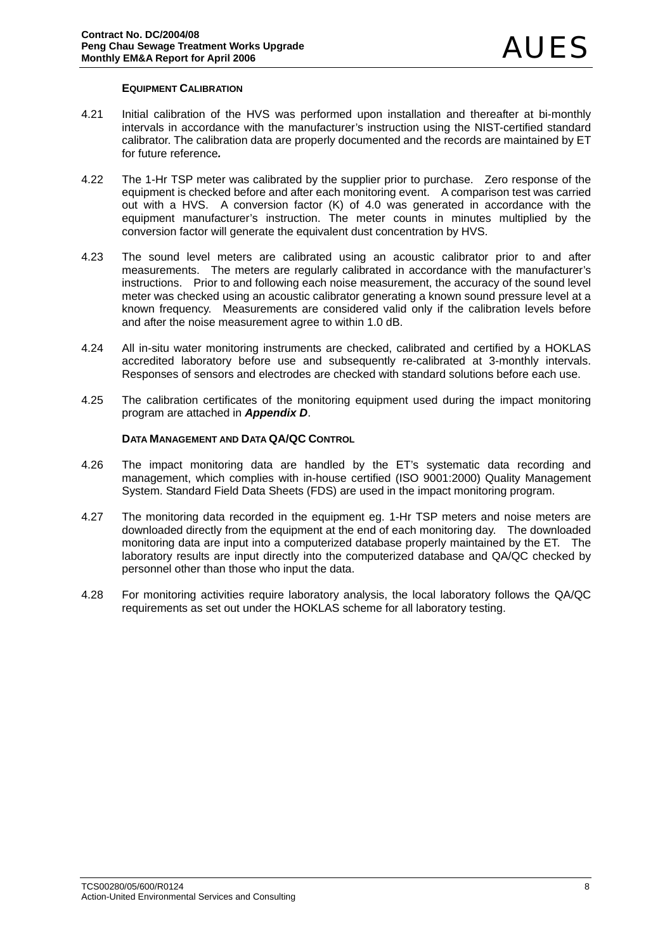#### **EQUIPMENT CALIBRATION**

- 4.21 Initial calibration of the HVS was performed upon installation and thereafter at bi-monthly intervals in accordance with the manufacturer's instruction using the NIST-certified standard calibrator. The calibration data are properly documented and the records are maintained by ET for future reference*.*
- 4.22 The 1-Hr TSP meter was calibrated by the supplier prior to purchase. Zero response of the equipment is checked before and after each monitoring event. A comparison test was carried out with a HVS. A conversion factor (K) of 4.0 was generated in accordance with the equipment manufacturer's instruction. The meter counts in minutes multiplied by the conversion factor will generate the equivalent dust concentration by HVS.
- 4.23 The sound level meters are calibrated using an acoustic calibrator prior to and after measurements. The meters are regularly calibrated in accordance with the manufacturer's instructions. Prior to and following each noise measurement, the accuracy of the sound level meter was checked using an acoustic calibrator generating a known sound pressure level at a known frequency. Measurements are considered valid only if the calibration levels before and after the noise measurement agree to within 1.0 dB.
- 4.24 All in-situ water monitoring instruments are checked, calibrated and certified by a HOKLAS accredited laboratory before use and subsequently re-calibrated at 3-monthly intervals. Responses of sensors and electrodes are checked with standard solutions before each use.
- 4.25 The calibration certificates of the monitoring equipment used during the impact monitoring program are attached in *Appendix D*.

## **DATA MANAGEMENT AND DATA QA/QC CONTROL**

- 4.26 The impact monitoring data are handled by the ET's systematic data recording and management, which complies with in-house certified (ISO 9001:2000) Quality Management System. Standard Field Data Sheets (FDS) are used in the impact monitoring program.
- 4.27 The monitoring data recorded in the equipment eg. 1-Hr TSP meters and noise meters are downloaded directly from the equipment at the end of each monitoring day. The downloaded monitoring data are input into a computerized database properly maintained by the ET. The laboratory results are input directly into the computerized database and QA/QC checked by personnel other than those who input the data.
- 4.28 For monitoring activities require laboratory analysis, the local laboratory follows the QA/QC requirements as set out under the HOKLAS scheme for all laboratory testing.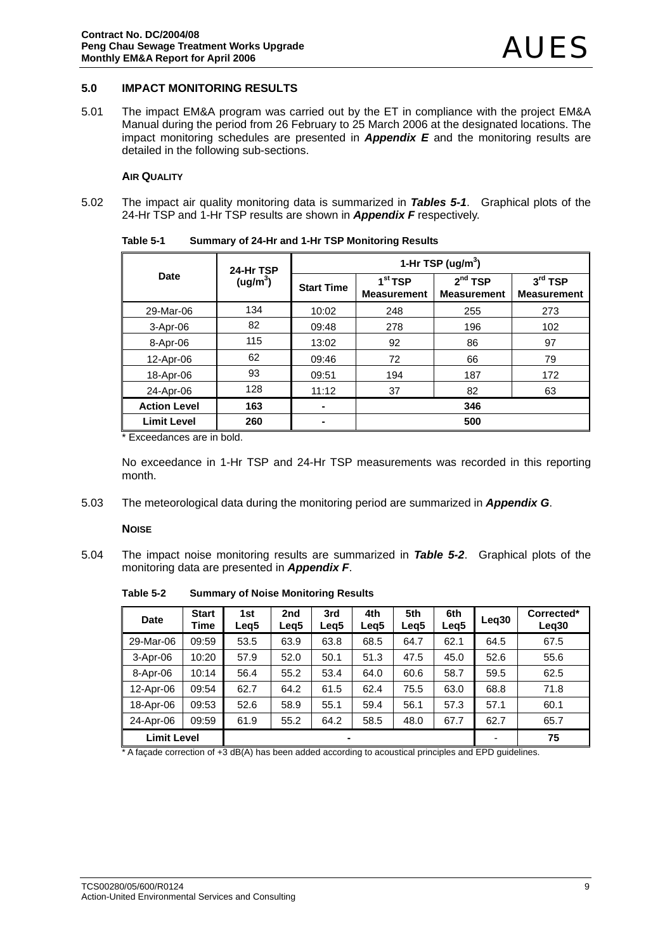#### **5.0 IMPACT MONITORING RESULTS**

5.01 The impact EM&A program was carried out by the ET in compliance with the project EM&A Manual during the period from 26 February to 25 March 2006 at the designated locations. The impact monitoring schedules are presented in *Appendix E* and the monitoring results are detailed in the following sub-sections.

#### **AIR QUALITY**

5.02 The impact air quality monitoring data is summarized in *Tables 5-1*. Graphical plots of the 24-Hr TSP and 1-Hr TSP results are shown in *Appendix F* respectively.

|                     | 24-Hr TSP            | 1-Hr TSP (ug/m <sup>3</sup> ) |                                           |                                           |                                 |  |  |  |
|---------------------|----------------------|-------------------------------|-------------------------------------------|-------------------------------------------|---------------------------------|--|--|--|
| Date                | (ug/m <sup>3</sup> ) | <b>Start Time</b>             | 1 <sup>st</sup> TSP<br><b>Measurement</b> | 2 <sup>nd</sup> TSP<br><b>Measurement</b> | $3rd$ TSP<br><b>Measurement</b> |  |  |  |
| 29-Mar-06           | 134                  | 10:02                         | 248                                       | 255                                       | 273                             |  |  |  |
| 3-Apr-06            | 82                   | 09:48                         | 278                                       | 196                                       | 102                             |  |  |  |
| 8-Apr-06            | 115                  | 13:02                         | 92                                        | 86                                        | 97                              |  |  |  |
| 12-Apr-06           | 62                   | 09:46                         | 72                                        | 66                                        | 79                              |  |  |  |
| 18-Apr-06           | 93                   | 09:51                         | 194                                       | 187                                       | 172                             |  |  |  |
| 24-Apr-06           | 128                  | 11:12                         | 37                                        | 82                                        | 63                              |  |  |  |
| <b>Action Level</b> | 163                  | $\blacksquare$                | 346                                       |                                           |                                 |  |  |  |
| <b>Limit Level</b>  | 260                  | ۰                             | 500                                       |                                           |                                 |  |  |  |

**Table 5-1 Summary of 24-Hr and 1-Hr TSP Monitoring Results** 

\* Exceedances are in bold.

No exceedance in 1-Hr TSP and 24-Hr TSP measurements was recorded in this reporting month.

5.03 The meteorological data during the monitoring period are summarized in *Appendix G*.

#### **NOISE**

5.04 The impact noise monitoring results are summarized in *Table 5-2*. Graphical plots of the monitoring data are presented in *Appendix F*.

**Table 5-2 Summary of Noise Monitoring Results** 

| <b>Date</b>        | <b>Start</b><br>Time | 1st<br>Leg <sub>5</sub> | 2nd<br>Leg <sub>5</sub> | 3rd<br>Leg <sub>5</sub> | 4th<br>Leg <sub>5</sub> | 5th<br>Leg <sub>5</sub> | 6th<br>Leg5 | Leg <sub>30</sub> | Corrected*<br>Leg <sub>30</sub> |
|--------------------|----------------------|-------------------------|-------------------------|-------------------------|-------------------------|-------------------------|-------------|-------------------|---------------------------------|
| 29-Mar-06          | 09:59                | 53.5                    | 63.9                    | 63.8                    | 68.5                    | 64.7                    | 62.1        | 64.5              | 67.5                            |
| $3-Apr-06$         | 10:20                | 57.9                    | 52.0                    | 50.1                    | 51.3                    | 47.5                    | 45.0        | 52.6              | 55.6                            |
| 8-Apr-06           | 10:14                | 56.4                    | 55.2                    | 53.4                    | 64.0                    | 60.6                    | 58.7        | 59.5              | 62.5                            |
| 12-Apr-06          | 09:54                | 62.7                    | 64.2                    | 61.5                    | 62.4                    | 75.5                    | 63.0        | 68.8              | 71.8                            |
| 18-Apr-06          | 09:53                | 52.6                    | 58.9                    | 55.1                    | 59.4                    | 56.1                    | 57.3        | 57.1              | 60.1                            |
| 24-Apr-06          | 09:59                | 61.9                    | 55.2                    | 64.2                    | 58.5                    | 48.0                    | 67.7        | 62.7              | 65.7                            |
| <b>Limit Level</b> |                      | $\blacksquare$          |                         |                         |                         |                         | ۰           | 75                |                                 |

\* A façade correction of +3 dB(A) has been added according to acoustical principles and EPD guidelines.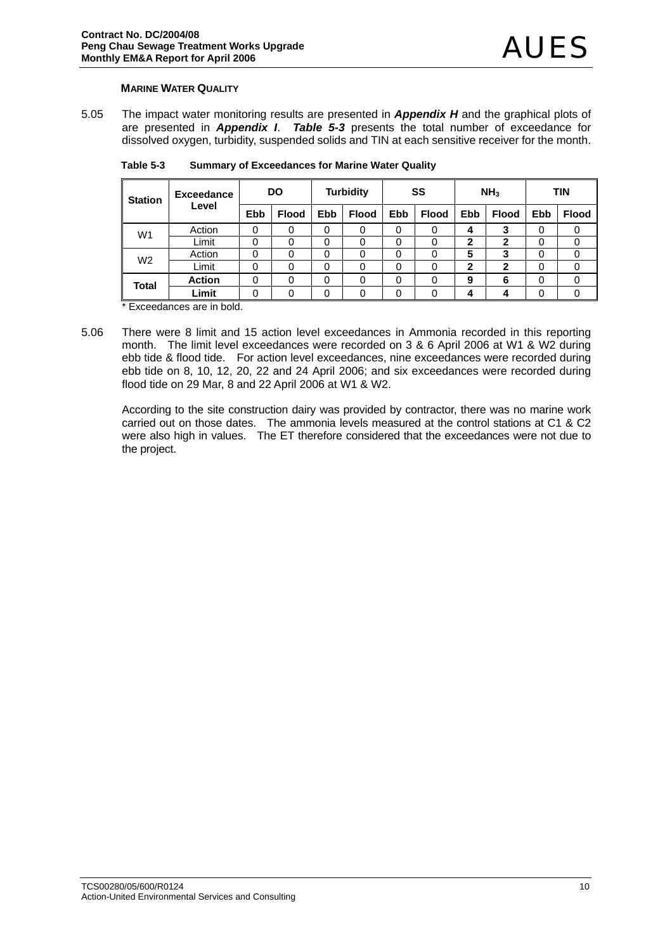#### **MARINE WATER QUALITY**

5.05 The impact water monitoring results are presented in *Appendix H* and the graphical plots of are presented in *Appendix I*. *Table 5-3* presents the total number of exceedance for dissolved oxygen, turbidity, suspended solids and TIN at each sensitive receiver for the month.

| <b>Station</b> | <b>Exceedance</b> | DO         |              | <b>Turbidity</b> |              | SS         |              | NH <sub>3</sub> |              | <b>TIN</b> |              |
|----------------|-------------------|------------|--------------|------------------|--------------|------------|--------------|-----------------|--------------|------------|--------------|
|                | Level             | <b>Ebb</b> | <b>Flood</b> | Ebb              | <b>Flood</b> | <b>Ebb</b> | <b>Flood</b> | <b>Ebb</b>      | <b>Flood</b> | <b>Ebb</b> | <b>Flood</b> |
| W1             | Action            | 0          | 0            | 0                |              | 0          | 0            | 4               | 3            | 0          | 0            |
|                | Limit             |            | 0            | 0                |              | 0          | 0            | 2               | 2            | 0          | 0            |
| W <sub>2</sub> | Action            | 0          | 0            | 0                |              | 0          | 0            | 5               | 3            | 0          | 0            |
|                | Limit             | 0          | 0            | 0                |              | 0          | 0            | 2               | 2            | 0          | 0            |
| Total          | <b>Action</b>     | 0          | 0            | 0                | 0            | 0          | 0            | 9               | 6            | 0          | 0            |
|                | Limit             | 0          | 0            | 0                | 0            | 0          | 0            | 4               | 4            | 0          | 0            |

**Table 5-3 Summary of Exceedances for Marine Water Quality** 

\* Exceedances are in bold.

5.06 There were 8 limit and 15 action level exceedances in Ammonia recorded in this reporting month. The limit level exceedances were recorded on 3 & 6 April 2006 at W1 & W2 during ebb tide & flood tide. For action level exceedances, nine exceedances were recorded during ebb tide on 8, 10, 12, 20, 22 and 24 April 2006; and six exceedances were recorded during flood tide on 29 Mar, 8 and 22 April 2006 at W1 & W2.

According to the site construction dairy was provided by contractor, there was no marine work carried out on those dates. The ammonia levels measured at the control stations at C1 & C2 were also high in values. The ET therefore considered that the exceedances were not due to the project.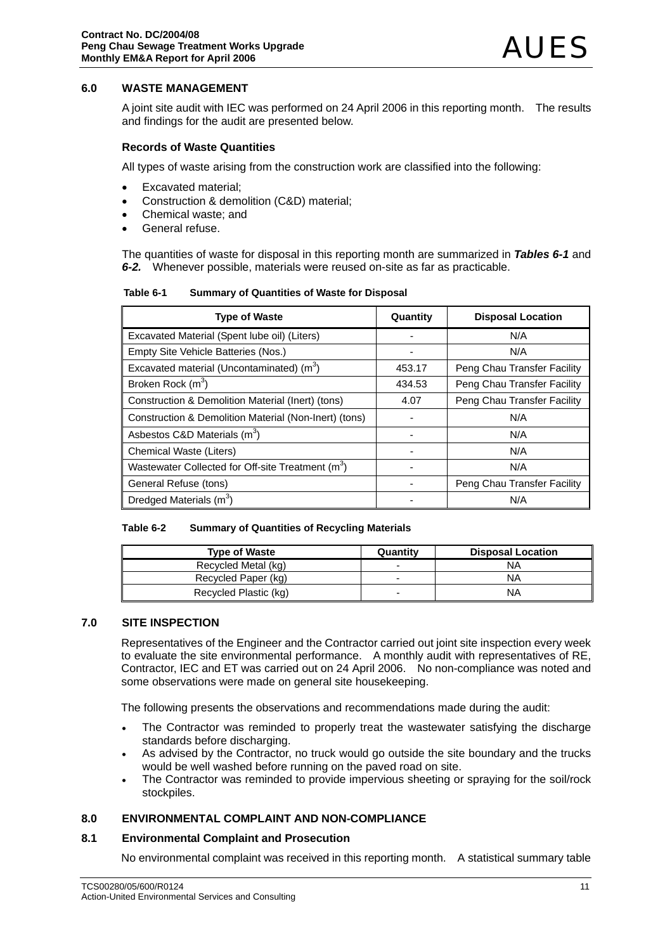## **6.0 WASTE MANAGEMENT**

A joint site audit with IEC was performed on 24 April 2006 in this reporting month. The results and findings for the audit are presented below.

#### **Records of Waste Quantities**

All types of waste arising from the construction work are classified into the following:

- Excavated material;
- Construction & demolition (C&D) material;
- Chemical waste; and
- General refuse.

The quantities of waste for disposal in this reporting month are summarized in *Tables 6-1* and *6-2.* Whenever possible, materials were reused on-site as far as practicable.

| Table 6-1 | <b>Summary of Quantities of Waste for Disposal</b> |
|-----------|----------------------------------------------------|
|-----------|----------------------------------------------------|

| <b>Type of Waste</b>                                          | Quantity | <b>Disposal Location</b>    |
|---------------------------------------------------------------|----------|-----------------------------|
| Excavated Material (Spent lube oil) (Liters)                  |          | N/A                         |
| Empty Site Vehicle Batteries (Nos.)                           |          | N/A                         |
| Excavated material (Uncontaminated) $(m3)$                    | 453.17   | Peng Chau Transfer Facility |
| Broken Rock (m <sup>3</sup> )                                 | 434.53   | Peng Chau Transfer Facility |
| Construction & Demolition Material (Inert) (tons)             | 4.07     | Peng Chau Transfer Facility |
| Construction & Demolition Material (Non-Inert) (tons)         |          | N/A                         |
| Asbestos C&D Materials (m <sup>3</sup> )                      |          | N/A                         |
| Chemical Waste (Liters)                                       |          | N/A                         |
| Wastewater Collected for Off-site Treatment (m <sup>3</sup> ) |          | N/A                         |
| General Refuse (tons)                                         |          | Peng Chau Transfer Facility |
| Dredged Materials (m <sup>3</sup> )                           |          | N/A                         |

#### **Table 6-2 Summary of Quantities of Recycling Materials**

| <b>Type of Waste</b>  | Quantity | <b>Disposal Location</b> |
|-----------------------|----------|--------------------------|
| Recycled Metal (kg)   | -        | ΝA                       |
| Recycled Paper (kg)   | -        | NA                       |
| Recycled Plastic (kg) | -        | ΝA                       |

#### **7.0 SITE INSPECTION**

Representatives of the Engineer and the Contractor carried out joint site inspection every week to evaluate the site environmental performance. A monthly audit with representatives of RE, Contractor, IEC and ET was carried out on 24 April 2006. No non-compliance was noted and some observations were made on general site housekeeping.

The following presents the observations and recommendations made during the audit:

- The Contractor was reminded to properly treat the wastewater satisfying the discharge standards before discharging.
- As advised by the Contractor, no truck would go outside the site boundary and the trucks would be well washed before running on the paved road on site.
- The Contractor was reminded to provide impervious sheeting or spraying for the soil/rock stockpiles.

#### **8.0 ENVIRONMENTAL COMPLAINT AND NON-COMPLIANCE**

#### **8.1 Environmental Complaint and Prosecution**

No environmental complaint was received in this reporting month. A statistical summary table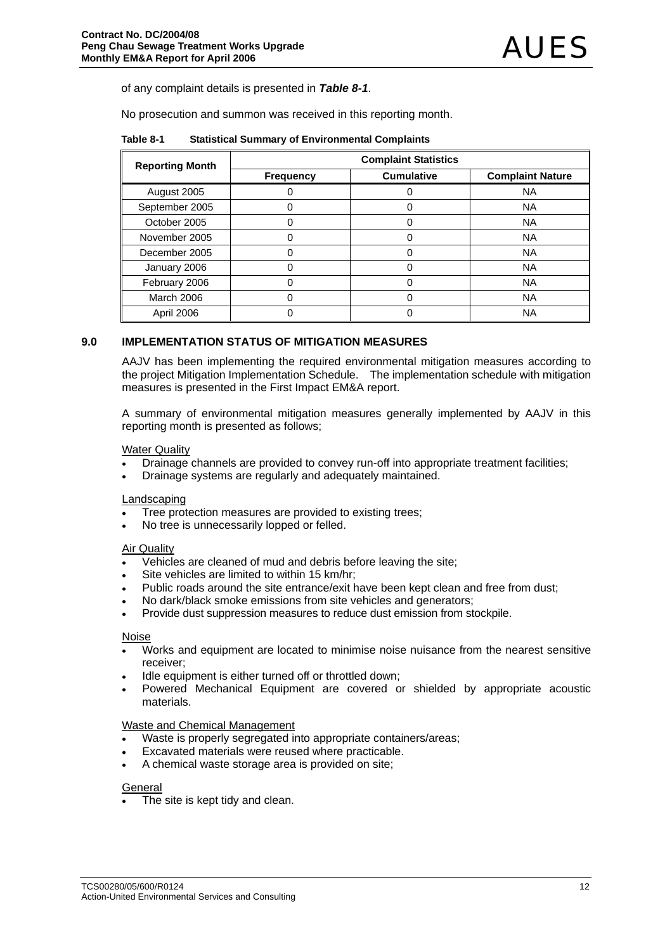of any complaint details is presented in *Table 8-1*.

No prosecution and summon was received in this reporting month.

| Table 8-1 | <b>Statistical Summary of Environmental Complaints</b> |  |
|-----------|--------------------------------------------------------|--|
|           |                                                        |  |

| <b>Reporting Month</b> |                  | <b>Complaint Statistics</b> |                         |
|------------------------|------------------|-----------------------------|-------------------------|
|                        | <b>Frequency</b> | <b>Cumulative</b>           | <b>Complaint Nature</b> |
| August 2005            |                  |                             | <b>NA</b>               |
| September 2005         |                  |                             | <b>NA</b>               |
| October 2005           |                  | 0                           | <b>NA</b>               |
| November 2005          |                  |                             | <b>NA</b>               |
| December 2005          |                  |                             | <b>NA</b>               |
| January 2006           |                  | 0                           | <b>NA</b>               |
| February 2006          |                  |                             | <b>NA</b>               |
| <b>March 2006</b>      |                  | O                           | <b>NA</b>               |
| April 2006             |                  |                             | ΝA                      |

# **9.0 IMPLEMENTATION STATUS OF MITIGATION MEASURES**

AAJV has been implementing the required environmental mitigation measures according to the project Mitigation Implementation Schedule. The implementation schedule with mitigation measures is presented in the First Impact EM&A report.

A summary of environmental mitigation measures generally implemented by AAJV in this reporting month is presented as follows;

#### Water Quality

- Drainage channels are provided to convey run-off into appropriate treatment facilities;
- Drainage systems are regularly and adequately maintained.

#### Landscaping

- Tree protection measures are provided to existing trees;
- No tree is unnecessarily lopped or felled.

#### **Air Quality**

- Vehicles are cleaned of mud and debris before leaving the site;
- Site vehicles are limited to within 15 km/hr;
- Public roads around the site entrance/exit have been kept clean and free from dust;
- No dark/black smoke emissions from site vehicles and generators;
- Provide dust suppression measures to reduce dust emission from stockpile.

#### Noise

- Works and equipment are located to minimise noise nuisance from the nearest sensitive receiver;
- Idle equipment is either turned off or throttled down;
- Powered Mechanical Equipment are covered or shielded by appropriate acoustic materials.

#### Waste and Chemical Management

- Waste is properly segregated into appropriate containers/areas:
- Excavated materials were reused where practicable.
- A chemical waste storage area is provided on site;

#### General

The site is kept tidy and clean.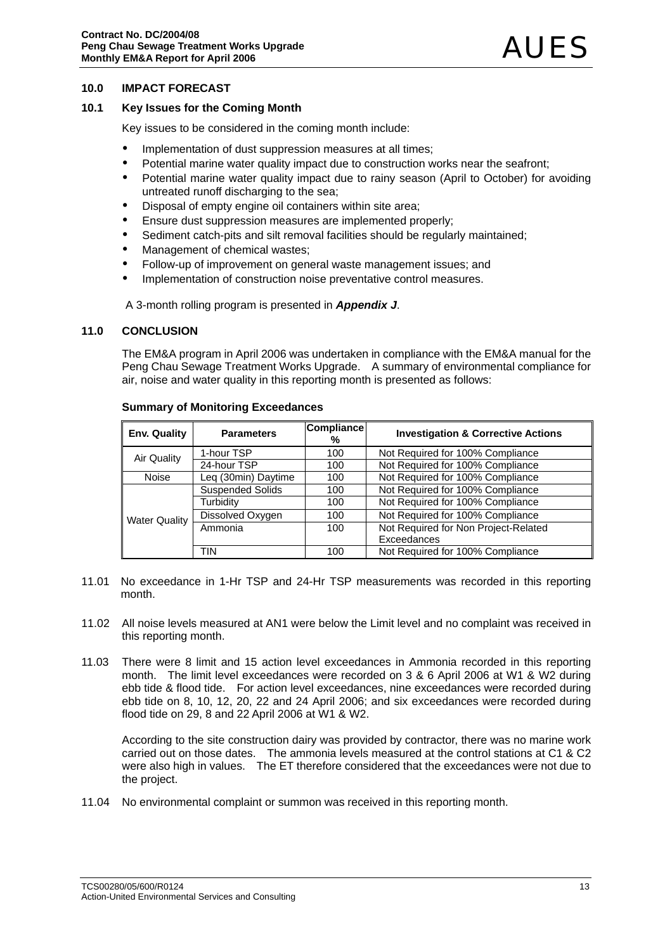#### **10.0 IMPACT FORECAST**

#### **10.1 Key Issues for the Coming Month**

Key issues to be considered in the coming month include:

- Implementation of dust suppression measures at all times;
- Potential marine water quality impact due to construction works near the seafront;
- Potential marine water quality impact due to rainy season (April to October) for avoiding untreated runoff discharging to the sea;
- Disposal of empty engine oil containers within site area;
- Ensure dust suppression measures are implemented properly;
- Sediment catch-pits and silt removal facilities should be regularly maintained:
- Management of chemical wastes;
- Follow-up of improvement on general waste management issues; and
- Implementation of construction noise preventative control measures.

A 3-month rolling program is presented in *Appendix J*.

## **11.0 CONCLUSION**

The EM&A program in April 2006 was undertaken in compliance with the EM&A manual for the Peng Chau Sewage Treatment Works Upgrade. A summary of environmental compliance for air, noise and water quality in this reporting month is presented as follows:

| <b>Env. Quality</b>  | <b>Parameters</b>       | <b>Compliance</b><br>% | <b>Investigation &amp; Corrective Actions</b> |
|----------------------|-------------------------|------------------------|-----------------------------------------------|
| Air Quality          | 1-hour TSP              | 100                    | Not Required for 100% Compliance              |
|                      | 24-hour TSP             | 100                    | Not Required for 100% Compliance              |
| Noise                | Leg (30min) Daytime     | 100                    | Not Required for 100% Compliance              |
|                      | <b>Suspended Solids</b> | 100                    | Not Required for 100% Compliance              |
|                      | Turbidity               | 100                    | Not Required for 100% Compliance              |
| <b>Water Quality</b> | Dissolved Oxygen        | 100                    | Not Required for 100% Compliance              |
|                      | Ammonia                 | 100                    | Not Required for Non Project-Related          |
|                      |                         |                        | Exceedances                                   |
|                      | TIN                     | 100                    | Not Required for 100% Compliance              |

#### **Summary of Monitoring Exceedances**

- 11.01 No exceedance in 1-Hr TSP and 24-Hr TSP measurements was recorded in this reporting month.
- 11.02 All noise levels measured at AN1 were below the Limit level and no complaint was received in this reporting month.
- 11.03 There were 8 limit and 15 action level exceedances in Ammonia recorded in this reporting month. The limit level exceedances were recorded on 3 & 6 April 2006 at W1 & W2 during ebb tide & flood tide. For action level exceedances, nine exceedances were recorded during ebb tide on 8, 10, 12, 20, 22 and 24 April 2006; and six exceedances were recorded during flood tide on 29, 8 and 22 April 2006 at W1 & W2.

According to the site construction dairy was provided by contractor, there was no marine work carried out on those dates. The ammonia levels measured at the control stations at C1 & C2 were also high in values. The ET therefore considered that the exceedances were not due to the project.

11.04 No environmental complaint or summon was received in this reporting month.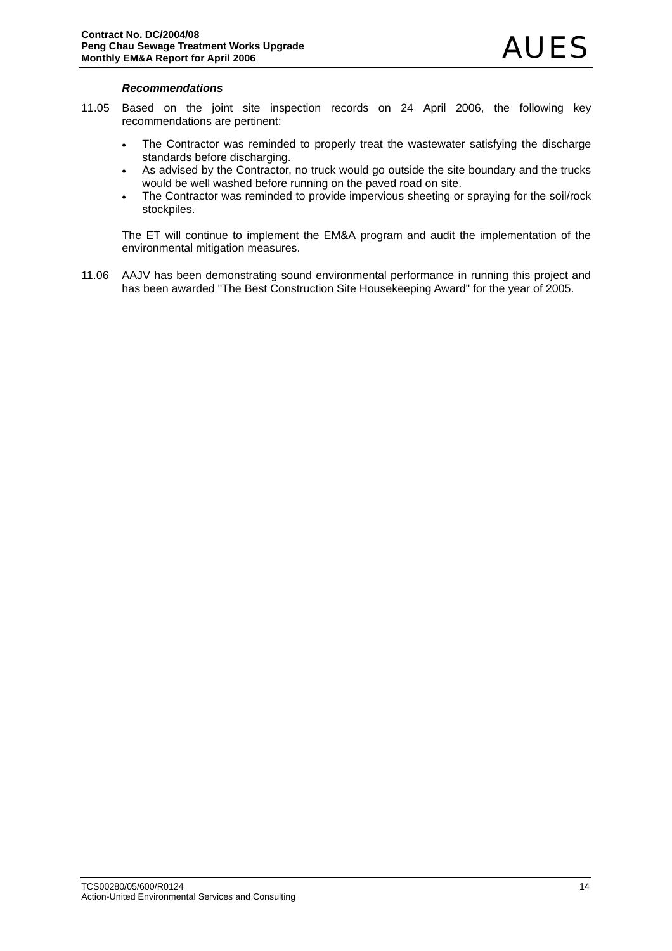#### *Recommendations*

- 11.05 Based on the joint site inspection records on 24 April 2006, the following key recommendations are pertinent:
	- The Contractor was reminded to properly treat the wastewater satisfying the discharge standards before discharging.
	- As advised by the Contractor, no truck would go outside the site boundary and the trucks would be well washed before running on the paved road on site.
	- The Contractor was reminded to provide impervious sheeting or spraying for the soil/rock stockpiles.

The ET will continue to implement the EM&A program and audit the implementation of the environmental mitigation measures.

11.06 AAJV has been demonstrating sound environmental performance in running this project and has been awarded "The Best Construction Site Housekeeping Award" for the year of 2005.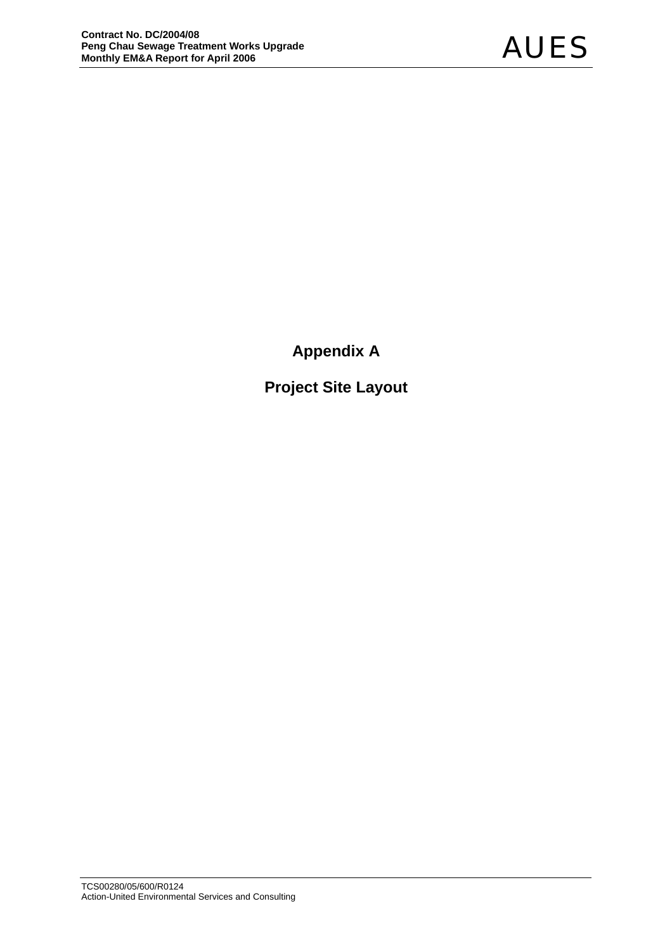**Appendix A** 

**Project Site Layout**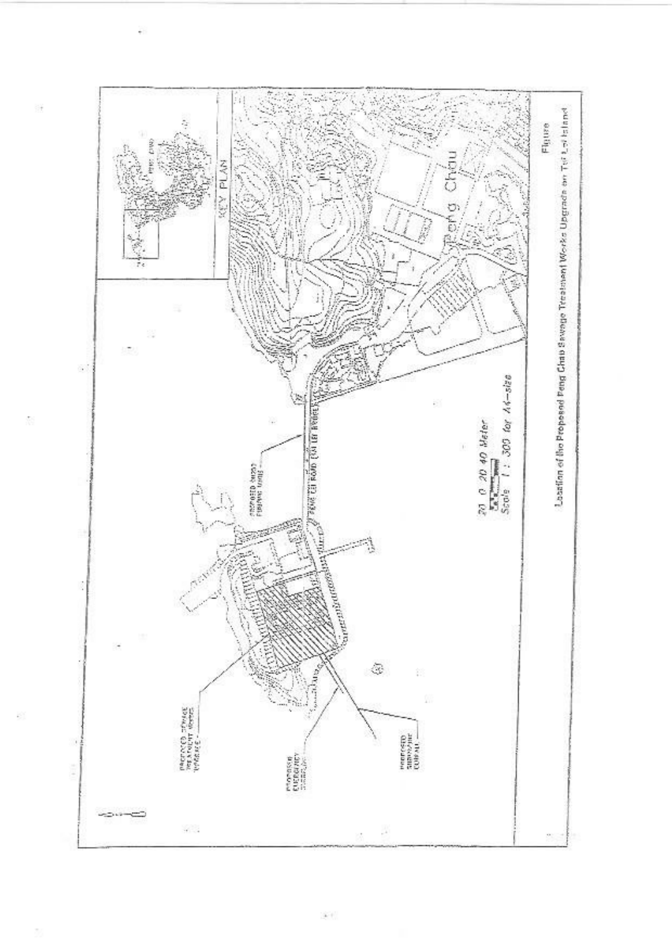

 $\pm$  (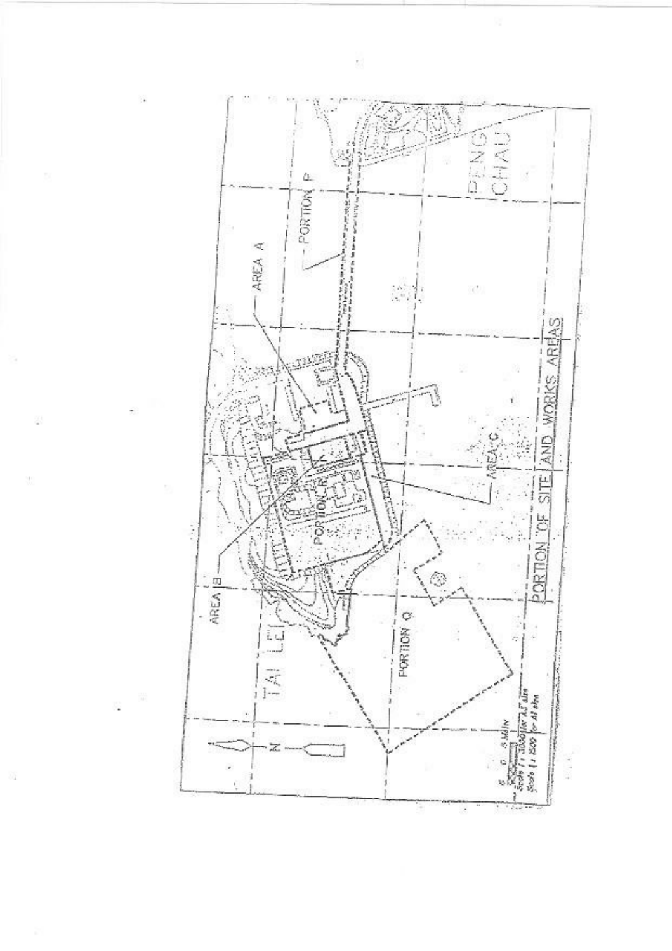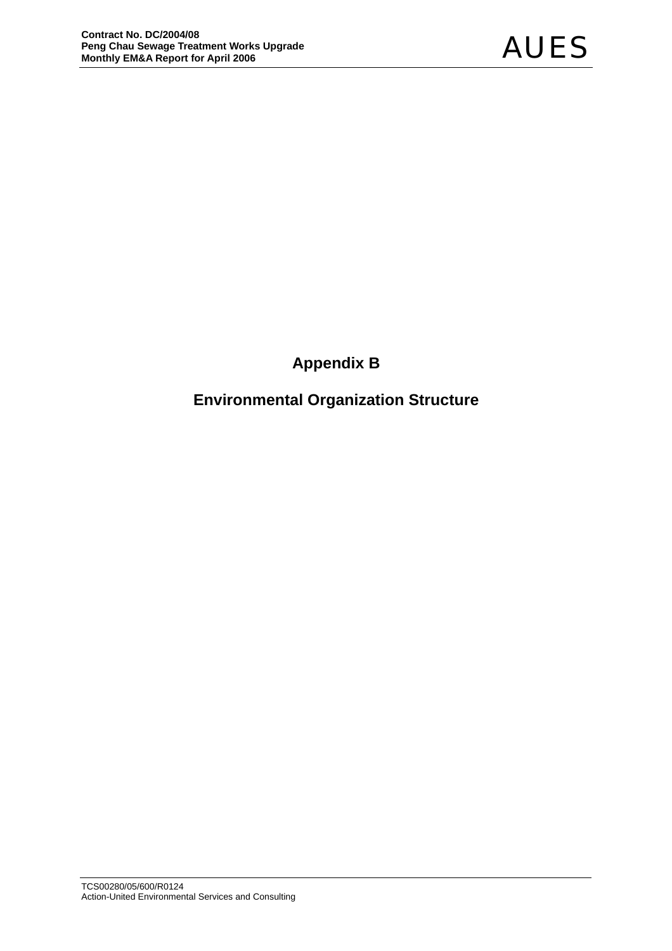**Appendix B** 

# **Environmental Organization Structure**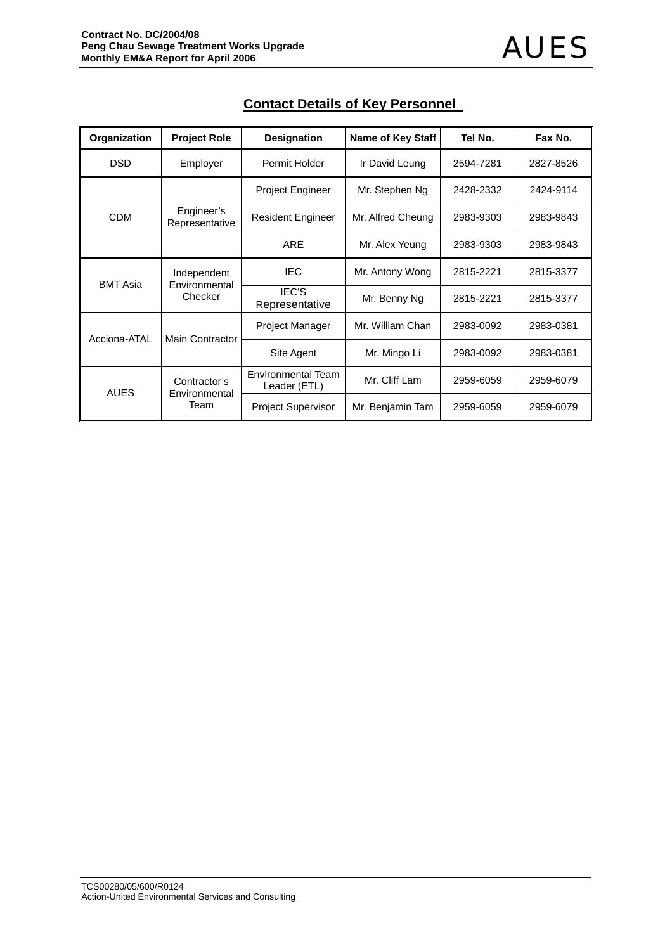| Organization    | <b>Project Role</b>           | <b>Designation</b>                                                                                                                        | Name of Key Staff                                                                                                          | Tel No.                                                                                                           | Fax No.   |
|-----------------|-------------------------------|-------------------------------------------------------------------------------------------------------------------------------------------|----------------------------------------------------------------------------------------------------------------------------|-------------------------------------------------------------------------------------------------------------------|-----------|
| <b>DSD</b>      | Employer                      | Permit Holder                                                                                                                             | Ir David Leung                                                                                                             | 2594-7281                                                                                                         | 2827-8526 |
|                 |                               | <b>Project Engineer</b>                                                                                                                   | Mr. Stephen Ng                                                                                                             | 2428-2332<br>2983-9303<br>2983-9303<br>2815-2221<br>2815-2221<br>2983-0092<br>2983-0092<br>2959-6059<br>2959-6059 | 2424-9114 |
| <b>CDM</b>      | Engineer's<br>Representative  | <b>Resident Engineer</b>                                                                                                                  | Mr. Alfred Cheung                                                                                                          |                                                                                                                   | 2983-9843 |
|                 |                               | ARE                                                                                                                                       | Mr. Alex Yeung<br>Mr. Antony Wong<br>Mr. Benny Ng<br>Mr. William Chan<br>Mr. Mingo Li<br>Mr. Cliff Lam<br>Mr. Benjamin Tam |                                                                                                                   | 2983-9843 |
| <b>BMT Asia</b> | Independent<br>Environmental  | <b>IEC</b><br>IEC'S<br>Representative<br>Project Manager<br>Site Agent<br>Environmental Team<br>Leader (ETL)<br><b>Project Supervisor</b> |                                                                                                                            |                                                                                                                   | 2815-3377 |
|                 | Checker                       |                                                                                                                                           |                                                                                                                            |                                                                                                                   | 2815-3377 |
| Acciona-ATAL    | Main Contractor               |                                                                                                                                           |                                                                                                                            | 2983-0381                                                                                                         |           |
|                 |                               |                                                                                                                                           |                                                                                                                            |                                                                                                                   | 2983-0381 |
| <b>AUES</b>     | Contractor's<br>Environmental |                                                                                                                                           |                                                                                                                            |                                                                                                                   | 2959-6079 |
|                 | Team                          |                                                                                                                                           |                                                                                                                            |                                                                                                                   | 2959-6079 |

# **Contact Details of Key Personnel**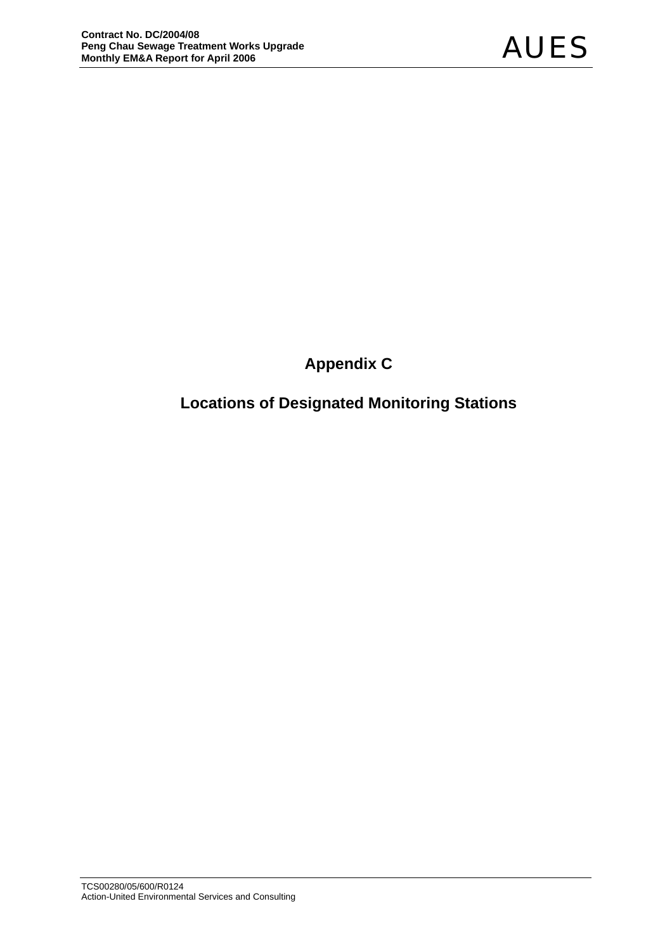**Appendix C** 

# **Locations of Designated Monitoring Stations**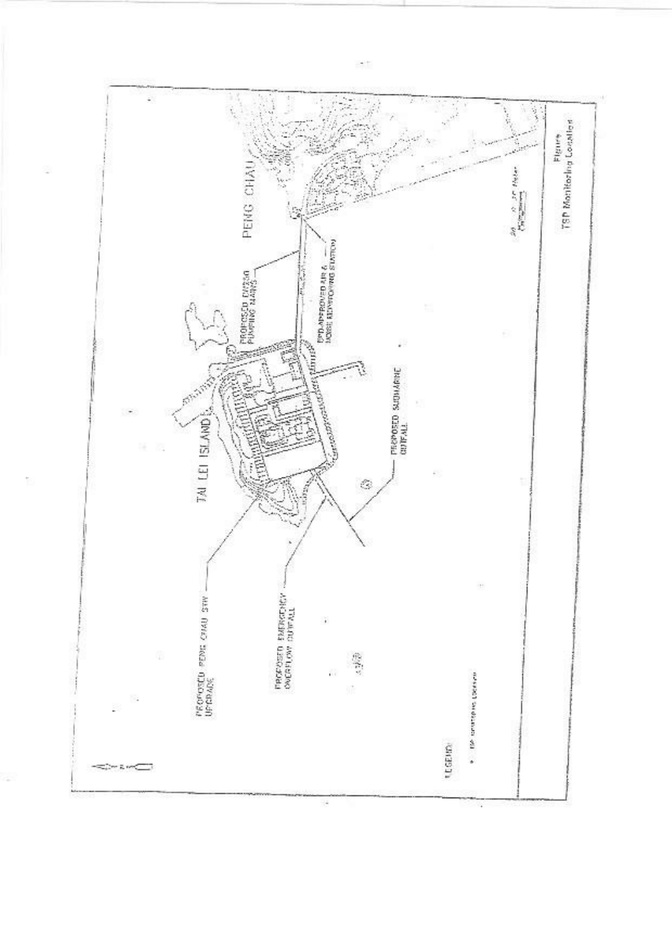

ä

leit.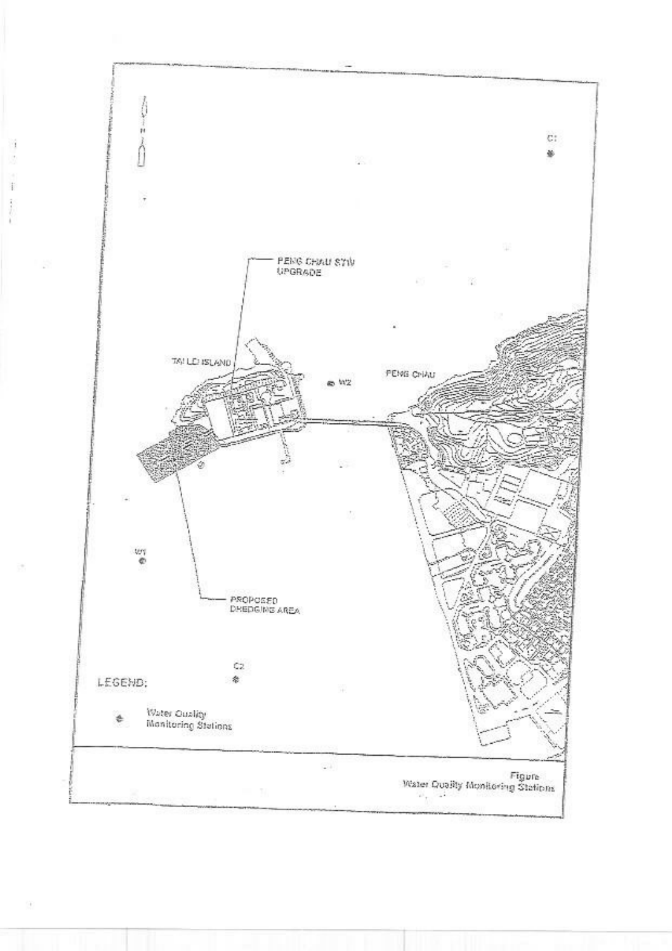

 $\ddot{i}$ j

 $\langle \hat{q} \rangle$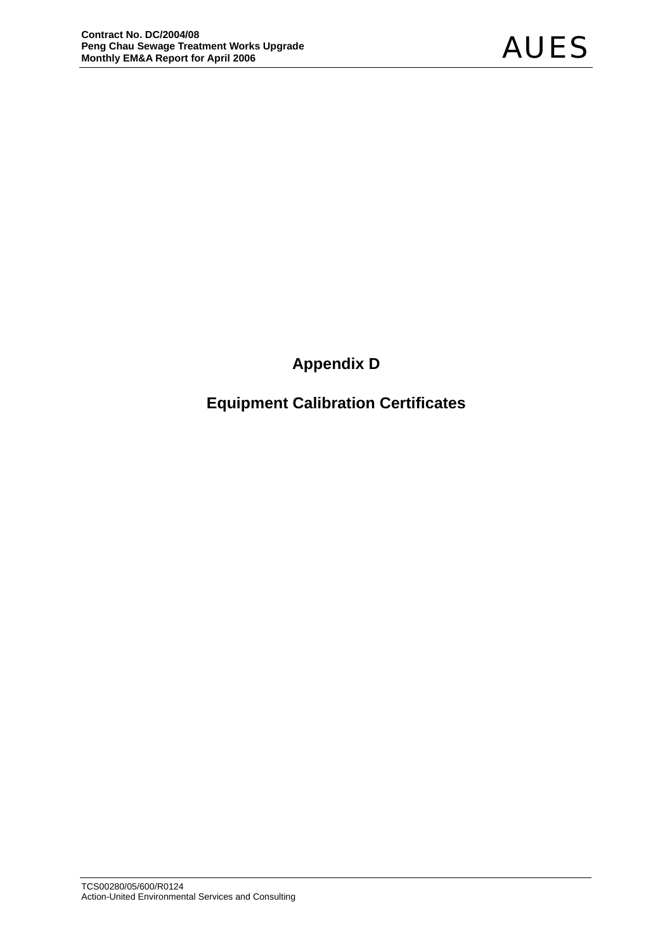**Appendix D** 

# **Equipment Calibration Certificates**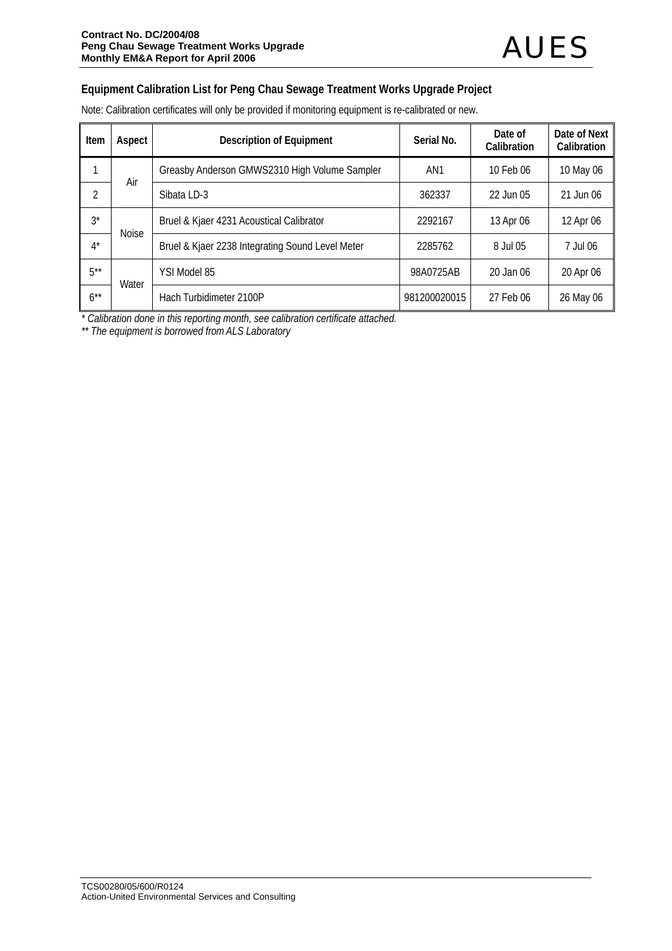# **Equipment Calibration List for Peng Chau Sewage Treatment Works Upgrade Project**

Note: Calibration certificates will only be provided if monitoring equipment is re-calibrated or new.

| Item   | Aspect       | <b>Description of Equipment</b>                  | Serial No.   | Date of<br>Calibration | Date of Next<br>Calibration |
|--------|--------------|--------------------------------------------------|--------------|------------------------|-----------------------------|
|        | Air          | Greasby Anderson GMWS2310 High Volume Sampler    | AN1          | 10 Feb 06              | 10 May 06                   |
| 2      |              | Sibata LD-3                                      | 362337       | 22 Jun 05              | 21 Jun 06                   |
| $3^*$  | <b>Noise</b> | Bruel & Kjaer 4231 Acoustical Calibrator         | 2292167      | 13 Apr 06              | 12 Apr 06                   |
| $4^*$  |              | Bruel & Kjaer 2238 Integrating Sound Level Meter | 2285762      | 8 Jul 05               | 7 Jul 06                    |
| $5***$ | Water        | YSI Model 85                                     | 98A0725AB    | 20 Jan 06              | 20 Apr 06                   |
| $6***$ |              | Hach Turbidimeter 2100P                          | 981200020015 | 27 Feb 06              | 26 May 06                   |

*\* Calibration done in this reporting month, see calibration certificate attached.* 

*\*\* The equipment is borrowed from ALS Laboratory*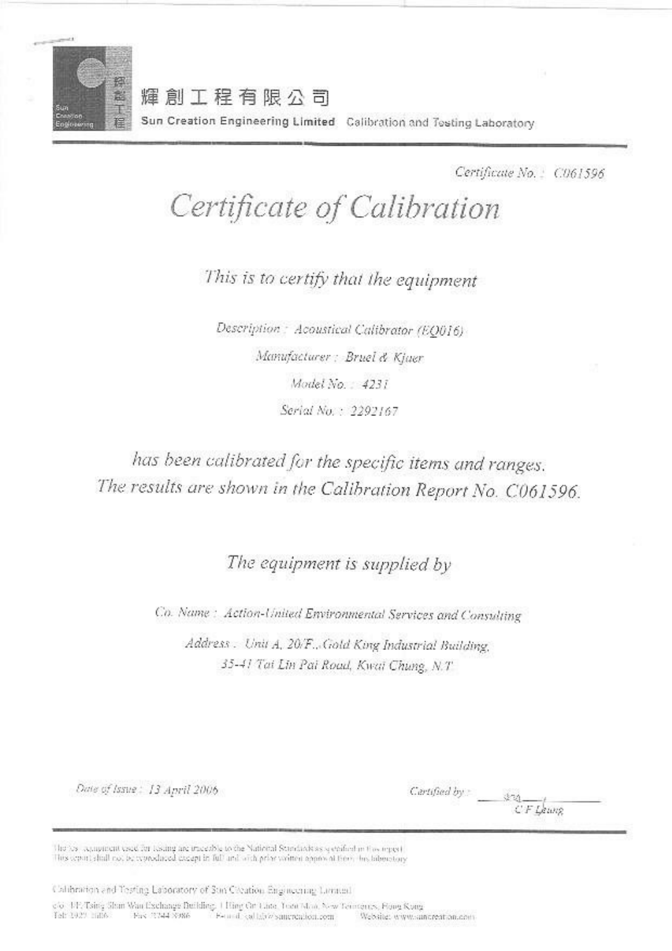

輝創工程有限公司

Sun Creation Engineering Limited Calibration and Testing Laboratory

Certificate No. : C061596

# Certificate of Calibration

This is to certify that the equipment

Description: Acoustical Calibrator (EQ016) Manufacturer : Bruel & Kjaer Model No. 4231 Serial No. : 2292167

has been calibrated for the specific items and ranges. The results are shown in the Calibration Report No. C061596.

The equipment is supplied by

Co. Name: Action-United Environmental Services and Consulting

Address . Unit A, 20/F., Gold King Industrial Building, 35-41 Tai Lin Pai Road, Kwai Chung, N.T.

Date of Issue: 13 April 2006

Cartified by : 374

CF Leung

The los-aquipment used for testing are traceable to the National Standack as specified in this repect. This separt shall not be reproduced except in full and with prior values approval from this laboratory

Calibration and Testing Laboratory of Sun Civation Engineering Lamient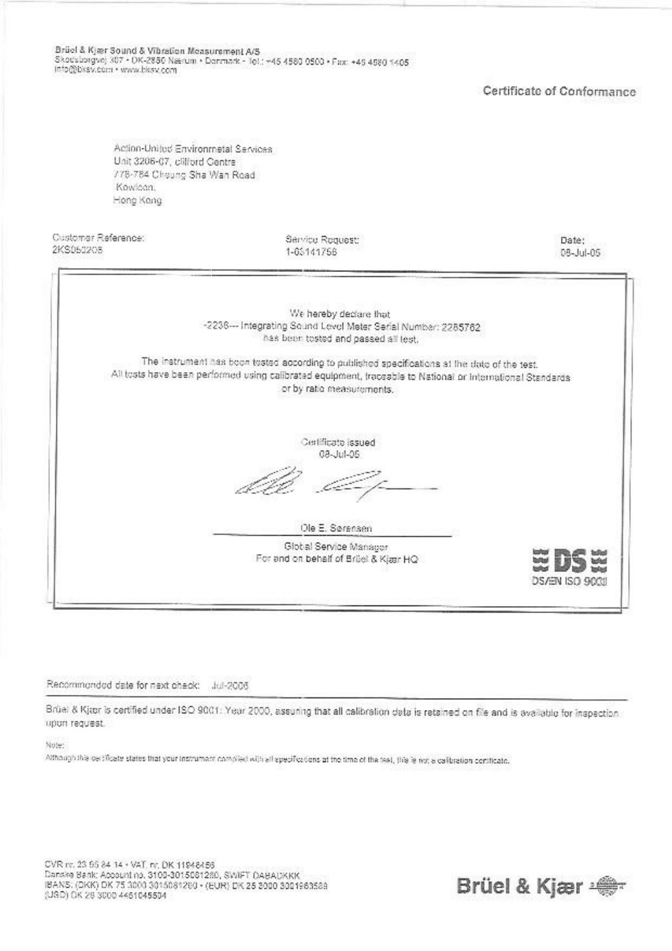Brüel & Kjær Sound & Vibration Measurement A/S Skodsborgvej 307 · DK-2850 Nærum · Denmark - Tel.: +45 4580 0500 · Fax: +45 4580 1405 info@bksv.com . www.bksv.com

Certificate of Conformance

Action-United Environmetal Services Unit 3206-07, clifford Centre 778-784 Cheung Sha Wan Road Kowlcan. Hong Kong

**Oustomer Reference:** 2KS050205

Service Request: 1-63141756

Date: 08-Jul-05

We hereby declare that -2236--- Integrating Sound Level Meter Serial Number: 2285762 has been tosted and passed all lest. The instrument has boon tested according to published specifications at the date of the test. All tosts have been performed using calibrated equipment, traceable to National or International Standards or by ratio measurements. Certificate issued 08-Jul-05 Ole E. Sørensen Global Service Manager For and on behalf of Brüel & Kjær HQ DS/EN ISO 9003

Recommonded date for next check: Jul-2006

Brüel & Kjær is certified under ISO 9001: Year 2000, assuning that all calibration data is retained on file and is available for inspection upon request.

Note:

Atthough this os tilicate states that your instrument complied with all apecifications at the time of the teal, this is not a calibration contingin.

CVR nr. 23 95 84 14 + VAT. nr. DK 11948456 Danske Bank: Account no. 3100-3015081280, SWIFT OABADKKK<br>IBANS: (OKK) DK 75 3000 3015081280 - (EUR) DK 25 3000 3001963589 (USD) OK 26 3000 4451045504

Brüel & Kjær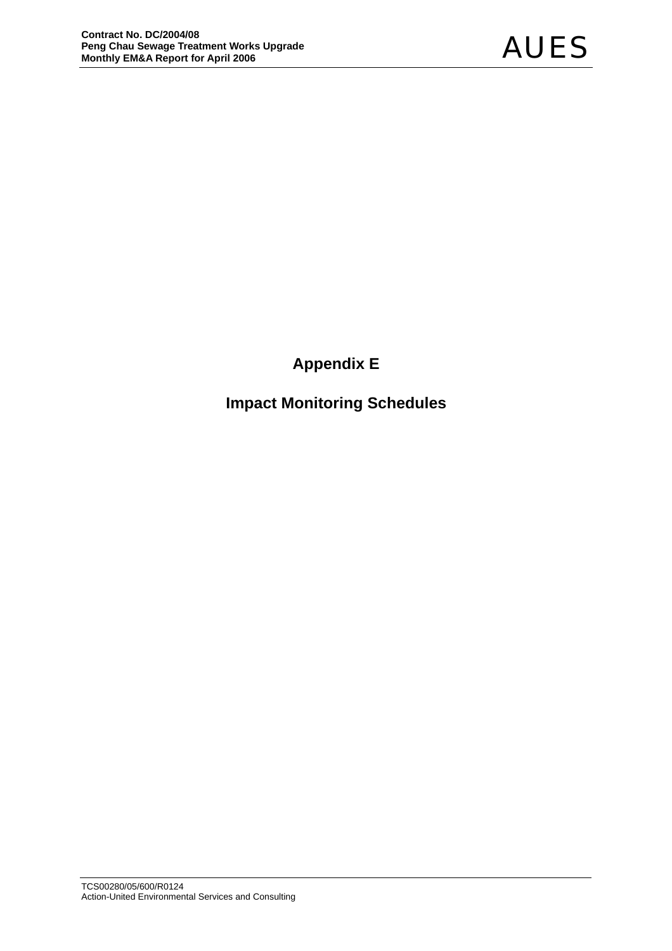**Appendix E** 

# **Impact Monitoring Schedules**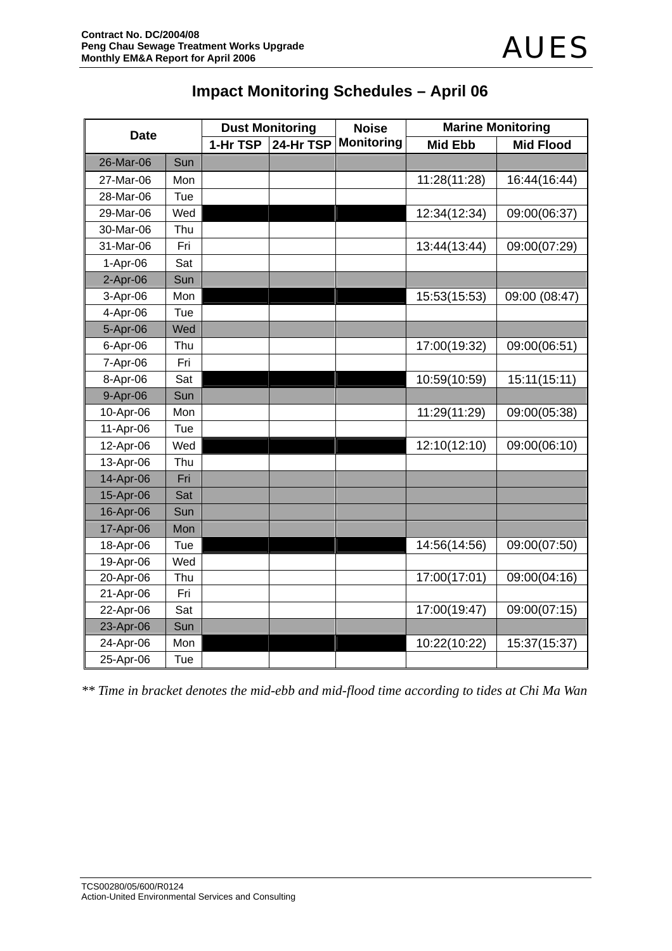| <b>Date</b> |     |          | <b>Dust Monitoring</b> | <b>Noise</b>      |                | <b>Marine Monitoring</b> |
|-------------|-----|----------|------------------------|-------------------|----------------|--------------------------|
|             |     | 1-Hr TSP | 24-Hr TSP              | <b>Monitoring</b> | <b>Mid Ebb</b> | <b>Mid Flood</b>         |
| 26-Mar-06   | Sun |          |                        |                   |                |                          |
| 27-Mar-06   | Mon |          |                        |                   | 11:28(11:28)   | 16:44(16:44)             |
| 28-Mar-06   | Tue |          |                        |                   |                |                          |
| 29-Mar-06   | Wed |          |                        |                   | 12:34(12:34)   | 09:00(06:37)             |
| 30-Mar-06   | Thu |          |                        |                   |                |                          |
| 31-Mar-06   | Fri |          |                        |                   | 13:44(13:44)   | 09:00(07:29)             |
| 1-Apr-06    | Sat |          |                        |                   |                |                          |
| 2-Apr-06    | Sun |          |                        |                   |                |                          |
| 3-Apr-06    | Mon |          |                        |                   | 15:53(15:53)   | 09:00 (08:47)            |
| 4-Apr-06    | Tue |          |                        |                   |                |                          |
| 5-Apr-06    | Wed |          |                        |                   |                |                          |
| 6-Apr-06    | Thu |          |                        |                   | 17:00(19:32)   | 09:00(06:51)             |
| 7-Apr-06    | Fri |          |                        |                   |                |                          |
| 8-Apr-06    | Sat |          |                        |                   | 10:59(10:59)   | 15:11(15:11)             |
| 9-Apr-06    | Sun |          |                        |                   |                |                          |
| 10-Apr-06   | Mon |          |                        |                   | 11:29(11:29)   | 09:00(05:38)             |
| 11-Apr-06   | Tue |          |                        |                   |                |                          |
| 12-Apr-06   | Wed |          |                        |                   | 12:10(12:10)   | 09:00(06:10)             |
| 13-Apr-06   | Thu |          |                        |                   |                |                          |
| 14-Apr-06   | Fri |          |                        |                   |                |                          |
| 15-Apr-06   | Sat |          |                        |                   |                |                          |
| 16-Apr-06   | Sun |          |                        |                   |                |                          |
| 17-Apr-06   | Mon |          |                        |                   |                |                          |
| 18-Apr-06   | Tue |          |                        |                   | 14:56(14:56)   | 09:00(07:50)             |
| 19-Apr-06   | Wed |          |                        |                   |                |                          |
| 20-Apr-06   | Thu |          |                        |                   | 17:00(17:01)   | 09:00(04:16)             |
| 21-Apr-06   | Fri |          |                        |                   |                |                          |
| 22-Apr-06   | Sat |          |                        |                   | 17:00(19:47)   | 09:00(07:15)             |
| 23-Apr-06   | Sun |          |                        |                   |                |                          |
| 24-Apr-06   | Mon |          |                        |                   | 10:22(10:22)   | 15:37(15:37)             |
| 25-Apr-06   | Tue |          |                        |                   |                |                          |

# **Impact Monitoring Schedules – April 06**

*\*\* Time in bracket denotes the mid-ebb and mid-flood time according to tides at Chi Ma Wan*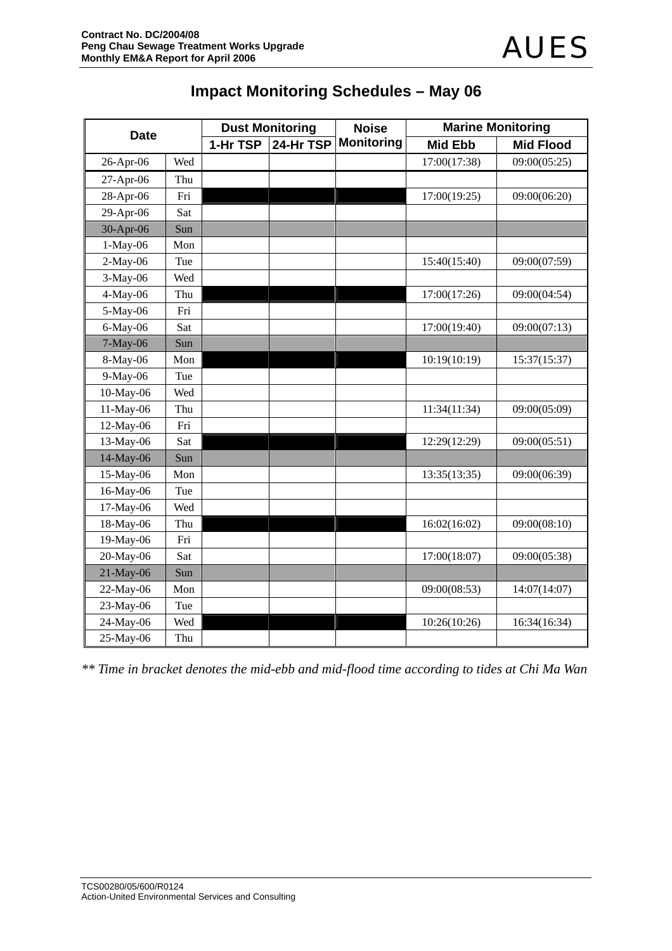| <b>Date</b> |     |          | <b>Dust Monitoring</b> | <b>Noise</b>      |                | <b>Marine Monitoring</b> |
|-------------|-----|----------|------------------------|-------------------|----------------|--------------------------|
|             |     | 1-Hr TSP | 24-Hr TSP              | <b>Monitoring</b> | <b>Mid Ebb</b> | <b>Mid Flood</b>         |
| 26-Apr-06   | Wed |          |                        |                   | 17:00(17:38)   | 09:00(05:25)             |
| 27-Apr-06   | Thu |          |                        |                   |                |                          |
| 28-Apr-06   | Fri |          |                        |                   | 17:00(19:25)   | 09:00(06:20)             |
| 29-Apr-06   | Sat |          |                        |                   |                |                          |
| 30-Apr-06   | Sun |          |                        |                   |                |                          |
| $1-May-06$  | Mon |          |                        |                   |                |                          |
| $2-May-06$  | Tue |          |                        |                   | 15:40(15:40)   | 09:00(07:59)             |
| 3-May-06    | Wed |          |                        |                   |                |                          |
| 4-May-06    | Thu |          |                        |                   | 17:00(17:26)   | 09:00(04:54)             |
| 5-May-06    | Fri |          |                        |                   |                |                          |
| 6-May-06    | Sat |          |                        |                   | 17:00(19:40)   | 09:00(07:13)             |
| 7-May-06    | Sun |          |                        |                   |                |                          |
| 8-May-06    | Mon |          |                        |                   | 10:19(10:19)   | 15:37(15:37)             |
| 9-May-06    | Tue |          |                        |                   |                |                          |
| 10-May-06   | Wed |          |                        |                   |                |                          |
| 11-May-06   | Thu |          |                        |                   | 11:34(11:34)   | 09:00(05:09)             |
| 12-May-06   | Fri |          |                        |                   |                |                          |
| 13-May-06   | Sat |          |                        |                   | 12:29(12:29)   | 09:00(05:51)             |
| 14-May-06   | Sun |          |                        |                   |                |                          |
| 15-May-06   | Mon |          |                        |                   | 13:35(13:35)   | 09:00(06:39)             |
| 16-May-06   | Tue |          |                        |                   |                |                          |
| 17-May-06   | Wed |          |                        |                   |                |                          |
| 18-May-06   | Thu |          |                        |                   | 16:02(16:02)   | 09:00(08:10)             |
| 19-May-06   | Fri |          |                        |                   |                |                          |
| 20-May-06   | Sat |          |                        |                   | 17:00(18:07)   | 09:00(05:38)             |
| 21-May-06   | Sun |          |                        |                   |                |                          |
| 22-May-06   | Mon |          |                        |                   | 09:00(08:53)   | 14:07(14:07)             |
| 23-May-06   | Tue |          |                        |                   |                |                          |
| 24-May-06   | Wed |          |                        |                   | 10:26(10:26)   | 16:34(16:34)             |
| 25-May-06   | Thu |          |                        |                   |                |                          |

# **Impact Monitoring Schedules – May 06**

*\*\* Time in bracket denotes the mid-ebb and mid-flood time according to tides at Chi Ma Wan*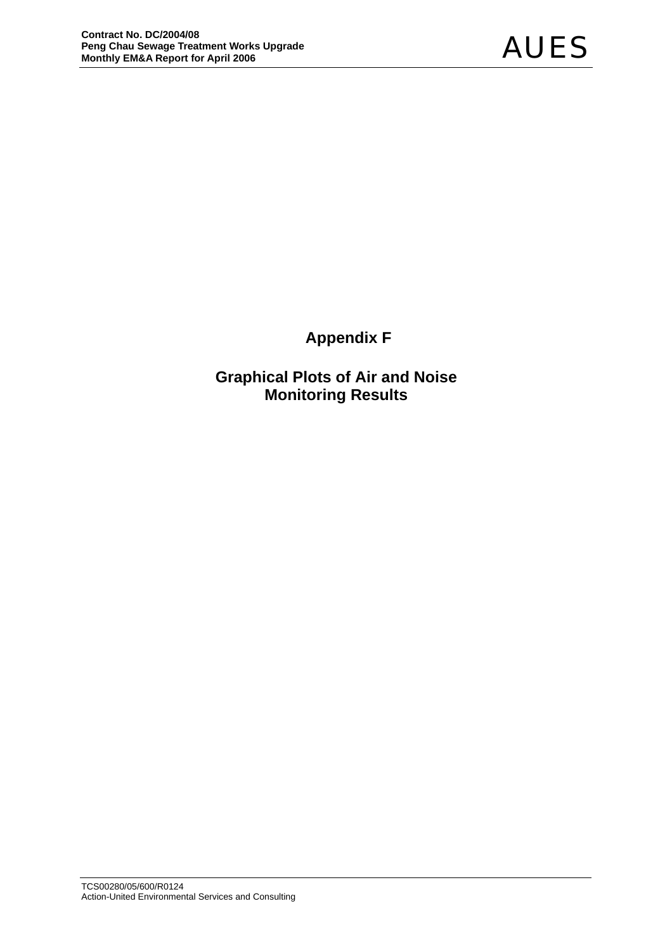**Appendix F** 

**Graphical Plots of Air and Noise Monitoring Results**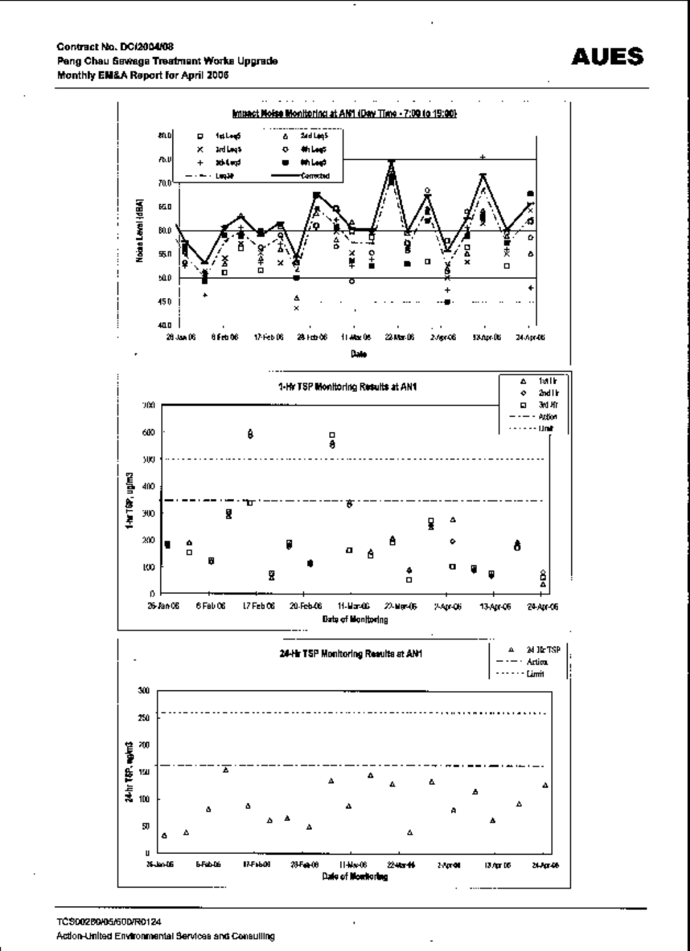# Contract No. DC/2004/08 Peng Chau Sawage Treatment Works Upgrade Monthly EM&A Report for April 2006



Date of Monitoring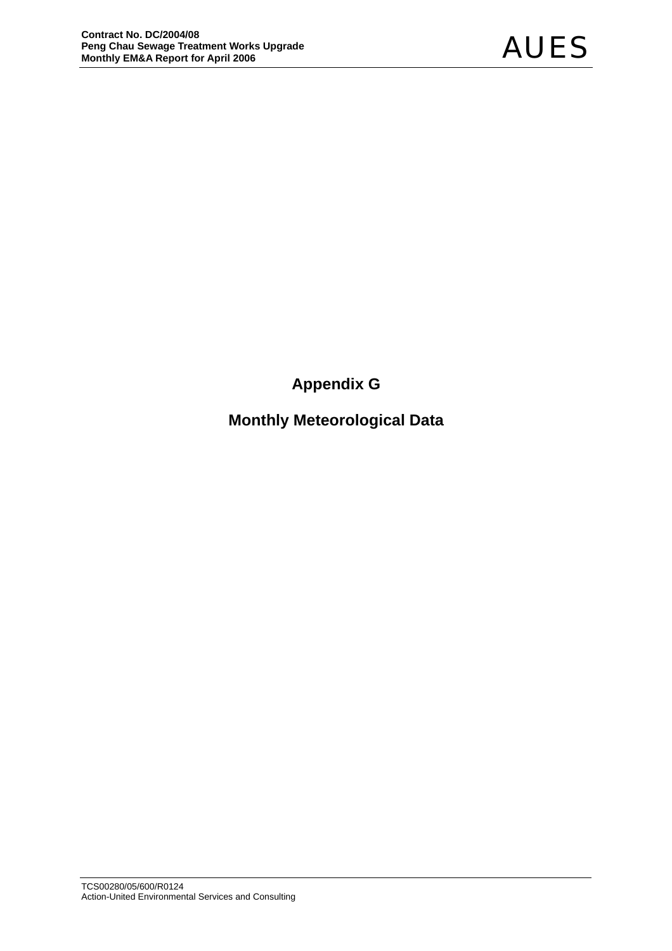**Appendix G** 

**Monthly Meteorological Data**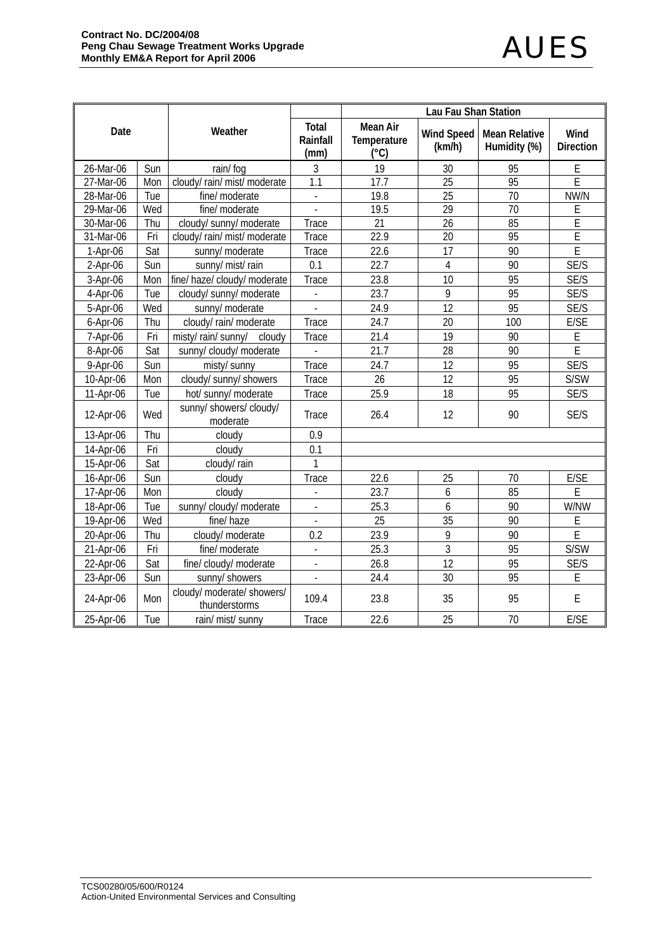|             |     |                                             |                           |                                 | Lau Fau Shan Station        |                                      |                          |
|-------------|-----|---------------------------------------------|---------------------------|---------------------------------|-----------------------------|--------------------------------------|--------------------------|
| Date        |     | Weather                                     | Total<br>Rainfall<br>(mm) | Mean Air<br>Temperature<br>(°C) | <b>Wind Speed</b><br>(km/h) | <b>Mean Relative</b><br>Humidity (%) | Wind<br><b>Direction</b> |
| 26-Mar-06   | Sun | rain/fog                                    | 3                         | 19                              | 30                          | 95                                   | E                        |
| 27-Mar-06   | Mon | cloudy/rain/mist/moderate                   | 1.1                       | 17.7                            | 25                          | 95                                   | Ē                        |
| 28-Mar-06   | Tue | fine/ moderate                              |                           | 19.8                            | $\overline{25}$             | $\overline{70}$                      | NW/N                     |
| 29-Mar-06   | Wed | fine/ moderate                              |                           | 19.5                            | $\overline{29}$             | 70                                   | E                        |
| 30-Mar-06   | Thu | cloudy/ sunny/ moderate                     | Trace                     | 21                              | $\overline{26}$             | 85                                   | Ē                        |
| 31-Mar-06   | Fri | cloudy/rain/mist/moderate                   | Trace                     | 22.9                            | $\overline{20}$             | 95                                   | E                        |
| 1-Apr-06    | Sat | sunny/ moderate                             | Trace                     | 22.6                            | 17                          | 90                                   | E                        |
| 2-Apr-06    | Sun | sunny/ mist/ rain                           | 0.1                       | 22.7                            | $\overline{4}$              | 90                                   | SE/S                     |
| 3-Apr-06    | Mon | fine/ haze/ cloudy/ moderate                | Trace                     | 23.8                            | 10                          | 95                                   | SE/S                     |
| 4-Apr-06    | Tue | cloudy/ sunny/ moderate                     |                           | 23.7                            | 9                           | 95                                   | SE/S                     |
| 5-Apr-06    | Wed | sunny/ moderate                             |                           | 24.9                            | 12                          | 95                                   | SE/S                     |
| $6$ -Apr-06 | Thu | cloudy/rain/moderate                        | Trace                     | 24.7                            | 20                          | 100                                  | E/SE                     |
| 7-Apr-06    | Fri | misty/rain/sunny/<br>cloudy                 | Trace                     | 21.4                            | 19                          | 90                                   | $E_{\parallel}$          |
| 8-Apr-06    | Sat | sunny/ cloudy/ moderate                     |                           | 21.7                            | 28                          | 90                                   | $\overline{E}$           |
| 9-Apr-06    | Sun | misty/ sunny                                | Trace                     | 24.7                            | 12                          | 95                                   | SE/S                     |
| 10-Apr-06   | Mon | cloudy/ sunny/ showers                      | Trace                     | 26                              | 12                          | 95                                   | S/SW                     |
| 11-Apr-06   | Tue | hot/ sunny/ moderate                        | Trace                     | 25.9                            | 18                          | 95                                   | SE/S                     |
| 12-Apr-06   | Wed | sunny/ showers/ cloudy/<br>moderate         | Trace                     | 26.4                            | 12                          | 90                                   | SE/S                     |
| 13-Apr-06   | Thu | cloudy                                      | 0.9                       |                                 |                             |                                      |                          |
| 14-Apr-06   | Fri | cloudy                                      | 0.1                       |                                 |                             |                                      |                          |
| 15-Apr-06   | Sat | cloudy/rain                                 | 1                         |                                 |                             |                                      |                          |
| 16-Apr-06   | Sun | cloudy                                      | Trace                     | 22.6                            | 25                          | 70                                   | E/SE                     |
| 17-Apr-06   | Mon | cloudy                                      | $\overline{\phantom{a}}$  | 23.7                            | 6                           | 85                                   | E                        |
| 18-Apr-06   | Tue | sunny/ cloudy/ moderate                     | $\frac{1}{2}$             | 25.3                            | 6                           | 90                                   | W/NW                     |
| 19-Apr-06   | Wed | fine/ haze                                  | ÷,                        | 25                              | 35                          | 90                                   | E                        |
| 20-Apr-06   | Thu | cloudy/ moderate                            | 0.2                       | 23.9                            | 9                           | 90                                   | Ē                        |
| 21-Apr-06   | Fri | fine/ moderate                              | $\overline{\phantom{a}}$  | 25.3                            | $\overline{3}$              | 95                                   | S/SW                     |
| 22-Apr-06   | Sat | fine/cloudy/moderate                        | $\overline{\phantom{a}}$  | 26.8                            | 12                          | 95                                   | SE/S                     |
| 23-Apr-06   | Sun | sunny/ showers                              | $\overline{a}$            | 24.4                            | 30                          | 95                                   | E                        |
| 24-Apr-06   | Mon | cloudy/ moderate/ showers/<br>thunderstorms | 109.4                     | 23.8                            | 35                          | 95                                   | E                        |
| 25-Apr-06   | Tue | rain/ mist/ sunny                           | Trace                     | 22.6                            | 25                          | 70                                   | E/SE                     |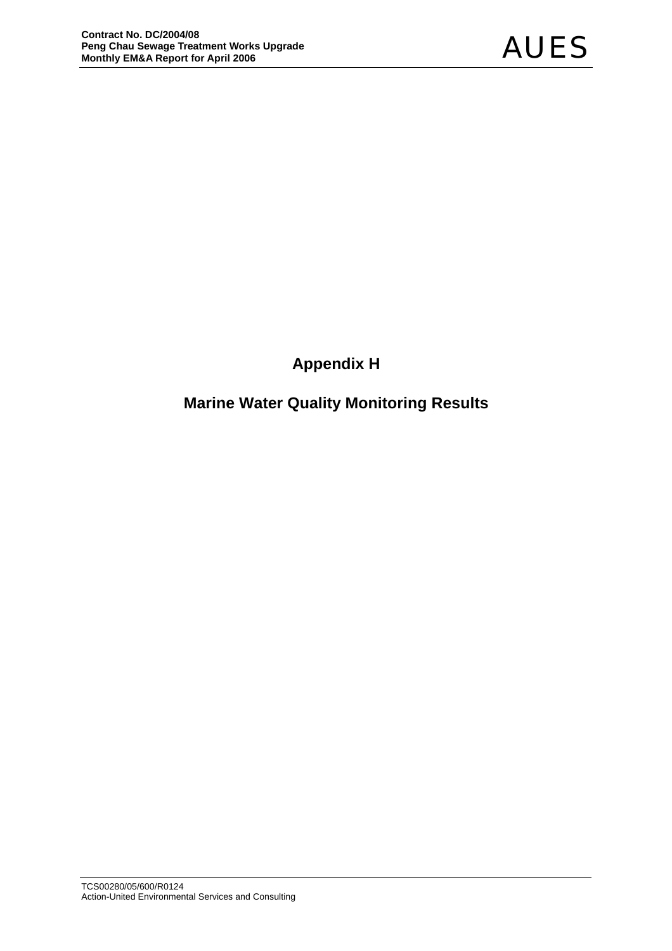**Appendix H** 

# **Marine Water Quality Monitoring Results**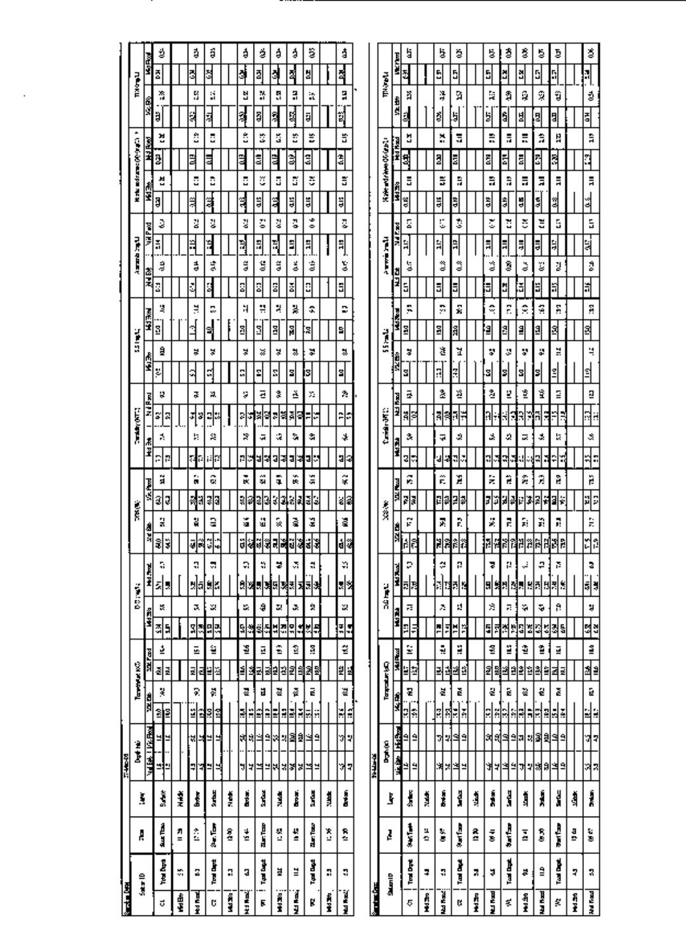| Ş<br>Ş<br>đ<br>ž<br>ý<br>ă<br>å<br>å<br>đ<br>KgRod<br>칰<br>ã<br>ā<br>ā<br>ž<br>ā<br>ä<br>ă<br>ā<br>计算符<br>K<br>÷,<br>ă<br>3<br>×<br>법<br>3<br>ä<br>h<br>S.<br>ij<br>뎨<br>ä<br>ğ<br>ą<br>ŋ<br>g<br>я<br>g<br>۸<br>ô<br>õ<br>õ<br>B<br>Ë<br>켬<br>ō<br>s<br>ă<br>Note and not consider that<br>N. Pod<br>3<br>3<br>ð<br>B<br>ã<br>3<br>õ<br>쳔<br>ô<br>ō<br>ã<br>õ<br>ã<br>Ξ<br>ã<br><u>ката</u><br>ă<br>ã<br>â<br>Ë<br>ã<br>ã<br>Ę<br>÷<br>ð<br>y<br>t,<br>Ų<br>y<br>ā<br>Į,<br>Ş<br>医生产<br>۰<br>医皮肤病<br>ă<br>E<br>ă<br>٩<br>å<br>Ę<br>Ξ<br>E<br>â<br>ã<br>g<br>ã<br>â<br>ä<br>å<br>å<br>š<br>酸氢<br>Z<br>J<br>S<br>Ø<br>Ξ<br>Ξ<br>Ξ<br>2<br>š<br>ş<br>H<br>ä<br>Ą<br>ă<br>ä<br>٥<br>۵<br>¢,<br>医尿道<br>ŧ<br>ð<br>3<br>3<br>ã<br>Ñ<br>S<br>۹<br>3<br>i<br>S<br>â<br>¥<br>ž<br>¥<br>¥<br>款<br>¥<br>J,<br>≋<br>ki∄e<br>ę.<br>S<br>3<br>3<br>q<br>Ī<br>з<br>G<br>\$<br>A<br>ě<br>ā<br>u<br>Ŧ<br>Ж.<br>Ş<br>×<br>医三叉<br>is and the first of the<br>ā<br>ă<br>፦<br>5<br>Z<br>3<br>⊒<br>Ы<br>в<br>э<br>в<br>Ţ<br>R<br>E<br>ŧ,<br>ż<br>×<br>ŵ<br>s,<br>s,<br>Þ.<br>4<br>ū<br>赤圣<br>P<br>리리<br>ā<br>IJ<br>3<br>п<br>P<br>a<br>Ğ<br>J<br>ă<br>з<br>j.<br>34<br>ã<br>ä<br>ã<br>ă<br>ş<br>a<br>ŵ.<br>ī<br>B,<br>ya fiya<br>ą<br>š<br>h<br>ä<br>I<br>3<br>¥<br>ä<br>k<br>ş,<br>ŵ<br>3<br>з<br>ë<br>Β<br>¥<br>J<br>ě<br>ä<br>ä<br>ä<br>э<br>ă<br>ä<br>2<br>š<br>š<br>創開<br>ŝ<br>ũ<br>ũ<br>ä.<br>alë<br>윏<br>ä<br>ø<br>E.<br>ñ<br>ņ<br>Ģ<br>¥<br>ā<br>₹<br>a<br>ņ<br>₹<br>li<br>1<br>∄ॄ<br>e x<br>뵈ā<br>빏<br>최<br>제<br>ā<br>國頭<br>퇴폐좌회<br>i.<br>Ba<br>9<br>2<br>×,<br>×,<br>J.<br>×<br>а<br>Ľ,<br>J.<br>Î<br>Ŧ<br>짂<br>믂<br>치리<br>à<br>E<br>Ę<br>3<br>뎳<br>팈<br>\$<br>ŝ<br>네즈<br>å,<br>B<br>ã<br>ÿ<br>ė<br>î<br>ê<br>ă<br>결<br>ē<br>Ø<br><b>Ballad</b><br>Territorial MG<br>S<br>Ø<br>턯<br>빍<br>ģ<br>Í<br>g<br>ē<br>회원<br>5<br>ē<br>ÿ<br>ě<br>ā<br>⋑<br>ē<br>로<br>š<br>ĕ<br>ë<br>ş,<br>ŭ<br>ē<br>쿟<br>교<br>ē<br>i<br>Bi<br>2<br>ě<br>ê<br>ä<br>ã<br>ã<br>ă<br>ě<br>ö<br>š<br>š<br>ÿ<br>ê<br>ē<br>ē<br>₽<br>∍<br>i,<br>Nalike Livic Bool<br>â<br>Ŕ<br>9<br>3<br>9<br>ᅼ<br>٣ļ<br>ц<br>÷<br>¥<br>ᅼ<br>۵<br>ᅼ<br>∃<br>M<br>ŋ<br>X<br>ì<br>Ľ<br>Ë<br>¥<br>¥<br>¥<br>븨<br>녝<br>J<br>ᅼ<br>ᅼ<br>I<br>7<br>ņ<br>붜<br>¥<br>7<br>Í<br>Ì<br>į<br>İ<br>İ<br>Ĭ<br>Š<br>ś<br>Ĭ<br>ł<br>ļ<br>ij<br>Ì,<br>a<br>Nati<br>a<br>J<br>i<br>A<br>自有<br>Ë<br>1<br>=<br>ŝ<br>î<br>ś⊭<br>t.<br>Š<br>Â<br>Ĥ<br>Taylor Bay<br>Taylor Day's<br>计目<br>≝<br>ă<br>÷,<br>Z<br>R<br>a<br>R<br>R | 医皮肤 |  | 2144-10 |  |  |  |  |  |  |  |  |  |  |  |  |  |  |  |
|--------------------------------------------------------------------------------------------------------------------------------------------------------------------------------------------------------------------------------------------------------------------------------------------------------------------------------------------------------------------------------------------------------------------------------------------------------------------------------------------------------------------------------------------------------------------------------------------------------------------------------------------------------------------------------------------------------------------------------------------------------------------------------------------------------------------------------------------------------------------------------------------------------------------------------------------------------------------------------------------------------------------------------------------------------------------------------------------------------------------------------------------------------------------------------------------------------------------------------------------------------------------------------------------------------------------------------------------------------------------------------------------------------------------------------------------------------------------------------------------------------------------------------------------------------------------------------------------------------------------------------------------------------------------------------------------------------------------------------------------------------------------------------------------------------------------------------------------------------------------------------------------------------------------------------------------------------------------------------------------------------------------------------------------------------------------------------------------------------------------------------------------------------------------------------------------------------------------------------------------------------------------------------------------------------------------------------------------------------------------------------------------------------------------------------------------|-----|--|---------|--|--|--|--|--|--|--|--|--|--|--|--|--|--|--|
|                                                                                                                                                                                                                                                                                                                                                                                                                                                                                                                                                                                                                                                                                                                                                                                                                                                                                                                                                                                                                                                                                                                                                                                                                                                                                                                                                                                                                                                                                                                                                                                                                                                                                                                                                                                                                                                                                                                                                                                                                                                                                                                                                                                                                                                                                                                                                                                                                                            | j   |  |         |  |  |  |  |  |  |  |  |  |  |  |  |  |  |  |
|                                                                                                                                                                                                                                                                                                                                                                                                                                                                                                                                                                                                                                                                                                                                                                                                                                                                                                                                                                                                                                                                                                                                                                                                                                                                                                                                                                                                                                                                                                                                                                                                                                                                                                                                                                                                                                                                                                                                                                                                                                                                                                                                                                                                                                                                                                                                                                                                                                            |     |  |         |  |  |  |  |  |  |  |  |  |  |  |  |  |  |  |
|                                                                                                                                                                                                                                                                                                                                                                                                                                                                                                                                                                                                                                                                                                                                                                                                                                                                                                                                                                                                                                                                                                                                                                                                                                                                                                                                                                                                                                                                                                                                                                                                                                                                                                                                                                                                                                                                                                                                                                                                                                                                                                                                                                                                                                                                                                                                                                                                                                            | 基基  |  |         |  |  |  |  |  |  |  |  |  |  |  |  |  |  |  |
|                                                                                                                                                                                                                                                                                                                                                                                                                                                                                                                                                                                                                                                                                                                                                                                                                                                                                                                                                                                                                                                                                                                                                                                                                                                                                                                                                                                                                                                                                                                                                                                                                                                                                                                                                                                                                                                                                                                                                                                                                                                                                                                                                                                                                                                                                                                                                                                                                                            |     |  |         |  |  |  |  |  |  |  |  |  |  |  |  |  |  |  |
|                                                                                                                                                                                                                                                                                                                                                                                                                                                                                                                                                                                                                                                                                                                                                                                                                                                                                                                                                                                                                                                                                                                                                                                                                                                                                                                                                                                                                                                                                                                                                                                                                                                                                                                                                                                                                                                                                                                                                                                                                                                                                                                                                                                                                                                                                                                                                                                                                                            |     |  |         |  |  |  |  |  |  |  |  |  |  |  |  |  |  |  |
|                                                                                                                                                                                                                                                                                                                                                                                                                                                                                                                                                                                                                                                                                                                                                                                                                                                                                                                                                                                                                                                                                                                                                                                                                                                                                                                                                                                                                                                                                                                                                                                                                                                                                                                                                                                                                                                                                                                                                                                                                                                                                                                                                                                                                                                                                                                                                                                                                                            |     |  |         |  |  |  |  |  |  |  |  |  |  |  |  |  |  |  |
|                                                                                                                                                                                                                                                                                                                                                                                                                                                                                                                                                                                                                                                                                                                                                                                                                                                                                                                                                                                                                                                                                                                                                                                                                                                                                                                                                                                                                                                                                                                                                                                                                                                                                                                                                                                                                                                                                                                                                                                                                                                                                                                                                                                                                                                                                                                                                                                                                                            |     |  |         |  |  |  |  |  |  |  |  |  |  |  |  |  |  |  |
|                                                                                                                                                                                                                                                                                                                                                                                                                                                                                                                                                                                                                                                                                                                                                                                                                                                                                                                                                                                                                                                                                                                                                                                                                                                                                                                                                                                                                                                                                                                                                                                                                                                                                                                                                                                                                                                                                                                                                                                                                                                                                                                                                                                                                                                                                                                                                                                                                                            |     |  |         |  |  |  |  |  |  |  |  |  |  |  |  |  |  |  |
|                                                                                                                                                                                                                                                                                                                                                                                                                                                                                                                                                                                                                                                                                                                                                                                                                                                                                                                                                                                                                                                                                                                                                                                                                                                                                                                                                                                                                                                                                                                                                                                                                                                                                                                                                                                                                                                                                                                                                                                                                                                                                                                                                                                                                                                                                                                                                                                                                                            |     |  |         |  |  |  |  |  |  |  |  |  |  |  |  |  |  |  |
|                                                                                                                                                                                                                                                                                                                                                                                                                                                                                                                                                                                                                                                                                                                                                                                                                                                                                                                                                                                                                                                                                                                                                                                                                                                                                                                                                                                                                                                                                                                                                                                                                                                                                                                                                                                                                                                                                                                                                                                                                                                                                                                                                                                                                                                                                                                                                                                                                                            |     |  |         |  |  |  |  |  |  |  |  |  |  |  |  |  |  |  |
|                                                                                                                                                                                                                                                                                                                                                                                                                                                                                                                                                                                                                                                                                                                                                                                                                                                                                                                                                                                                                                                                                                                                                                                                                                                                                                                                                                                                                                                                                                                                                                                                                                                                                                                                                                                                                                                                                                                                                                                                                                                                                                                                                                                                                                                                                                                                                                                                                                            |     |  |         |  |  |  |  |  |  |  |  |  |  |  |  |  |  |  |
|                                                                                                                                                                                                                                                                                                                                                                                                                                                                                                                                                                                                                                                                                                                                                                                                                                                                                                                                                                                                                                                                                                                                                                                                                                                                                                                                                                                                                                                                                                                                                                                                                                                                                                                                                                                                                                                                                                                                                                                                                                                                                                                                                                                                                                                                                                                                                                                                                                            |     |  |         |  |  |  |  |  |  |  |  |  |  |  |  |  |  |  |
|                                                                                                                                                                                                                                                                                                                                                                                                                                                                                                                                                                                                                                                                                                                                                                                                                                                                                                                                                                                                                                                                                                                                                                                                                                                                                                                                                                                                                                                                                                                                                                                                                                                                                                                                                                                                                                                                                                                                                                                                                                                                                                                                                                                                                                                                                                                                                                                                                                            |     |  |         |  |  |  |  |  |  |  |  |  |  |  |  |  |  |  |
|                                                                                                                                                                                                                                                                                                                                                                                                                                                                                                                                                                                                                                                                                                                                                                                                                                                                                                                                                                                                                                                                                                                                                                                                                                                                                                                                                                                                                                                                                                                                                                                                                                                                                                                                                                                                                                                                                                                                                                                                                                                                                                                                                                                                                                                                                                                                                                                                                                            |     |  |         |  |  |  |  |  |  |  |  |  |  |  |  |  |  |  |

| $\frac{1}{2}$ |             |         |    | <b>Relieve</b>  |   |    |              |             |    |    |                |   |        |    |    |    |      |         |   |        |            |   |        |        |         |        |   |   |        |   |           |         |   |
|---------------|-------------|---------|----|-----------------|---|----|--------------|-------------|----|----|----------------|---|--------|----|----|----|------|---------|---|--------|------------|---|--------|--------|---------|--------|---|---|--------|---|-----------|---------|---|
|               | j           | ļ       | ţ  | e<br>B          |   |    | Turpular (C) |             |    |    | 计算法            |   |        | 意發 |    |    | 3月4日 |         |   |        | i<br>Sirak |   |        | 医皮肤炎   |         |        |   |   |        |   | TN JANKIT |         |   |
|               |             |         |    | yirtén Infaltas |   | đ, |              | <b>Read</b> |    | Î  | <b>Halland</b> |   | e<br>R |    | 꾁  | Î  |      | 计数字     |   | á<br>K |            | š | a<br>E |        | n<br>E  |        | Í |   | n<br>E | ē | â         | I<br>Si |   |
|               |             | i<br>I  |    | 9               | 9 | P  | Z            | ê<br>y      | 뙤  | ā  | ₽              | Ŕ | P      | 7  | Ø  | 기자 | 3.   | ā       | 3 | ¥      | 3          | Ā | 5      | Ë<br>ä | S       | g      | ã | ۹ | ă      | ģ | ă         | ž       | ä |
| 5             | Ĭ           |         | į  | 9               | 9 | ħ  |              | 쳗           | F  |    | ؋              | F |        | E  |    |    |      | 봬       |   |        |            |   |        |        |         |        |   |   |        |   |           |         |   |
|               |             |         |    |                 |   |    |              |             |    |    |                |   |        |    |    |    |      |         |   |        |            |   |        |        |         |        |   |   |        |   |           |         |   |
| i<br>1        | 7           | io<br>≏ | j  |                 |   |    |              |             |    |    |                |   |        |    |    |    |      |         |   |        |            |   |        |        |         |        |   |   |        |   |           |         |   |
|               |             | š       |    | :¥              | J | š  | ĕ            | ā<br>Ā      | ē  | Z, | ă              |   | ī.     | ŀ  | Ê, | J  | ⋥    | 2<br>ą  | R | Ž      | 3          | ħ | 5      | ã      | t<br>ä  | ă      | õ | g | ă      | đ | ă         | 5       | ä |
| al<br>Ba      | ą           |         | Í  | ×               | ¥ | Ñ  |              | 궳           | Ξ  |    | 95             |   |        | Þ  |    | 4  |      | ß       |   |        |            |   |        |        |         |        |   |   |        |   |           |         |   |
|               |             |         |    | 3               |   | ā  |              | 쉌           | 비  |    | ā s            |   | Ē.     | 의⊉ | ě  | 끠  | Q    | ä<br>F. | 쮜 | ĭ      | 볭          | Z | 3      | ᅨ<br>ã |         | 日<br>t |   | ź | ã      | 뵈 | ã         | 5       | ă |
| Ķ             | Ĭ           | ţ       | İ  | ᅼ               | 9 | Ā  | ē            | ă<br>g      | ř  | I. | P              |   |        |    |    | ă  |      | ۳       |   |        |            |   |        |        |         |        | ã |   |        |   |           |         |   |
| i<br>1        | z           | 2       | j  |                 |   |    |              |             |    |    |                |   |        |    |    |    |      |         |   |        |            |   |        |        |         |        |   |   |        |   |           |         |   |
|               |             |         |    |                 |   |    |              |             |    |    |                |   |        |    |    |    |      |         |   |        |            |   |        |        |         |        |   |   |        |   |           |         |   |
|               |             | Ī       |    | ۹               | R | F  | 실            | 옾<br>회      | 5  | ż  | 7<br>테         | Ñ | ý.     | 7  | ş  | ╗  | پڻ   | å<br>a  | 3 | ¥      | 9          | ¢ | 5      | ž      | J<br>E  | å      | â | ξ | Ē      | 5 | ä         | 5       | 5 |
| 星立            | J           |         | Í  | 4               | ą | Ã  |              | 텷           | Ē  |    | Ŕ              |   |        | ÷, |    |    |      | ŀ       |   |        |            |   |        |        |         |        |   |   |        |   |           |         |   |
| ç             |             | ţ       | j  | ≌               |   |    | 2            | ă<br>護      |    | π  | μ<br>H         |   | 2      | ¥  | ê  | 걲  | ٥    | 2<br>ä, | 3 | IJ,    | 2          | Ξ | ä      | 8      | đ<br>ᆿ  | å      | ã | š | ã      | â | Ã         | ă       | â |
|               | i<br>Billia |         |    | 9               | 9 | Ä  |              | 9           | ř, |    | Ŋ              |   |        | Þ  |    | a  |      | 3       |   |        |            |   |        |        |         |        |   |   |        |   |           |         |   |
| 异星            | ä           | 3       |    | ŋ               | a | R  | ë            | ê<br>2      | S  | ş. | į.             |   | R      | Ë  | ê  | H  | 긊    | Ž<br>R  | 3 | ¥      | 9          | Ř | ã      | ă      | õ<br>퉤  | ă      | Ξ | ź | m      | 빙 | ş         | ğ       | ŝ |
|               |             |         | ij | ¥               | ų | ā  |              | ů           | š  |    | 태              |   |        | Ĵ. |    |    |      | ř       |   |        |            |   |        |        |         |        |   |   |        |   |           |         |   |
| 星星            | Ê           | ŝ       | ĺ  | 벾               | S | E  | 실            | î<br>횕      | J, | ъ  | 규<br>뉇         |   | ř,     | 2  | Ž  | 끆  | J.   | Î<br>ã  | S | ä      | ₫          | ą | õ      | ğ      | ā       | 틔<br>ă | ã | š | â      | ã | Ş         | 5       | 5 |
|               |             |         |    | Э               | ą | ė  |              | ĝ           | ă  |    |                |   |        | ١÷ |    | F  |      | ē       |   |        |            |   |        |        |         |        |   |   |        |   |           |         |   |
| £             |             | l<br>T  | å  | É               | 3 | A  | ē            | ē<br>₫      | 칰  | ß  | ē<br>۱.        |   | ī,     | 마. | ě  | ₽  | k    | Ξ       | 9 | ă      | 회          | Ã | ñ      | y      | S<br>å  | 옠      | ă | Ŗ | N      | 퇘 | ŷ         | h       | Б |
|               | i<br>I      |         |    | 9               | 9 | ě  |              | ē           | Ś  |    |                |   |        |    |    | ۳  |      | Ē       |   |        |            |   |        |        |         |        |   |   |        |   |           |         |   |
|               |             | 3       | j  |                 |   |    |              |             |    |    |                |   |        |    |    |    |      |         |   |        |            |   |        |        |         |        |   |   |        |   |           |         |   |
| 青玉            | 7           |         |    |                 |   |    |              |             |    |    |                |   |        |    |    |    |      |         |   |        |            |   |        |        |         |        |   |   |        |   |           |         |   |
| Į             | Z           | i.<br>B | Í  | ×               | 3 |    | ú            | 3<br>Ź.     | S  | ų  | 3<br>          |   | B      | 빏  | Ã  |    | ż    | 교<br>M  | ŝ | ă      | g          | Ã | ă      | Ź      | 5<br>ધં | ۮ      | ã | ŋ | â      | 겸 | ģ         | H       | Ś |
|               |             |         |    | 2               | 7 | ä  |              | ģ           | ğ  |    | Ŋ              | ů |        | ς  |    | R  |      | H       |   |        |            |   |        |        |         |        |   |   |        |   |           |         |   |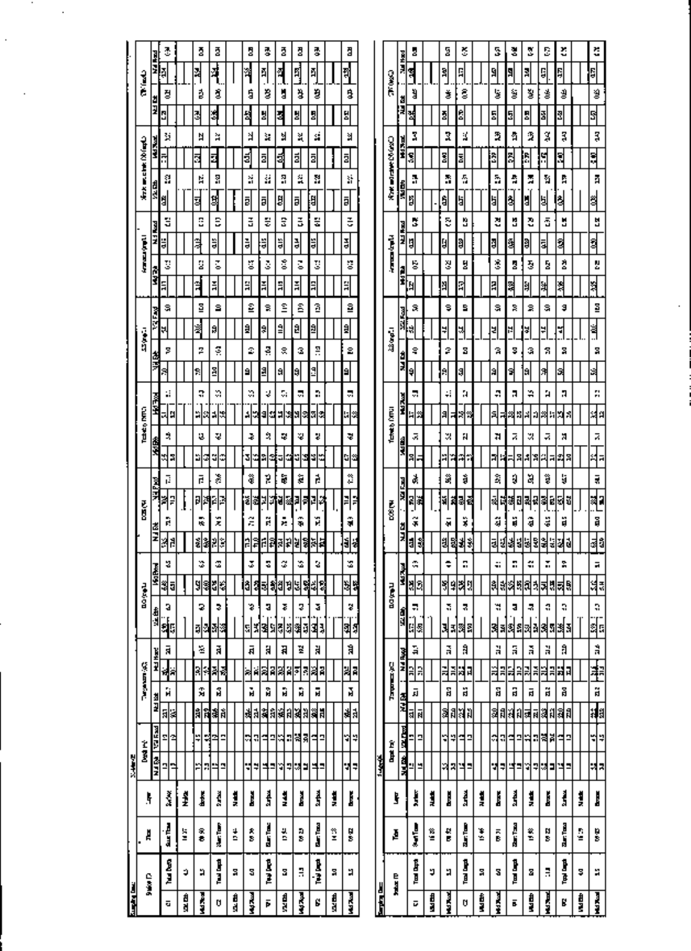|            |                      |                        | Ŧ       |    | ā      | ā      |          | 2       | 쿦        | ā          | ā           | 콩        |          | ā              |              |                       | ż        |          | 2             | č        |        | S       | š      | š      | Β       | ċ                |          | Ğ           |
|------------|----------------------|------------------------|---------|----|--------|--------|----------|---------|----------|------------|-------------|----------|----------|----------------|--------------|-----------------------|----------|----------|---------------|----------|--------|---------|--------|--------|---------|------------------|----------|-------------|
|            |                      | lai<br>Bi              | Ā       |    | ł      | 곅      |          | ł       | 췍        | 1          | 1           | Ŋ        |          | ويوبا          |              | <b>Said Hard</b>      | ទី       |          | ᅨ             | Ę        |        | Å       | ᅨ      | X      | 톄       | S                |          | 47          |
|            | ە<br>ئا              |                        | 청       |    | å      | Î      |          | â       | 3        | ä          | ä           | ğ        |          | \$             | S<br>6       | ä                     | ÿ        |          | ž             | ŝ        |        | ë       | ÿ      | š      | Š       | Ý                |          | Ý           |
|            |                      | 설질                     | 3       |    | 최      | 쒴      |          | 쉨       | 뵈        | ā          | 뵈           | 2        |          | 붬              |              | Þ                     | -88      |          | 3             | Ŝ        |        | 5       | 5      | ă      | 죄       | Ī.               |          | B.          |
|            |                      |                        | Þ       |    | Ħ      | ă      |          | ă       | à,       | 뉔          | 쓏           | \$       |          | N              |              |                       | Ĩ,       |          | Ĩ,            | ä,       |        | 3       | 츕      | Э      | g       | Ş                |          | Ş           |
|            | first accent (Xilad) | <b>MARK</b>            | 덖       |    | ₹      | E      |          | Í       | 회        | 췍          | 뎨           | ā        |          | 회              | つきのうち あませる   | 프로개                   | Ş        |          | š             | Ī        |        | ē       | 톄      | Þ      | 9       | q                |          | 톅           |
|            |                      |                        | Ŷ,      |    | N      | ş      |          | ă       | ä        | 꼮          | ã           | ş.       |          | ት              |              |                       | ÷,       |          | ÷,            | 쯟        |        | S,      | ř,     | ÷,     | ň       | Å                |          | Ā           |
|            |                      | 医性                     | ᅨ       |    | 뒉      | 홰      |          | ā       | 톄        | 녧          | 톄           | ial<br>I |          | ā              |              | fill<br>Said          | þ        |          | Ĵ,            | ä        |        | ä       | รุ     | u      | 눽       | M                |          | Ħ           |
|            |                      |                        | S       |    | Ξ      | θ      |          | E       | 등        | 3          | 3           | ÷        |          | Ğ              |              |                       | š        |          | Ş             | 9        |        | đ       | ă      | ã      | ő       | ă                |          | ä           |
|            |                      | <b>N.S. Road</b>       | ij,     |    | 하      | å      |          | ă       | äis      | â          | 레           | 쁿        |          | ᆌ              |              | 医肾炎                   | ij       |          | 뎨             | ą        |        | ą       | эļ     | 9      | 톄       | 웡                |          | 3           |
|            | 医多种性皮炎               |                        | Ţ,      |    | g      | Z,     |          | ă       | š        | ŝ          | Š           | Ţ,       |          | ť.             |              |                       | ş        |          | ğ             | 텅        |        | ŝ       | 3      | 5      | ā       | Ż                |          | Å           |
|            |                      | l.                     | 듸       |    | ╡      | 킈      |          | 띜       | ă        | E          | 티           | 듸        |          | 테              |              | i i bil               | þ,       |          | E             | E        |        | E       | 혞      | þ      | 눾       | Ħ                |          | Ħ           |
|            |                      | đ                      | S       |    | ã      | s      |          | ê       | R        | Ê          | S           | 3        |          | 율              |              |                       | з        |          | \$            | s        |        | s       | 8      | з      | э       | э                |          | ě           |
|            |                      | ġ                      | 눼       |    | ᅨ      | э      |          | ĝ       | 의        | 9          | 톄           | 희        |          | 회              |              | 图<br>科                | Þ        |          | $\frac{1}{2}$ | 눽        |        | 넏       | ř      | ¥      | 뵈       | ĭ                |          | ð.          |
|            | i<br>Si              | ă                      | β       |    | z      | Ş.     |          | Φ       | ą        | s.         | з           | ä        |          | S              | is<br>Ma     |                       | ş        |          | 2             | 3        |        | з       | ş      | з      | Я       | S                |          | S           |
|            |                      | F                      | я       |    | 科      | 즤      |          | ۹       | 녴        | a          | ы           | ⊴        |          | ۹              |              | Î                     | ş        |          | a             | g        |        | a       | 얽      | 1a     | 챼       | я                |          | 녴           |
|            |                      |                        | H       |    | R      | a      |          | ø,      | г        | ç,         | v,          | n        |          | ন              |              |                       | ÷,       |          | ÷             | я        |        | ÷       | п      | ă      | я       | п                |          | H           |
|            |                      | 開始                     | E<br>궈  |    | 웨어     | 챼      |          | 세계      | 의적       | lsl<br>E   | ঋ≉          | 폐역       |          | 비행             |              | <b>HERM</b>           | ᄈ        |          | 9<br>E        | খখ       |        | Ã<br>E  | ≋      | 짜<br>a | 쒜<br>h  | þ<br>ă,          |          | ۹đ          |
|            | Tekėo MTO            | ₫,                     | 2       |    | u      | ¥      |          | з       | 2        | L,         | ¥           | ¥        |          | ¥              | fette (Xing) | é.                    | ā        |          | X             | н        |        | Ħ       | z      | X      | 3       | X,               |          | Z           |
|            |                      |                        | ¤la     |    | 이제     | খ≎     |          | 직적      | 비격기      | ø          | 93          | 봐        |          | 53             |              |                       | 3<br>⊫   |          | ۶<br>ă        | 혜<br>Ħ   |        | Þ<br>И  | F,     | 계차     | 4<br>F  | l¤ ≅             |          | 持           |
|            |                      | <u>vers</u>            | ē       |    | Ē      | ě      |          | ê       | P        | i,         | ê           | Ŕ        |          | ã              |              | n<br>Ka               | ð.       |          | ä             | â        |        | ŝ,      | 9      | ă      | ã       | ij               |          | ą           |
|            | e<br>B               |                        | 하리      |    | 習      | 얉      |          | 뙮       | 계기       | k<br>ŭ     | 非           | Z<br>Þ   |          | 申              | es<br>S      |                       | ł<br>E   |          | ă<br>E        | 링력       |        | 혜택      |        | 쳐메화의   | 켴<br>é  | 덝<br>ä,          |          | มุ่ม        |
|            |                      | M N                    | Ĥ       |    | ā      | ž      |          | ã       | Ã        | ×          | ş           | ĭ.       |          | ş              |              | ti<br>R               | Ş        |          | ā             | ŝ        |        | ij      | ij     | ą      | å       | ij               |          | ã           |
|            |                      |                        | 컒       |    | ᇸ      | 閣      |          | 워       | 녜        |            | 비해해         | 벾        |          | 非              |              |                       | ᅨ        |          | 비행위           | \$,      |        | 비해      |        | 해취하    |         | 均화               |          | E           |
|            |                      | <b>KaBkel</b>          | ¥,      |    | X,     | z      |          | 3       | z        | ٥          | Ğ,          | s,       |          | ¥,             |              | <b>NEW</b>            | G        |          | ÷             | Ξ        |        | ÷       | ÷      | ÷      | ÷       | Å                |          | н           |
|            | <b>Liekion</b>       |                        | 혜희      |    |        | 왜해치    |          | 閰       |          | 티헤헤레       |             | 티려치의     |          | 뼦              | さきる          |                       | 豪        |          |               | 의해       |        | â<br>렊  |        | প্ৰগ্ন |         | 변설               |          | 編           |
|            |                      | 幽海                     | a       |    | з      | ₹      |          | э       | a        | 3          | 3           | ā        |          | ş              |              | i<br>Bi               | W        |          | ā             | Z        |        | ۳       | a      | 3      | я       | a                |          | ą           |
|            |                      |                        | i.      |    | 해      | 酮      |          | ĭ<br>곍  | З        | ğ<br>뼦     | l≋∥ā        | 閗        |          | 예회             |              |                       | ij.      |          |               | 계좌형      |        | 켺       | গ্ৰ    |        |         | [ <b>최</b> 화경희경화 |          | E.          |
|            |                      | 医性质                    | ā       |    | ě      | Ã      |          | ā       | ä        | Ħ          | 젍           | ă        |          | å              |              | <b>Na Red</b>         | ā        |          | ã             | å        |        | ă       | ā      | ã      | ă       | â                |          | å           |
|            | Salamadan.           |                        | 뺶       |    | 剛      | 혜      |          | Ħ       | 예약       | 예비         | 탄           | 예레       |          | ᆥ              | 医肾上腺         |                       | 31.<br>R |          | 눠             | 非한       |        | 늲<br>F  | 텨<br>R | 긙<br>ă | 붜<br>H  | 붜                |          | 制品          |
|            |                      | 医肾                     | Ĥ       |    | ĵ,     | å      |          | Ň       | Ñ        | Ĥ          | Ĥ           | H,       |          | Ž,             |              | 医足                    | ū        |          | អ៊ូ           | ដ        |        | å       | H      | Ħ      | ដ       | ដូ               |          |             |
|            |                      |                        | 뺴       |    | 瞷      | l≸ ã∣  |          |         | 혂뷔혉뵝형빙형կ |            |             | 혜비       |          | 뺽              |              |                       | ā<br>Ā   |          | ≋             | 11월<br>Ň |        | ≋<br>đ  | M      | 혜      | 혜<br>ជុ | ¦a a             |          | đ           |
|            |                      |                        | Σ<br>1ª |    | 1<br>÷ | 더<br>Ŧ |          | 긲<br>덖  | ≔        | 막위         | ā<br>매력     | El<br>믜  |          | 4<br>¥         |              |                       | E<br>믜   |          | H             | 위역<br>ョ  |        | a<br>귀  | ╕      | 마타     | 과학계     | ╕<br>в           |          | 변체          |
| $2.44 - 4$ | î<br>Beri            | ल्क्टप्रहरा क्षेत्र हस | ~<br>Ξ  |    | ŗ,     | ≝<br>E |          | 4<br>¥  | E<br>4   | M          | 뭬<br>비      | 2<br>Е   |          | 계리             | Î<br>14eres  | <b>Nellas Luzines</b> | 9        |          | Þ<br>궤        | Ε<br>킈   |        | Ŧ,<br>귀 | \$3    | ٦      | 뭐예      | 캬<br>Ξ           |          | Ħ           |
|            | ŗ                    |                        | Š       | į  | ł      | ļ      | ļ        | I       | ł        | ÿ          | ł           | ł        | Į        | ľ              |              | ţ                     | ţ        | Į        | Į             | Í        | į      | ľ       | Í      | ţ      | ľ       | Í                | Į        | Į           |
|            | Ă                    |                        | a<br>al | ä  | 家老     | i<br>J | t        | ŝ       | n<br>Si  | š.         | ្ល          | a<br>Si  | Î        | u<br>S         | Ā            |                       | Į        | ê        | 흫             | a<br>Ni  | š      | š       | an Tao | ŝ      | n<br>S  | Zur, Text<br>M   | ê        | å           |
|            |                      |                        |         |    |        |        |          |         |          |            |             |          |          |                |              |                       |          |          |               |          |        |         |        |        |         |                  |          |             |
| an an I    | C<br>Saint           |                        | e<br>J  | ¢  | n      | l      | S        | 2       | l        | s          | E           | la pa    | S        | ٦              | a<br>Fil     | n<br>M                | 计目       | ŋ        | Ľ,            | l        | S      | s       | l      | z      | Ę       | ļ                | 3        | N           |
|            |                      |                        | ū       | 自引 | š      | Ũ      | tê<br>Si | la<br>S | ē        | 여행<br>이 보기 | <b>HARA</b> | ¢        | es<br>Ba | <b>Ad</b> Part |              |                       | ū        | dia<br>N | Ì             | Ŭ        | ê<br>Y | i<br>T  | õ      | ŧ      | li<br>1 | Ľ                | th<br>Sa | <b>Hall</b> |

the con- $\ddot{\phantom{0}}$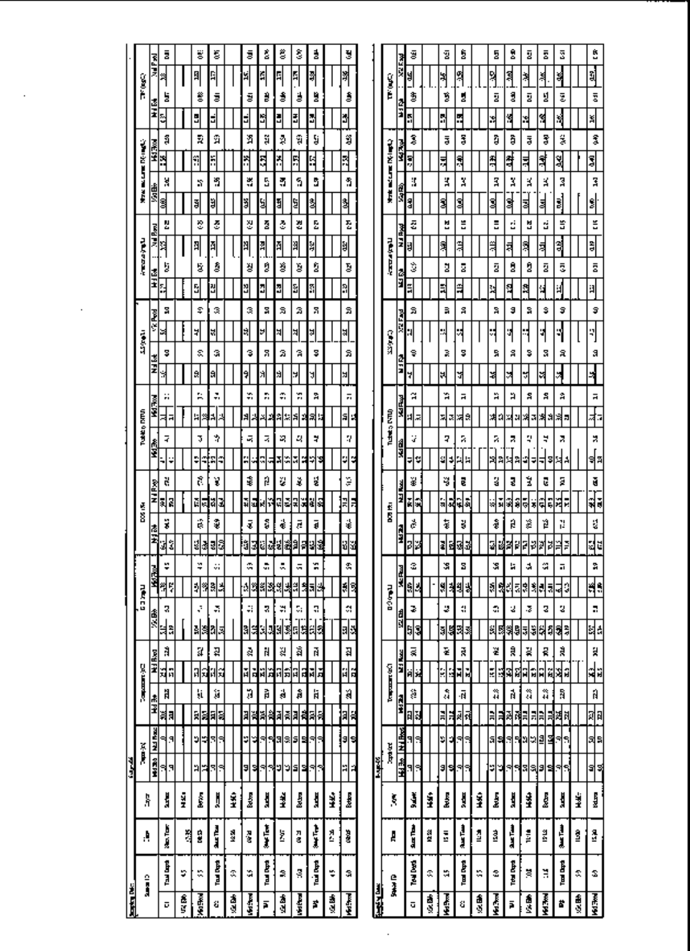| ý<br>Ĵ<br>ğ<br>ä<br>ģ<br>ā<br>ş<br>is<br>1<br>정<br>s<br>š<br>9<br>E<br>E<br>š<br>š,<br>ã<br>ă<br>Ŵ<br>ã<br>毳<br>ធិ<br>ą<br>ÿ<br>医皮肤<br>New material Network<br>۹<br>ň<br>ñ<br>ň<br>A<br>빖<br>ា<br>9<br>ŋ<br>ă<br>ş,<br>5<br>ă<br>ã<br>X<br>S,<br>购取<br>혘<br>빏<br>붸<br>ğ<br>ā<br>ä<br>3<br>Ē,<br>Ž<br>Š<br>ă<br>ž<br>ē<br>ž<br>ē<br>퉙<br>医豆<br>1月2日<br>d<br>Ā<br>ă<br>¥<br>ă,<br>ă<br>Ā<br>헦<br>þ<br>ŝ<br>9<br>ð<br>ĝ<br>ä<br>뵝<br>ð<br>is<br>I<br>۵ļ<br>đ<br>ş,<br>S<br>검<br>ä<br>å<br>š<br>s<br>s<br>ş<br>з<br>з<br>S<br>з<br>я<br>医乳头<br>į<br>Ą<br>ы<br>뵈<br>٣<br>눼<br>쳬<br>눼<br>비<br>医肾<br>S,<br>з<br>я<br>з<br>я<br>3<br>з<br>3<br>ž<br>4<br>яI<br>9<br>я<br>a<br>9<br>٦I<br>٦I<br>Þ.<br>÷,<br>ħ<br>÷,<br>Y,<br>ã<br>÷<br>н<br><b>RATION</b><br>hate pump<br>뵈<br>치보<br>l 23<br>ᅨ<br>2<br>ᅧ<br>웨비<br>H<br>R<br>F<br>×<br>Ý,<br>ц<br>¥,<br>7<br>7<br>д<br>2<br>q<br>å<br>Ξ<br>াৃম<br>¥<br>¢<br>÷<br>Ā<br>ā<br>Ř<br>۶<br>q<br>ă,<br>î<br>ŕ.<br>넕<br>畜<br>š<br>Ŀ,<br>ÿ<br>š<br>¥<br><b>Nifix</b><br>Z<br>례<br>빏<br>如<br>맯<br>내<br>치<br>대리<br>비행<br>š<br>ï<br>Ş<br>ê<br>ş<br>ė<br>ī<br>ā<br>ā<br>漆云<br>ыż<br>iala<br>티작치왕회의<br>의혜희형<br>뭐<br>÷<br>¥<br>G<br>÷<br>ä<br>ă<br>÷,<br>ā<br><b>Kd Zed</b><br>뺚<br>ã<br>헤<br>이러<br>ã<br>B<br>옃<br>싆<br>ñ<br>đ<br>Ö<br>J.<br>B<br>ā<br>青岛<br>÷<br>÷i<br>7<br>ā<br>7<br>ă<br>ç,<br>a<br>浅淡<br>벾<br>跳<br>1913<br>멻<br>a<br>J<br>â<br>ä<br>ų<br>å<br>B<br>e<br>ង្គ<br>Ŕ<br>ă<br>ä,<br>ă<br>å<br>N<br>ñ<br>医金属<br>is and a set<br>ă<br>Ĥ<br>ň<br>데치<br>ŭ<br>ŭ<br>배<br>F<br>ā<br>ă<br>ă<br>배성<br>ū<br>ă<br>â<br>å<br>Ħ<br>ķį,<br>Ŕ<br>á<br>Ħ<br>赤圣<br>å<br>淵<br>崩<br>계력<br>뙭<br>k<br>R<br>ફ<br>眮<br>ā<br>ā<br>ā<br>had Ran<br>۹<br>٩<br>3<br>я<br>в<br>î<br>¥<br>з<br>s<br>Ĭ<br>Î<br>P,<br>ă<br>Ę<br>IJ<br>S<br>۹<br>S<br>ş<br>۶<br>٩<br>٩<br>э<br>R<br>î<br>ţ<br>i<br>ś<br>į<br>î<br>ś<br>j<br>i<br>j<br>ł<br>ì<br>å<br>i<br>I<br>l<br>I<br>ie Ter<br>i<br>J<br>ġ<br>e<br>2<br>Ž<br>ă<br>š<br>Σ<br>л<br>8<br>Ą | 医肾炎<br>š<br>죍<br>G<br>ä<br>Ę<br>N<br>A<br>หุ<br>e<br>N<br>ĝ<br>اندوی<br>نا |
|---------------------------------------------------------------------------------------------------------------------------------------------------------------------------------------------------------------------------------------------------------------------------------------------------------------------------------------------------------------------------------------------------------------------------------------------------------------------------------------------------------------------------------------------------------------------------------------------------------------------------------------------------------------------------------------------------------------------------------------------------------------------------------------------------------------------------------------------------------------------------------------------------------------------------------------------------------------------------------------------------------------------------------------------------------------------------------------------------------------------------------------------------------------------------------------------------------------------------------------------------------------------------------------------------------------------------------------------------------------------------------------------------------------------------------------------------------------------------------------------------------------------------------------------------------------------------------------------------------------------------------------------------------------------------------------------------------------------------------------------------------------------------------------------------------------------------------------------------------------------------------------------------------------------------------------------------|----------------------------------------------------------------------------|
|                                                                                                                                                                                                                                                                                                                                                                                                                                                                                                                                                                                                                                                                                                                                                                                                                                                                                                                                                                                                                                                                                                                                                                                                                                                                                                                                                                                                                                                                                                                                                                                                                                                                                                                                                                                                                                                                                                                                                   |                                                                            |
|                                                                                                                                                                                                                                                                                                                                                                                                                                                                                                                                                                                                                                                                                                                                                                                                                                                                                                                                                                                                                                                                                                                                                                                                                                                                                                                                                                                                                                                                                                                                                                                                                                                                                                                                                                                                                                                                                                                                                   |                                                                            |
|                                                                                                                                                                                                                                                                                                                                                                                                                                                                                                                                                                                                                                                                                                                                                                                                                                                                                                                                                                                                                                                                                                                                                                                                                                                                                                                                                                                                                                                                                                                                                                                                                                                                                                                                                                                                                                                                                                                                                   |                                                                            |
|                                                                                                                                                                                                                                                                                                                                                                                                                                                                                                                                                                                                                                                                                                                                                                                                                                                                                                                                                                                                                                                                                                                                                                                                                                                                                                                                                                                                                                                                                                                                                                                                                                                                                                                                                                                                                                                                                                                                                   |                                                                            |
|                                                                                                                                                                                                                                                                                                                                                                                                                                                                                                                                                                                                                                                                                                                                                                                                                                                                                                                                                                                                                                                                                                                                                                                                                                                                                                                                                                                                                                                                                                                                                                                                                                                                                                                                                                                                                                                                                                                                                   |                                                                            |
|                                                                                                                                                                                                                                                                                                                                                                                                                                                                                                                                                                                                                                                                                                                                                                                                                                                                                                                                                                                                                                                                                                                                                                                                                                                                                                                                                                                                                                                                                                                                                                                                                                                                                                                                                                                                                                                                                                                                                   |                                                                            |
|                                                                                                                                                                                                                                                                                                                                                                                                                                                                                                                                                                                                                                                                                                                                                                                                                                                                                                                                                                                                                                                                                                                                                                                                                                                                                                                                                                                                                                                                                                                                                                                                                                                                                                                                                                                                                                                                                                                                                   |                                                                            |
|                                                                                                                                                                                                                                                                                                                                                                                                                                                                                                                                                                                                                                                                                                                                                                                                                                                                                                                                                                                                                                                                                                                                                                                                                                                                                                                                                                                                                                                                                                                                                                                                                                                                                                                                                                                                                                                                                                                                                   |                                                                            |
|                                                                                                                                                                                                                                                                                                                                                                                                                                                                                                                                                                                                                                                                                                                                                                                                                                                                                                                                                                                                                                                                                                                                                                                                                                                                                                                                                                                                                                                                                                                                                                                                                                                                                                                                                                                                                                                                                                                                                   |                                                                            |
|                                                                                                                                                                                                                                                                                                                                                                                                                                                                                                                                                                                                                                                                                                                                                                                                                                                                                                                                                                                                                                                                                                                                                                                                                                                                                                                                                                                                                                                                                                                                                                                                                                                                                                                                                                                                                                                                                                                                                   |                                                                            |
|                                                                                                                                                                                                                                                                                                                                                                                                                                                                                                                                                                                                                                                                                                                                                                                                                                                                                                                                                                                                                                                                                                                                                                                                                                                                                                                                                                                                                                                                                                                                                                                                                                                                                                                                                                                                                                                                                                                                                   |                                                                            |
|                                                                                                                                                                                                                                                                                                                                                                                                                                                                                                                                                                                                                                                                                                                                                                                                                                                                                                                                                                                                                                                                                                                                                                                                                                                                                                                                                                                                                                                                                                                                                                                                                                                                                                                                                                                                                                                                                                                                                   |                                                                            |
|                                                                                                                                                                                                                                                                                                                                                                                                                                                                                                                                                                                                                                                                                                                                                                                                                                                                                                                                                                                                                                                                                                                                                                                                                                                                                                                                                                                                                                                                                                                                                                                                                                                                                                                                                                                                                                                                                                                                                   |                                                                            |
|                                                                                                                                                                                                                                                                                                                                                                                                                                                                                                                                                                                                                                                                                                                                                                                                                                                                                                                                                                                                                                                                                                                                                                                                                                                                                                                                                                                                                                                                                                                                                                                                                                                                                                                                                                                                                                                                                                                                                   |                                                                            |
|                                                                                                                                                                                                                                                                                                                                                                                                                                                                                                                                                                                                                                                                                                                                                                                                                                                                                                                                                                                                                                                                                                                                                                                                                                                                                                                                                                                                                                                                                                                                                                                                                                                                                                                                                                                                                                                                                                                                                   |                                                                            |
|                                                                                                                                                                                                                                                                                                                                                                                                                                                                                                                                                                                                                                                                                                                                                                                                                                                                                                                                                                                                                                                                                                                                                                                                                                                                                                                                                                                                                                                                                                                                                                                                                                                                                                                                                                                                                                                                                                                                                   |                                                                            |
|                                                                                                                                                                                                                                                                                                                                                                                                                                                                                                                                                                                                                                                                                                                                                                                                                                                                                                                                                                                                                                                                                                                                                                                                                                                                                                                                                                                                                                                                                                                                                                                                                                                                                                                                                                                                                                                                                                                                                   |                                                                            |
|                                                                                                                                                                                                                                                                                                                                                                                                                                                                                                                                                                                                                                                                                                                                                                                                                                                                                                                                                                                                                                                                                                                                                                                                                                                                                                                                                                                                                                                                                                                                                                                                                                                                                                                                                                                                                                                                                                                                                   |                                                                            |
|                                                                                                                                                                                                                                                                                                                                                                                                                                                                                                                                                                                                                                                                                                                                                                                                                                                                                                                                                                                                                                                                                                                                                                                                                                                                                                                                                                                                                                                                                                                                                                                                                                                                                                                                                                                                                                                                                                                                                   |                                                                            |
|                                                                                                                                                                                                                                                                                                                                                                                                                                                                                                                                                                                                                                                                                                                                                                                                                                                                                                                                                                                                                                                                                                                                                                                                                                                                                                                                                                                                                                                                                                                                                                                                                                                                                                                                                                                                                                                                                                                                                   |                                                                            |
|                                                                                                                                                                                                                                                                                                                                                                                                                                                                                                                                                                                                                                                                                                                                                                                                                                                                                                                                                                                                                                                                                                                                                                                                                                                                                                                                                                                                                                                                                                                                                                                                                                                                                                                                                                                                                                                                                                                                                   |                                                                            |
|                                                                                                                                                                                                                                                                                                                                                                                                                                                                                                                                                                                                                                                                                                                                                                                                                                                                                                                                                                                                                                                                                                                                                                                                                                                                                                                                                                                                                                                                                                                                                                                                                                                                                                                                                                                                                                                                                                                                                   |                                                                            |
|                                                                                                                                                                                                                                                                                                                                                                                                                                                                                                                                                                                                                                                                                                                                                                                                                                                                                                                                                                                                                                                                                                                                                                                                                                                                                                                                                                                                                                                                                                                                                                                                                                                                                                                                                                                                                                                                                                                                                   |                                                                            |
|                                                                                                                                                                                                                                                                                                                                                                                                                                                                                                                                                                                                                                                                                                                                                                                                                                                                                                                                                                                                                                                                                                                                                                                                                                                                                                                                                                                                                                                                                                                                                                                                                                                                                                                                                                                                                                                                                                                                                   |                                                                            |
|                                                                                                                                                                                                                                                                                                                                                                                                                                                                                                                                                                                                                                                                                                                                                                                                                                                                                                                                                                                                                                                                                                                                                                                                                                                                                                                                                                                                                                                                                                                                                                                                                                                                                                                                                                                                                                                                                                                                                   |                                                                            |
|                                                                                                                                                                                                                                                                                                                                                                                                                                                                                                                                                                                                                                                                                                                                                                                                                                                                                                                                                                                                                                                                                                                                                                                                                                                                                                                                                                                                                                                                                                                                                                                                                                                                                                                                                                                                                                                                                                                                                   |                                                                            |
|                                                                                                                                                                                                                                                                                                                                                                                                                                                                                                                                                                                                                                                                                                                                                                                                                                                                                                                                                                                                                                                                                                                                                                                                                                                                                                                                                                                                                                                                                                                                                                                                                                                                                                                                                                                                                                                                                                                                                   |                                                                            |
|                                                                                                                                                                                                                                                                                                                                                                                                                                                                                                                                                                                                                                                                                                                                                                                                                                                                                                                                                                                                                                                                                                                                                                                                                                                                                                                                                                                                                                                                                                                                                                                                                                                                                                                                                                                                                                                                                                                                                   |                                                                            |
|                                                                                                                                                                                                                                                                                                                                                                                                                                                                                                                                                                                                                                                                                                                                                                                                                                                                                                                                                                                                                                                                                                                                                                                                                                                                                                                                                                                                                                                                                                                                                                                                                                                                                                                                                                                                                                                                                                                                                   |                                                                            |
|                                                                                                                                                                                                                                                                                                                                                                                                                                                                                                                                                                                                                                                                                                                                                                                                                                                                                                                                                                                                                                                                                                                                                                                                                                                                                                                                                                                                                                                                                                                                                                                                                                                                                                                                                                                                                                                                                                                                                   |                                                                            |

 $\cdot$ 

 $\cdot$ 

| i<br>İ |        |          |           | Ĭ                  |        |                     |                |                |   |        |      |                  |    |         |              |            |         |         |            |              |   |       |     |         |    |                   |              |     |    |                  |   |        |        |        |  |
|--------|--------|----------|-----------|--------------------|--------|---------------------|----------------|----------------|---|--------|------|------------------|----|---------|--------------|------------|---------|---------|------------|--------------|---|-------|-----|---------|----|-------------------|--------------|-----|----|------------------|---|--------|--------|--------|--|
|        | ĵ      | Å        | Š         | 苦厚                 |        |                     | Temporant (pr) |                |   |        | にゅうこ |                  |    |         | is<br>B      |            |         |         | harts (NH) |              |   | ្ត្រី |     |         |    | The Second Second |              |     |    | おじき ミクリード にんこうかん |   |        | g<br>E |        |  |
|        |        |          |           | Hel Bol IN al Road |        | Ŕ                   |                | <b>Millian</b> |   | 회의     |      | <b>See Final</b> |    | i       |              | ان<br>النا |         | a<br>Si |            | <b>RABBA</b> | ă |       | 法法院 |         | 여러 |                   | <b>WARNA</b> | 网络双 |    | <b>RAZA</b>      |   | ă      |        | XE Ray |  |
| ū      | 医叉     | i        | Ĵ         | ٦.                 | ٦.     | 비화                  | å              | йÄ             | ā | 崩      | з    | 회의               | 3  | 낅       | Ğ<br>ě       | ¥          | J       | ¥       | 녜          | я            | 7 | \$    | N,  | ã<br>ន  | Ì  | ij                | ā            | g   | ł, | å                | ı | ñ      | ¥<br>ţ | g      |  |
|        |        |          |           | S                  | ٩      |                     |                |                |   |        |      |                  |    | Ľ       | F            |            | p       |         | læ         |              |   |       |     |         |    |                   |              |     |    |                  |   |        |        |        |  |
| đ,     | R      | a<br>2   | i         |                    |        |                     |                |                |   |        |      |                  |    |         |              |            |         |         |            |              |   |       |     |         |    |                   |              |     |    |                  |   |        |        |        |  |
|        |        |          |           |                    |        |                     |                |                |   |        |      |                  |    |         |              |            |         |         |            |              |   |       |     |         |    |                   |              |     |    |                  |   |        |        |        |  |
| Į      | ă      | 3        | ł         | 9                  | Ÿ      | Ē                   | å              | ë              | ē | J      | 3    | å                | S  |         | ä<br>ŧ       | ž          | S       | 7       | Ā,         | ă            | 붜 | Ŕ     |     | ť<br>ã  | Ž  | â                 | 년            | 웧   | ï  | ī                | ā | h      | ۹<br>B | ğ      |  |
|        |        |          |           | 9                  | ¢      | F                   |                | S              |   | Ş      |      | 쵱                |    | E       | ā            |            | ٤       |         | x          |              |   |       |     |         |    |                   |              |     |    |                  |   |        |        |        |  |
| å      | i<br>I | i<br>I H | Į         | я<br>٩             | ۶<br>3 | 췍<br>쟥              | ٠Ā             | 리<br>N         | Ř | 뛋<br>ą | 4    | 휇<br>냏           | S  | J,<br>ы | å<br>ç,<br>¥ | ē          | ä       | z       | Э<br>я     | ᇽ            | 4 | Ş     |     | €<br>ន  | Z  | â                 | Ë            | 3   | Ä  | ۹                | ş | 2<br>Ŧ | g      | Ż      |  |
| đ,     | ă      | å        | Î         |                    |        |                     |                |                |   |        |      |                  |    |         |              |            |         |         |            |              |   |       |     |         |    |                   |              |     |    |                  |   |        |        |        |  |
|        |        |          |           | ÿ                  | ã      | ⋾                   |                | š              |   | ŝ.     |      | Ş.               |    | ы       | ×            |            | S)      |         | 渊          |              | 격 |       |     | Ŋ       |    |                   |              | 3   |    | ≇                |   | ×,     | ٩      |        |  |
| l<br>I | 2      | â        | Į         | J                  | э      | Ę                   | ã              | ă              | ë | Б      | a    | ź                | S  |         | ā<br>a       | ä          | ã       | z       | a          | ă            |   | S     |     | ន       | 2  |                   | Ξ            |     | 3  |                  | ğ |        | ā      | 5      |  |
| ā      | 医基     | i<br>I   | j         | я                  | я      | 죆                   | Ŕ              | Ş,             | å | S      | ¥    | ć.               | ţ, |         | â<br>Ŕ       | ₹          | ×       | z       |            | ă            | × | ន     | q   | ą<br>э  | 2  | 큒                 | d            | Sİ  | Ä  | ₹                | â | Ý,     | ş<br>ą | 怠      |  |
|        |        |          |           | ş                  | ٩      | ř,                  |                | 젋              |   | Ş      |      | ā                |    |         | ŝ            |            | ã       |         | ы          |              |   |       |     |         |    |                   |              |     |    |                  |   |        |        |        |  |
| 金丝     | ă      | i        | i         | S<br>SĮ            | ů<br>R | F<br>$\overline{a}$ | ã              | Ĥ<br>H         | Z | Ş<br>3 | 3    | 뎎<br>Î           | đ, |         | ï<br>ē<br>ž  | İ          | ä,<br>⋾ | ņ       | ≫∄র        | ន            | 7 | \$    |     | 쳛<br>S  | 2  | ã                 | ᅧ            | ╕   | ă  | Ē                | ā | ÿ<br>× | ź,     | 2      |  |
| ļ      | ă      | š        | Į         | 3<br>톀             | å<br>≊ | R                   | ã              | Ã<br>H         | g | ş<br>Ş | 3    | 리<br>3           | G  | Z       | Ę<br>ą<br>Ę, | ē          | Ş       | ۲       | 溂<br>Ŕ     | ន            | ঋ | s     | ۹   | H<br>\$ | ā  | 칰                 | d            | ā   | ă  | গ                | ş | Ħ      | ₹<br>널 | š      |  |
| Ë      |        | į        |           | я                  | 9      | 격                   |                | X              |   | ş      |      |                  |    |         | ř            |            | 뎤       |         |            |              | × |       | ۹   | E)      |    | ą                 |              | 희   |    | ă.               |   | ۹      | ă,     |        |  |
|        | i<br>I |          | j         | ٩                  | S      | 剐                   | ã              | ű              | Ŕ | å      | s,   | 9                | ā  |         | F<br>ť.      | ā          | A       | 7       | ≋¦л        | å            |   | å     |     | 9       | ā  |                   | ä            |     | 3  |                  | g | έ      |        | š      |  |
| 鱼豆     | \$     | Î        | İ         |                    |        |                     |                |                |   |        |      |                  |    |         |              |            |         |         |            |              |   |       |     |         |    |                   |              |     |    |                  |   |        |        |        |  |
|        |        |          |           |                    |        |                     |                |                |   |        |      |                  |    |         |              |            |         |         |            |              |   |       |     |         |    |                   |              |     |    |                  |   |        |        |        |  |
| 医腹膜    | S      | å        | is die se | S                  | S<br>я | Ē<br>ą              | Ĥ              | ŭ<br>g         | ă | å<br>ģ | I,   |                  | ã  | ë<br>ś. | ā<br>ş<br>d  | ū          | Ã       | ×       | ū          | ā            | ٩ | Я     | ņ   | ij<br>9 | ā  | å                 | ž            | sŀ  | 3  | J                | T | ā<br>š | å,     | Ŝ      |  |
|        |        |          |           | ş                  |        |                     |                |                |   |        |      | 9                |    |         |              |            |         |         |            |              |   |       |     |         |    |                   |              |     |    |                  |   |        |        |        |  |

 $\sim$   $\sim$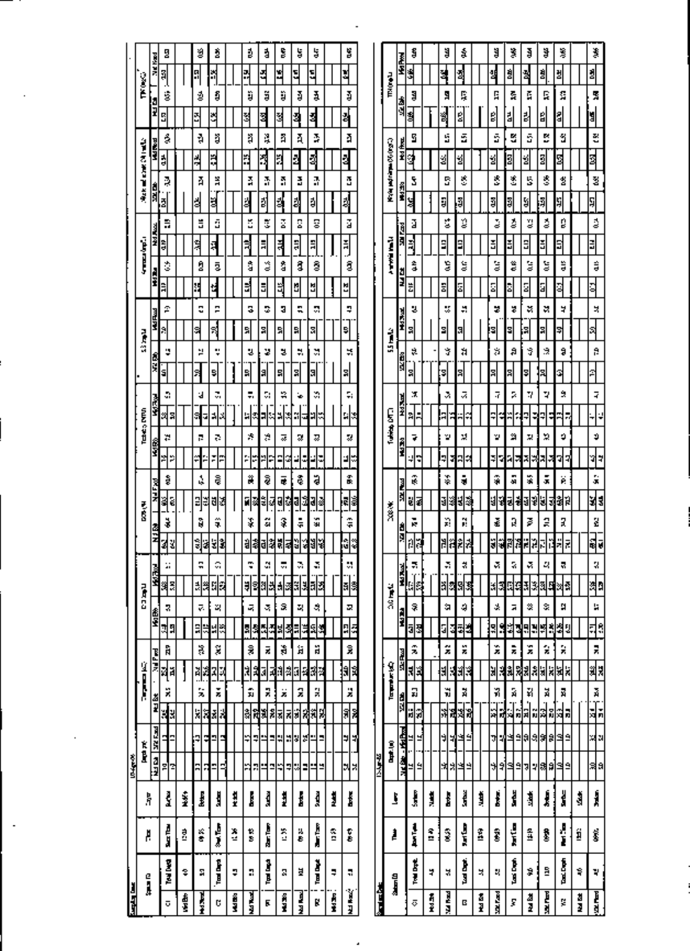| i      |         |        |    | é<br>P<br><b>Weight</b> |    |    | i<br> <br> |    |    | 言語に |            |    |     | 医唇     |   |             | Take over |             |   |    | 医皮炎 |                 |             | i<br>Islam |                      |    |         | 医直接 美国首都 |         |         | Cools of |                 |  |
|--------|---------|--------|----|-------------------------|----|----|------------|----|----|-----|------------|----|-----|--------|---|-------------|-----------|-------------|---|----|-----|-----------------|-------------|------------|----------------------|----|---------|----------|---------|---------|----------|-----------------|--|
|        | Ă       | å      |    |                         |    |    |            |    |    |     |            |    |     |        |   |             |           |             |   |    |     |                 |             |            |                      |    |         |          |         |         |          |                 |  |
|        |         |        |    | Man an                  |    | 善望 | 飞きえ        |    | 後段 |     | <b>MAR</b> |    | N1M | X<br>X |   | <b>M4RD</b> |           | <b>RASH</b> |   | 創開 |     | <b>Resident</b> | <b>HERE</b> |            | Malaysia<br>Malaysia |    | e<br>Bi |          | Malbert | ia<br>P |          | <b>Mid Kand</b> |  |
| 医豆     | e<br>S  | ł      | 횐  | E                       | Ĭ, | ž  | ৰ্ষ        | ដិ | 계  | 7   | ij,<br>≋∣  | 31 | š   | ě      | ş | ř           | ř         | a<br>ঋষ     | s | ¥  | 9.  | ρ               | 日           | ŝ          | â<br>å               | ā  | ą       | ã        | ś       | 5       | 첿<br>ż   | 9               |  |
|        |         |        | z  | □                       | ¥  |    |            |    | g  |     | ă          | ¥  |     | ē      |   | ₿           |           |             |   |    |     |                 |             |            |                      |    |         |          |         |         |          |                 |  |
|        | 흞       |        |    |                         |    |    |            |    |    |     |            |    |     |        |   |             |           |             |   |    |     |                 |             |            |                      |    |         |          |         |         |          |                 |  |
| Ş      |         | i      |    |                         |    |    |            |    |    |     |            |    |     |        |   |             |           |             |   |    |     |                 |             |            |                      |    |         |          |         |         |          |                 |  |
|        | š       | Į      | ።  | ş                       | X  | ä  |            | ş  | Ξ  | 7.  | Ŧ<br>킍     | ŝ, | ğ   | 2      | å |             | г         | y<br>S      | я | ř  | Э   | J               | H           | 2          | ă<br>옃               | 쉥  | ă       | ž        | 퀅       |         | ģ        | ý<br>멲          |  |
| ş      |         |        | п  | ş                       | Ã  |    | 瞤          |    | U  |     | B          |    |     |        |   |             |           | ū           |   |    |     |                 |             |            |                      |    |         |          |         |         |          |                 |  |
|        | i<br>I  | j      | ₽  | 2                       | š  | ž  | 괴          | Ş  | 네֍ | X,  | Ģ<br>톄     | ä  | ĵ.  | 해      | Ş | ŗ           | Ţ.        | J,<br>ᅨ     | Ş | ¥  | 8   | Ξ               | ł,          | ą<br>ā     | ű                    | ă  | ă       | Ĕ        | ğ       | ă       | ĝ        | Ź<br>ñ          |  |
| 计目     |         |        | ۹  | E                       | ł, |    | Ø          |    |    |     |            | Ĵ. |     |        |   |             |           | B,          |   |    |     |                 |             |            |                      |    |         |          |         |         |          |                 |  |
|        | å       |        |    |                         |    |    |            |    |    |     |            |    |     |        |   |             |           |             |   |    |     |                 |             |            |                      |    |         |          |         |         |          |                 |  |
| ş      |         | i<br>K |    |                         |    |    |            |    |    |     |            |    |     |        |   |             |           |             |   |    |     |                 |             |            |                      |    |         |          |         |         |          |                 |  |
| ŋ      | 紧急      | ļ      |    | Ş                       | å  | ŵ  | ą)         | ş  | 퇘  | 국   | Ţ<br>非     | å  | ¥   | 1      | ã | Þ           | ×,        | ∓.<br>네치    | R | ų  | S   | 3               | 팈           | Ŕ<br>ូ     | ű                    | ģ  | ă       |          | ă       | š       | ij       | ě               |  |
|        |         |        | П  | ņ                       | Ñ  |    | 붜          |    |    |     |            |    |     | R      |   |             |           |             |   |    |     |                 |             |            |                      |    |         |          |         |         |          |                 |  |
|        |         |        |    | Ľ                       | ă  | 7  | 3          | ₹  | ā  | 3   | ă<br>혜ង    | d  | ã   | å      | Ş | 2           | X.        | ç,          | g | ¥  | 3   | ٥               | 5           | Ś          | ž<br>ョ               | đ  | ă,      | Ŋ        | ř,      | S       | ã        | ă<br>J          |  |
| ļ      | a<br>Ki | j      | Ξ  | Ξ                       | å  |    | Ę          |    | H  |     |            |    |     | Ś.     |   |             |           | 가치          |   |    |     |                 |             |            |                      |    |         |          |         |         |          |                 |  |
|        | ô       |        | ş  | H                       | š  | ä  | ń          | ă  |    | Э   | ÷,<br>웨    | ă  | ş   | J      | ē |             | ᇴ         | ₽<br>비치     | 5 | ð  | S   | 3               | ă           | ᅧ<br>å     | ã                    | 쵀  | ñ       |          | ã       | 3       | ij       | ş<br>Ľ          |  |
| ã      |         | Į      | ş  | H                       | Ā  |    | å          |    | 봬  |     |            |    |     | b.     |   |             |           |             |   |    |     |                 |             |            |                      |    |         |          |         |         |          |                 |  |
|        |         |        | 뭮  | ¥                       | Ĵ  | 2  | aļa        | Ĥ  | ã  | 지   | ā          |    | ÷   | J      | ê |             | X         | ¤ ≂         | 3 | ş, | S   | R               | Ŋ           | Ĵ          | Ξ<br>뒈               | å, | 3       | ż        | ă       | d       | ā        | ä<br>E          |  |
| ă      | š       | ł      | Ξ  | d                       | Ą  |    |            |    | ă  |     | 톏          |    |     | J      |   |             |           |             |   |    |     |                 |             |            |                      |    |         |          |         |         |          |                 |  |
|        |         |        |    |                         | Ã  | 딫  | 해격         | ដ  | 의회 | 8   | ă<br>虛     | ¥  | ă   | a      | ą | j           | ₽         | ÷,<br>ม≍    | Э | ă  | S   | ū               | ᅨ           | ŝ          | 5<br>E               | ă  | J,      | 4        | ī,      | ā       | ā        | ä<br>E          |  |
| iw Byt | i<br>Ji | į      | Ľ  | ∃                       | p  |    |            |    |    |     |            | ¥  |     | š      |   |             |           |             |   |    |     |                 |             |            |                      |    |         |          |         |         |          |                 |  |
|        | â       | Į      |    |                         |    |    |            |    |    |     |            |    |     |        |   |             |           |             |   |    |     |                 |             |            |                      |    |         |          |         |         |          |                 |  |
| ş      |         |        |    |                         |    |    |            |    |    |     |            |    |     |        |   |             |           |             |   |    |     |                 |             |            |                      |    |         |          |         |         |          |                 |  |
|        | ţ       |        | J, | ¢                       | Ñ  | ž  | 贈          | ž  |    | J,  | W<br>98    | 93 | ş   | 럙      | ŝ | 비           | ų         | ç,<br>48    | 돼 | ۲  | 5   | ņ               | 흡           | Ě<br>î     | ã                    | 췌  | ā       | 3        | ā       | 丰       | ā        | s<br>J          |  |
| Į,     |         | ł      | ×  | ۶                       | ž  |    |            |    | 매격 |     |            |    |     |        |   |             |           |             |   |    |     |                 |             |            |                      |    |         |          |         |         |          |                 |  |

| 地名美国博  |              |   |    | りょく               |             |             |              |                 |         |     |                |              |        |         |               |         |    |         |    |         |         |               |   |         |                      |    |    |   |                   |   |          |               |               |  |
|--------|--------------|---|----|-------------------|-------------|-------------|--------------|-----------------|---------|-----|----------------|--------------|--------|---------|---------------|---------|----|---------|----|---------|---------|---------------|---|---------|----------------------|----|----|---|-------------------|---|----------|---------------|---------------|--|
|        | e<br>J       | į | ţ  | Î                 |             |             | Tarpeter (C  |                 |         | 计算器 |                |              |        | 差蔑      |               |         | 医精 |         |    |         | is make |               |   |         | <b>The Motor Way</b> |    |    |   | (2009) まんえき かんきょう |   |          | <b>Leader</b> |               |  |
|        |              |   |    | NK 84 - Piel Pool |             | 회적          |              | <b>She Read</b> |         | İ   | <b>Mariana</b> |              | đ<br>P |         | <u>na pad</u> | Î       |    | 地名      |    | ia<br>K |         | <b>Heised</b> |   | ti<br>E |                      | 医肾 | 经营 |   | 电子                |   | الہ<br>ا |               | <b>Kalend</b> |  |
| ō      | Total Digit. | i | ļ  | 9<br><u>4</u>     | ᅼ<br>≝      | ä<br>î      | ᅨ<br>ă<br>긃  | ŝ               | 해       | ş   | isi<br>Ha      | 야            | ē      | ë<br>z. | ê             | ¥<br>3  | 7  | 계<br>Ξ  | х  | ş       | Ų.      | ų<br>ᅨ        | ž | å       | ĿH.                  | ā  | ă  | 2 | ଞ୍                | 5 | Ę<br>혘   | ŝ.            | ş             |  |
| 计立     | 7            | î | ļ  |                   |             |             |              |                 |         |     |                |              |        |         |               |         |    |         |    |         |         |               |   |         |                      |    |    |   |                   |   |          |               |               |  |
|        |              |   |    |                   |             |             |              |                 |         |     |                |              |        |         |               |         |    |         |    |         |         |               |   |         |                      |    |    |   |                   |   |          |               |               |  |
| 医胃炎    | ¥            | Î | ł  | Ŕ<br>÷,           | ٦<br>¢<br>۶ | ä           | 붸<br>f,<br>ŭ | ž               | ā<br>ş  | ĝ,  | ā<br>ᇔ         |              | A      | ā<br>š  | š             | J       | Ψ  | ገ<br>я  | з  | Ş       | S<br>Ý  | ¥             | Ξ | g       | Ξ                    | g  | g  | 5 | ý                 | Ś | Å<br>쒫   | S)            | y             |  |
| B      | i<br>B       | į | Í  | Ľ<br>₹            | ≝<br>₫      | 쳬<br>ă,     | ᅨ<br>ă       | ž               | 햮       | 9   | 얣              | ¥<br>\$      | Ñ      | J<br>B  | ā             | И<br>٦  | 넜  | H<br>F. | 3  | á<br>ន  | э١      | ă             | s | ğ       | E                    | ý  | ā  | Š | 설                 | S | Ę<br>g   | 죄             | å             |  |
| 香豆     | ×            | î | j  |                   |             |             |              |                 |         |     |                |              |        |         |               |         |    |         |    |         |         |               |   |         |                      |    |    |   |                   |   |          |               |               |  |
| 医脂肪    | ų            | Î | į  | ş<br>J,           | 4<br>ŋ      | đ<br>ã      | Ŕ<br>ă<br>ň  | š               | ٩<br>됚  | J.  | 13             | â<br>ā       | š      | 4<br>ų  | ŵ             | Ş<br>в  | ν  | Ţ       | 7  | ă<br>S  | S       | ¥             | Ξ | ä       | ã                    | ð  | ā, | Ŝ | 널                 | š | Ë<br>g   | 생             | ¥             |  |
| ş      | í<br>J       | Ĭ | ť  | э<br>3            | ₫<br>₹      | ĥ<br>ä      | Ř<br>å<br>ã  | ž               | ă<br>٦  | ā   | 며              | ž            | a      | 긯<br>ź  | ã             | ٦<br>Ģ  | ã  | ň<br>î, | z  | a<br>S  | S       | 2             | ż | ã       | ã                    | ٷ  | ij | Ś | 3                 | š | ĩ,<br>킯  | 휨             | ž             |  |
| 쵤      | 9            | i | ij | ¥<br>Į            | ą<br>ş      | ũ<br>급      | 퀽<br>å<br>걹  | š               | 뒈       | 3   | 非              | ā            | 3      | V<br>ā  | ž             | ž       | 있  | ņ<br>₽  | V  | Ş       | S<br>\$ | ×             | 2 | ä       | Ξ                    | y  | ä  | Ś | ź                 | š | Ğ<br>릵   | 됳             | ā             |  |
| 医对     | å            | ł | ĺ  | ş<br>엻            | Ħ<br>â      | 쳵<br>Ň      | X<br>눼<br>ă  | ź               | Ŕ,<br>톍 | ş,  | มี<br>5        | ų            | 2      | ä<br>3  | ā             | 7       | х  | ş<br>ş  | ¥  | ã       | S<br>ž, | ×             | ā | ă       | ã                    | å  | Ŋ  | Ś | 3                 | B | ç<br>g   | 휨             | ÿ             |  |
| ě      | ta Cari      | í | ť  | 9<br>≊            | 9<br>3      | ā<br>R      | X<br>눼<br>X  | X               | ă,<br>ų | q   | ঋর             | V            | R      | 웧<br>Ŕ  | ë             | 3<br>J  | Ý  | R       | ż. | э       | Ş<br>g  | 7             | ā | ã       | Ξ                    | ₿  | ij | Ž | 5                 | ã | S<br>å   | 컴             | Ş             |  |
| ä<br>3 | ş            | Ő | Ĵ  |                   |             |             |              |                 |         |     |                |              |        |         |               |         |    |         |    |         |         |               |   |         |                      |    |    |   |                   |   |          |               |               |  |
| 医耳     | Y            | Š | ĺ  | a<br>S            | u<br>×      | Ā<br>ň<br>ā | 뺶            | 7               | Ŝ<br>F, | h   | 켺              | ្ព<br>Ū<br>X | Z      | ś<br>š, | ä             | ¥,<br>q | Ý  | Ų       | 7  | Ξ       | R<br>β  | ×             | ē | â       | 3                    | å  | Ş  | ğ | 3                 | 점 | S<br>y   | į             | Š             |  |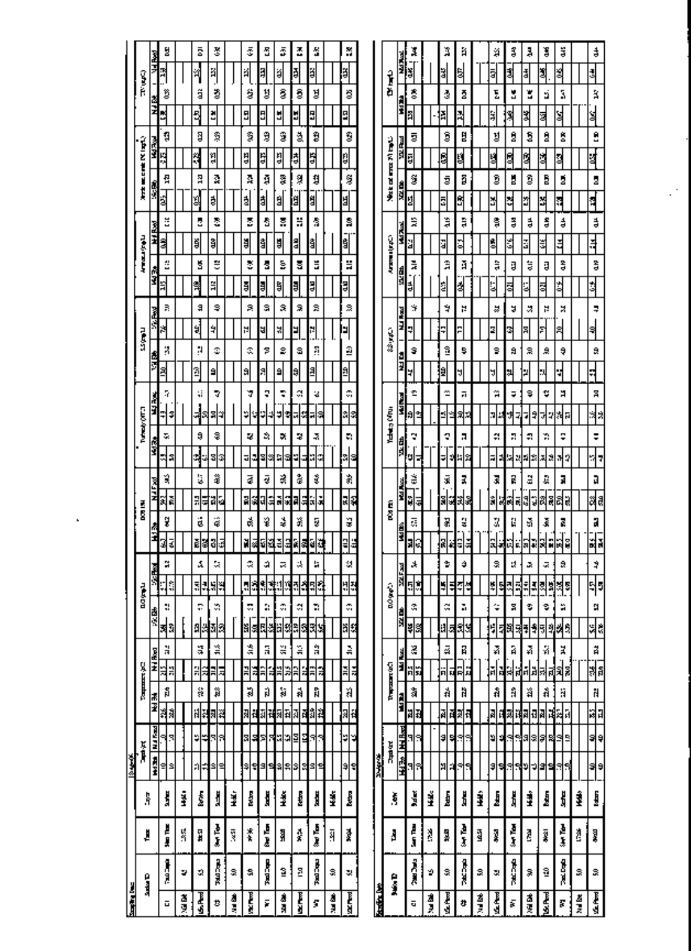|                 |                               | 科学                           | ă           |          | ā       | ¥,         |   | ō       | 쭙       | š       | Ŧ                | ő.          |   | ¥           |                    |                          |                        | ĭ                  |    | Ã                       | ã             |   | ğ                    | Ş           | Å         | ï          | ã             |   | ф             |
|-----------------|-------------------------------|------------------------------|-------------|----------|---------|------------|---|---------|---------|---------|------------------|-------------|---|-------------|--------------------|--------------------------|------------------------|--------------------|----|-------------------------|---------------|---|----------------------|-------------|-----------|------------|---------------|---|---------------|
|                 |                               |                              | 꼙           |          | ๆ       | ۹          |   | ᅨ       | Ę       | ۹       | 녜                | ä           |   | jal         |                    | 计互连                      | Mal Touch              | <u>i ser</u>       |    | ᅨ                       | 톅             |   | ā                    | 훽           | đ         | 뷐          | 뵘             |   | ŧ             |
|                 | g<br>A                        |                              | Ï           |          | ã       | ð          |   | â       | y       | s       | â                | y           |   | ð           |                    |                          |                        | ŝ                  |    | ð                       | ā             |   | E                    | ă           | š         | á          | 3             |   | ã             |
|                 |                               | ă<br>E                       | B           |          | 뭑       | Č          |   | 9       | 미       | ă       | 빏                | 3           |   | 9           |                    |                          | ł                      | ã                  |    | ă                       | 궥             |   | Þ                    | 훾           | 均         | 혴          | S             |   | 3             |
|                 |                               |                              | ą           |          | ą       | Ş          |   | ş       | Đ       | Î       | ă                | Đ           |   | ŷ           |                    |                          |                        | 5                  |    | 8                       | g             |   | y                    | 9           | 3         | 9          | Š             |   | Ŝ             |
|                 |                               | <b>RAZA</b>                  | 티           |          | ٩       | 解          |   | 붸       | ᅨ       | 뵈       | ᆥ                | 5           |   | 9           |                    |                          | <b>Risk</b>            | 51                 |    | 톄                       | Ľ             |   | þ                    | 뎨           | 啂         | ă          | 3             |   | ă.            |
|                 | <b>Antique cent (V. 1974)</b> | S.                           | 집           |          | ZZ      | Z,         |   | 줮       | Ã       | ş       | Ņ                | ij          |   | Ş           |                    | <b>Verent metal type</b> |                        | J                  |    | Ī                       | ã             |   | Î                    | Ņ           | ŷ         | B          | ź             |   | 2             |
|                 |                               |                              | ģ           |          | g       | 헤          |   | ᅨ       | 혜       | 봬       | i9)              | g           |   | 뎨           |                    |                          | 19<br>Pr               | 뵈                  |    | ā                       | 9             |   | ă                    | 켺           | r         | 켞          | П             |   | গ             |
|                 |                               | HIRM                         | ă           |          | ś       | ŝ          |   | ÷,      | ů       | Ş.      | ä                | ŝ           |   | ŝ           |                    |                          | <b>THE PART</b>        | â                  |    | ă                       | â             |   | Ş                    | ã           | å         | ã          | å             |   | å             |
|                 | コミュニット                        |                              | 웡           |          | ğ       | ᅨ          |   | ă       | 創       | 뵈       | 해                | â           |   | 회           |                    | is<br>September          |                        | ă                  |    | ä                       | ₫             |   | 6                    | š           | ã         | 흿          | ᅧ             |   | 봒             |
|                 |                               | KU ZI                        | ő           |          | š       | õ          |   | š,      | ş,      | S       | 5                | ă           |   | ä           |                    |                          | 협정                     | 킂                  |    | â                       | ă             |   | ã                    | g           | ŧ         | g          | å             |   | å             |
|                 |                               |                              | ä           |          | ۹       | 삐          |   | ā       | ŧ       | 9       | g                | a           |   | ᅨ           |                    |                          |                        | 45                 |    | â                       | 췤             |   | ١.                   | 혴           | ų         | 톜          | ă             |   | 눩             |
|                 |                               | Vic Boot                     | R           |          | g,      | ş          |   | 8       | з       | я       | я                | Ř,          |   | я           |                    |                          | <b>NAME</b>            | Ý                  |    | Ý                       | 분             |   | ¥                    | y           | и         | 분          | ×             |   | Ę             |
|                 | こうにょ                          |                              | ř           |          | 4Ì      | 눼          |   | 비       | 비       | 눼       | 비                | 레           |   | 비           |                    | 82 yrs.                  |                        | 퀴                  |    | 뮈                       | F             |   | 3                    | 3           | P         | 뇌          | R             |   | 톅             |
|                 |                               | 鶴頭                           | Å           |          | Ņ       | Φ          |   | Q,      | з       | 2       | s                | ñ           |   | 줄           |                    |                          | i<br>E                 | ş                  |    | î                       | \$            |   | 9                    | я           | я         | Э          | ş             |   | э             |
|                 |                               |                              | 3           |          | 최       | ۹I         |   | aļ      | ᆥ       | 9       | ٩I               | ݳ           |   | 비           |                    |                          |                        | 눼                  |    | 9                       | J             |   | J                    | 혜           | 2         | :4         | ᅨ             |   | ᆟ             |
|                 |                               | <b>REFA</b>                  | 7           |          | 4       | 7          |   | 7       | s       | ÷       | a                | ¥           |   | ¢,          |                    |                          | <b>Real</b>            | ≏                  |    | ≏                       | п             |   | â                    | ş           | \$        | ę          | H             |   | Ş             |
|                 | 1.2000年5月                     |                              | Ŧ<br>3      |          | ৰষ      | 계          |   | খখ      | v<br>в  | 비<br>Þ  | 계석               | la<br>티     |   | 예           |                    | <b>Note of Print</b>     |                        | a<br>2             |    | 5<br>Ė                  | ᅓ             |   | 계의                   | 켸<br>귂      | ą<br>7    | 데<br>뫄     | 特             |   | 特             |
|                 |                               | 网络                           | Ţ,          |          | ą       | 3          |   | r,      | 2       | ×       | ş                | 3           |   | ç,          |                    |                          | ۵계                     | ĩ                  |    | 7                       | п             |   | ÷۱                   | Я           | ÷         | n          | ş             |   | ÷             |
|                 |                               |                              | ะเ<br>3     |          | များ    | 하기         |   | ᆌ       | 의혜      | 데의      | 비                | 계역          |   | 세의          |                    |                          |                        | ŋ<br>ᇽ             |    | ÿ<br>Ý,                 | 뇌의            |   | $\overline{a}$<br>Þ, | 눼           | 제화체       | 티<br>회     | 네2            |   | 카7            |
|                 |                               | <b>NJFad</b>                 | Ý           |          | ţ,      | 巢          |   | 3       | ą       | ₿       | និ               | ŝ           |   | 象           |                    |                          | <b>Mal Ance</b>        | Š                  |    | š                       | Z             |   | 3                    | R           | 9         | į,         | J             |   | a             |
|                 | 医区                            |                              | Š<br>ã      |          | ᇣ       | 계          |   | 례       | 매력      | 몖       | 비비               | 눼           |   | 붜           |                    | i<br>S                   |                        | $\frac{1}{2}$<br>듺 |    | 躺                       | 볞             |   | å                    | 쎾           | ᆒ<br>û    | 1          | 웲<br>ą        |   | ¤¦a           |
|                 |                               | 人名英里                         | ã           |          | ä       | ê          |   | Ř       | ¥       | ¥       | Â                | ā           |   | 끟           |                    |                          | Ś                      | ā                  |    | Ŧ                       | 딯             |   | X                    | Ľ,          | ă         | š          | š             |   | a             |
|                 |                               |                              | I<br>Z      |          | 례       | ä<br>J     |   | 계획      | Ø<br>E  | ã       | ä<br>E           | 해결          |   | ╣<br>ë      |                    |                          |                        | ā<br>Q             |    | 키<br>ä,                 | 9             |   | 딨                    | ã<br>5,     | ā         | R<br>H     | ã<br>ğ        |   | 컕             |
|                 |                               | <b>Softwa</b>                | ă           |          | á       | à,         |   | Q       | a       | z       | 4                | h           |   | \$Į         |                    |                          | <b>NETAR</b>           | J,                 |    | 9                       | ¢             |   | з                    | u           | J.        | 2<br>i     | э             |   | Ŕ             |
|                 | 山地口                           |                              | Î.          |          | 持       | 붺          |   | 43      |         | 特料      | 驰                | 뼊           |   | 閛           |                    | <b>DOWN</b>              |                        | 盟                  |    | Ş<br>Ę                  | 톆             |   | Ķ<br>퉑               | 렸<br>줘      | ÷<br>ï    | 횎<br>뵈     | 녞<br>Ş        |   | 변             |
|                 |                               | 浅                            | W           |          | ç       | X,         |   | v,      | ÷,      | ¢,      | Ø,               | R           |   | Ø,          |                    |                          | d<br>N                 | Ģ,                 |    | q                       | J,            |   | ۷                    | S           | \$        | \$         | ä             |   | p             |
|                 |                               |                              | 컓           |          | 해예<br>ã | 酮<br>ã     |   | ঋৱ<br>å | 턖<br>ã  | 끯       | <b>Haaa</b><br>ă | 켺<br>ង្គ    |   | 뺴           |                    |                          |                        | 휘<br>38            |    | 뺴                       | sia           |   | Ş<br>E               | ă           | 의회원의<br>ă | ä          | 웨세<br>5       |   | 벾<br>ã        |
|                 |                               | <b>NHR</b>                   | ă<br>╡<br>ă |          | 脂       | 벾          |   | 뭬<br>Z. | A<br>E  | 뿨       | 웨                | ĩ<br>E      |   | à<br>E<br>E |                    |                          | <b>Mark</b>            | š<br>뻚             |    | ã<br>$\frac{1}{2}$<br>画 | R<br>ᄗ<br>ã   |   | ā<br>ă,<br>넏         | Ã<br>ä      | 붺         | 볢          | X<br>녜<br>R,  |   | $\frac{1}{3}$ |
|                 | 医神经性                          |                              | រី          |          | â       | Ã          |   | ă       | Ĥ       | ä       | á                | ដ៏          |   | å           |                    | ليستستدهن                |                        | ã                  |    | ă                       | ñ             |   | å                    | Ñ           | ă         | å          | Ñ             |   | N             |
|                 |                               | 推理                           | a a         |          |         | 배체계        |   | 해       | 폐쇄체     |         | 刚                | 躢           |   | 胂           |                    |                          | E                      | 풭                  |    |                         | 계획회           |   | Įā<br>r              | 쪠           | 예하계       |            | 계좌비           |   | $\frac{1}{2}$ |
|                 |                               |                              | ٩<br>3      |          | ะเ<br>Þ | 313        |   | 의의      | 2<br>R, | H<br>Ľ, | 3<br>Ε           | я<br>3      |   | 비<br>Þ      |                    |                          |                        | ۹.<br>я            |    | lэ<br>ş                 | я<br>З        |   | a<br>Ý.              | 33          | я         | l≋lal<br>髯 | 옄<br>의        |   | 혜             |
|                 | 等庫                            | <b>Mathematical Property</b> |             |          |         |            |   |         |         |         |                  |             |   |             |                    | e<br>R                   | <b>Hallee Hed Bard</b> |                    |    |                         |               |   |                      |             |           |            |               |   |               |
| lê terê         |                               |                              | 의<br>s      |          | 이뤄      | s<br>е     |   | 위의      | 의의      | ∣≋∣≋    | s<br>R           | s<br>1º     |   | ᆥ           | 閣                  |                          |                        | 비성                 |    | 비<br>A                  | প্ৰ           |   | a<br>s               | я<br>웨      | ¥         | 예백         | 님리            |   | ls∤e          |
|                 | å                             |                              | ţ           | İ        | ś       | j          | ì | li<br>R | j       | Ĭ       | ₫                | j           | Ž | Į           |                    | Š                        |                        | Ĵ                  | Ž  | ₫                       | j             | Î | Į                    | ł           | ì         | Į          | ij            | Î | Į             |
|                 |                               |                              |             |          |         |            |   |         |         |         |                  | 医脑          | Ā | ł           |                    | Å                        |                        | e<br>S             | ĝ. | ş,                      | a<br>J        | ğ | ļ                    | 医原          | Š         | Ī          | i<br>F        | ģ | Î             |
|                 | Ă                             |                              | in The      | ul<br>Si | 請       | n<br>T     | Ī | 紧       | n<br>S  | å       | ł                |             |   |             |                    |                          |                        |                    |    |                         |               |   |                      |             |           |            |               |   |               |
| <b>Property</b> | ĵ                             |                              | e<br>S      | v        | Q       | ring Cines | s | s       | 男性の     | ê       | Σ                | <b>High</b> | S | χ           | <b>Studies</b> Day | Î                        |                        | نام<br>پريد        | Ý  | s                       | e<br>Northeas | з | U,                   | e<br>Normal | ş,        | â          | <b>Recipe</b> | з | з             |

 $\blacksquare$ 

 $\mathbb{R}^3$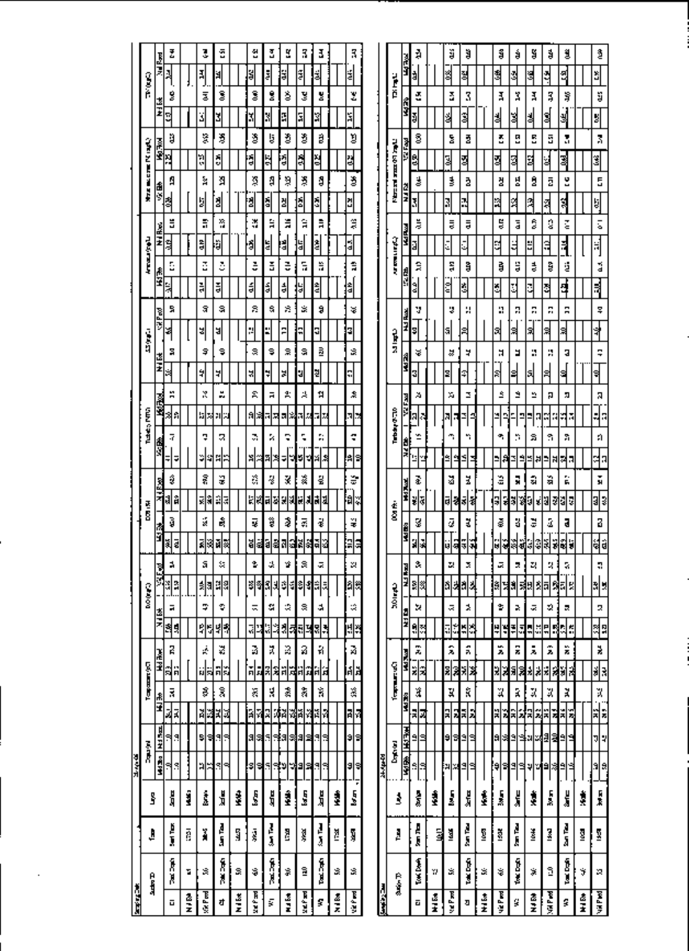|          |           |          |            | 医鼻片    |                |         |   |                   |        |         |        |              |    |          |         |               |         |         |              |        |    |   |        |   |   |         |        |    |     |                                 |        |         |        |               |    |
|----------|-----------|----------|------------|--------|----------------|---------|---|-------------------|--------|---------|--------|--------------|----|----------|---------|---------------|---------|---------|--------------|--------|----|---|--------|---|---|---------|--------|----|-----|---------------------------------|--------|---------|--------|---------------|----|
| 计分类      | 医囊        | Å        | ŝ          |        | a<br>S         |         |   | Traggeration of D |        |         |        | is<br>Single |    |          | 老夏      |               |         |         | Turbay G.T.D |        |    |   | î<br>Î |   |   | Armando |        |    |     | <b>The Community of Section</b> |        |         | i<br>C |               |    |
|          |           |          |            | 哈哈     | <b>HAER HI</b> |         | Î |                   | i<br>S |         | a<br>Y | na<br>Elem   |    | Î        |         | <b>Milled</b> |         | ti<br>X |              | n<br>S |    | ă | 里里     |   | đ |         | a<br>S |    | クラス |                                 | ng ray | Kg Zip  |        | )<br>일본<br>일본 |    |
| ū        | Took Dawn | A<br>J   | ž          | ß<br>э | 9              | 궃<br>Z  | Î | ž<br>R            | ã      | 93      | х      | 昂            | 3, | E,<br>J. | ¥       | ē<br>붸        | Ŀ       |         | Я<br>ē,      | ă      | 3  | ¥ | ş      | V | 9 | ā<br>Э  | ă      | J  | ż   | 침                               | ŝ      | ð       | ē      | à<br>à        |    |
| is<br>I  | w         | 뒿        | Î          |        |                |         |   |                   |        |         |        |              |    |          |         |               |         |         |              |        |    |   |        |   |   |         |        |    |     |                                 |        |         |        |               |    |
| <b>R</b> | ż         | ğ        | Į          | 레<br>Ж | 9<br>в         | ā<br>궃  | ¥ | ž<br>3            | â      | ť<br>đ  | z      | â<br>ä       | J, | ä<br>IJ  | ā       | ă<br>해칭       | å<br>ŝ  | ግ       | ョ<br>п       | X,     | 2  | ¥ | s      | ¥ | ៊ | ς<br>亮  | ā      | N  | ₿   | 3                               | š      | ś       | ă      | Ś             | ğ  |
| IJ       | tai ben   | ון<br>גו | ا<br>پر    | 9<br>S | 9<br>3         | ā<br>ż  | Ŕ | ž<br>ž            | ς      | ň<br>B  | ż      | â<br>þ       | Z  | 5<br>ī   | ₹       | ž<br>國家       | S<br>E  | ٠ì      | 3<br>3       | Ξ      | Ŧ, | ¥ | ສ      | H | ś | ς<br>å  | ā      | ī. | ż   | 킭                               | ž      | 3       | 3      | 형             | ä  |
| 喜王       | ż         | Ş        | Í          |        |                |         |   |                   |        |         |        |              |    |          |         |               |         |         |              |        |    |   |        |   |   |         |        |    |     |                                 |        |         |        |               |    |
| ie Punt  | ÷         | š        | Į          | ş<br>9 | a<br>S         | 拉<br>ă  | ¥ | ž<br>ă            | ž      | ¥<br>ť  | t      | å<br>뎑       | z  | ij       | ē       | 3<br>딯<br>3   | ą       | ۰       | 1<br>∍       | ŝ      | S  | Ħ | я      | ä | š | õ<br>ĝ  | ã      | 3  | 걸   | 퀅                               | š      | 均       | ĭ      | Ś             | â  |
| ç        | the Days  | e<br>F   | الي<br>الأ | э<br>3 | 9              | â<br>z  | â | ş<br>ā            | 긓      | 퓌<br>ī  | R      | Ń<br>E,      | Z  |          | ä       | ā<br>Ы        | 9<br>3  | ñ       | ⊒            | Ė      | s  | ٣ | я      | Я | U | ă       | ā      | g  | 볆   | 3                               | 뎦      | 뉔       | Ã      | ś             | á  |
| 露豆       | ż         | š        | Ì          | ¥<br>u | u<br>M,        | 긏<br>z, | X | ż<br>ż            | ā      | ă<br>ä  | J,     | Ŝ<br>H       | Z, |          | ¥,<br>đ | ລ<br>30       | ų<br>s  | S       | п<br>2       | ≌      | я  | H | я      | я | J | Ë<br>き  | 3      | 곜  | 2   | 뒝                               | 5      | J       | ĭ      | š             | g  |
| 医生毒      | ã         | 3        | i.<br>K    | å<br>Ę | £<br>â         | ;<br>ż  | X | ź<br>Ŕ            | ŝ      | 믞<br>3  | Q      | ß<br>ā       | X  |          | 3       | ă<br>해화       | ᄇ       | ñ       | Я            | IJ     | ສ  | H | ≉      | П | 켴 | å       | g      | ₫  | ā   | y                               | ā      | รุ่     | 3      | ą             | å  |
| ç        | Tag Dafn  | e<br>S   | ال<br>الأ  | 9      | ₫              | ž<br>ä  | ž | þ,<br>Ŕ           | ž      | š<br>ä  | R      | g<br>티       | ā  | ŵ<br>ij  | J       | ĥ<br>Į,       | F<br>÷, | ħ       | й            | X,     | s  | E | ≋      | Ξ | 4 | E<br>ä  | ē      | ã  | ٢   | 3                               | ă      | ر<br>پا | ş      | 익             | ĝ, |
| a<br>I   | Ý         | ğ        | Ì          |        |                |         |   |                   |        |         |        |              |    |          |         |               |         |         |              |        |    |   |        |   |   |         |        |    |     |                                 |        |         |        |               |    |
| I        | ×         | ¥        | í          | a<br>Э | ¥<br>ŋ         | ż<br>z  | X | ď<br>Ř            | ž      | E1<br>× | 2      | ž<br>곍       | R  | ģ<br>â   | 2       | ā<br>3<br>a   | R       | я       | П            | Я      | ş  | ş | ₹      | ¥ | ╡ | ا<br>ă  | ξ      | ģ  | 5   | š                               | Ζ      | š       | ij     | š             | å  |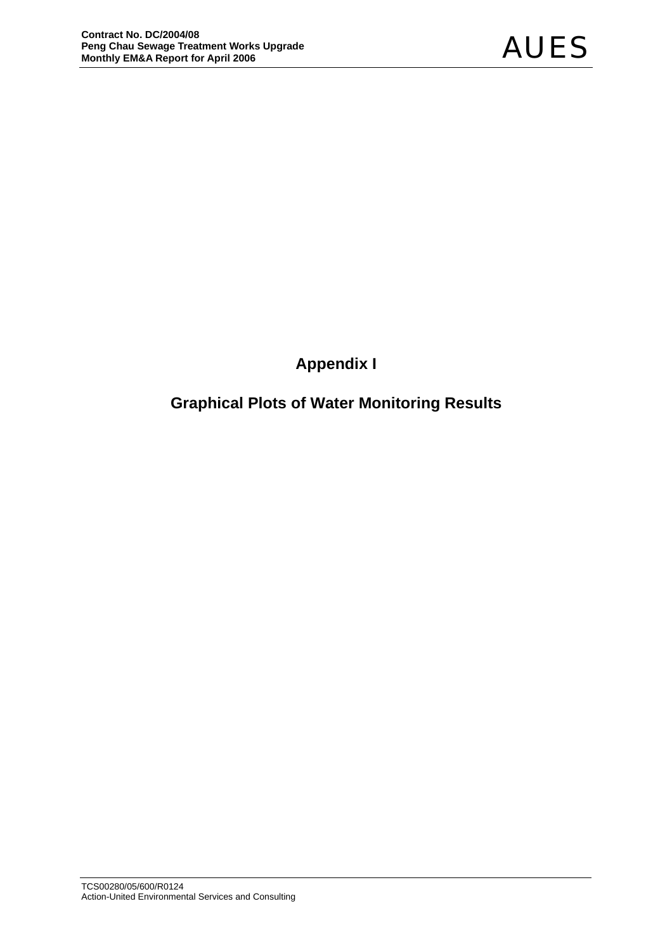**Appendix I** 

# **Graphical Plots of Water Monitoring Results**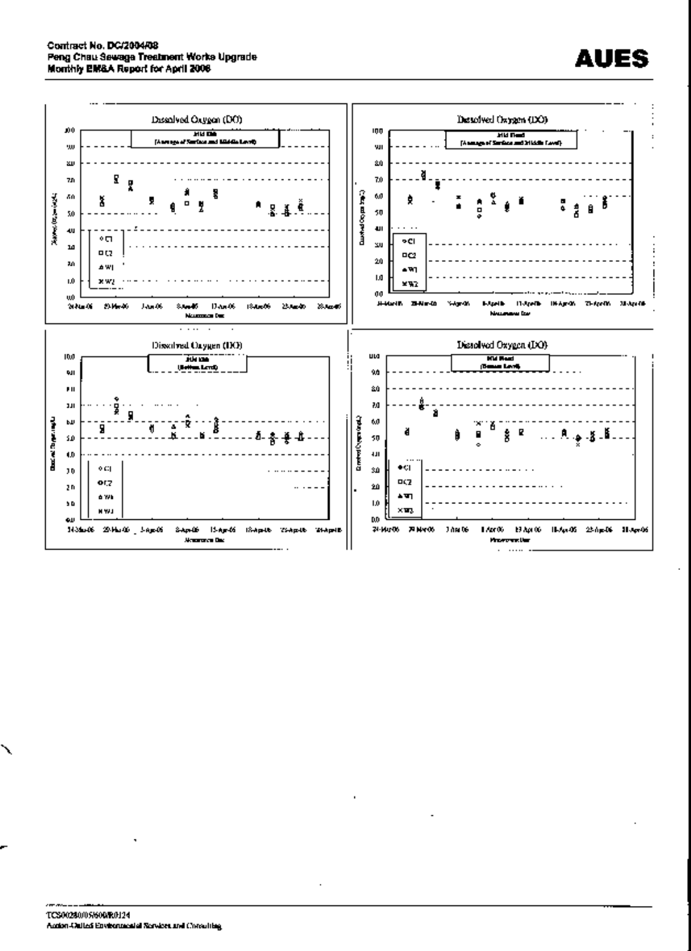#### Contract No. DC/2004/08 Peng Chau Sewage Treatment Works Upgrade Monthly EM&A Report for April 2008

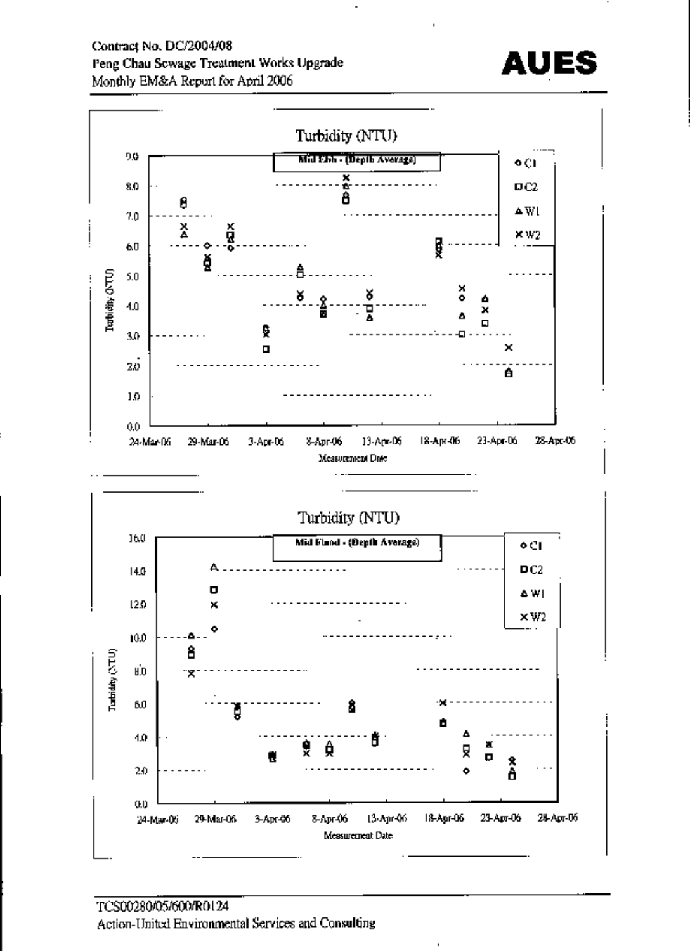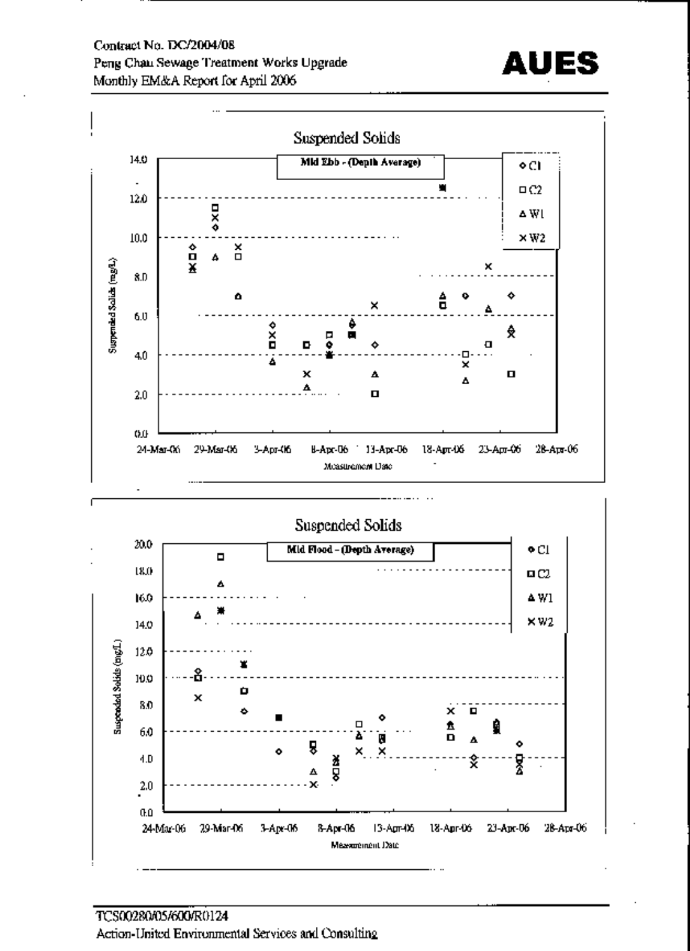

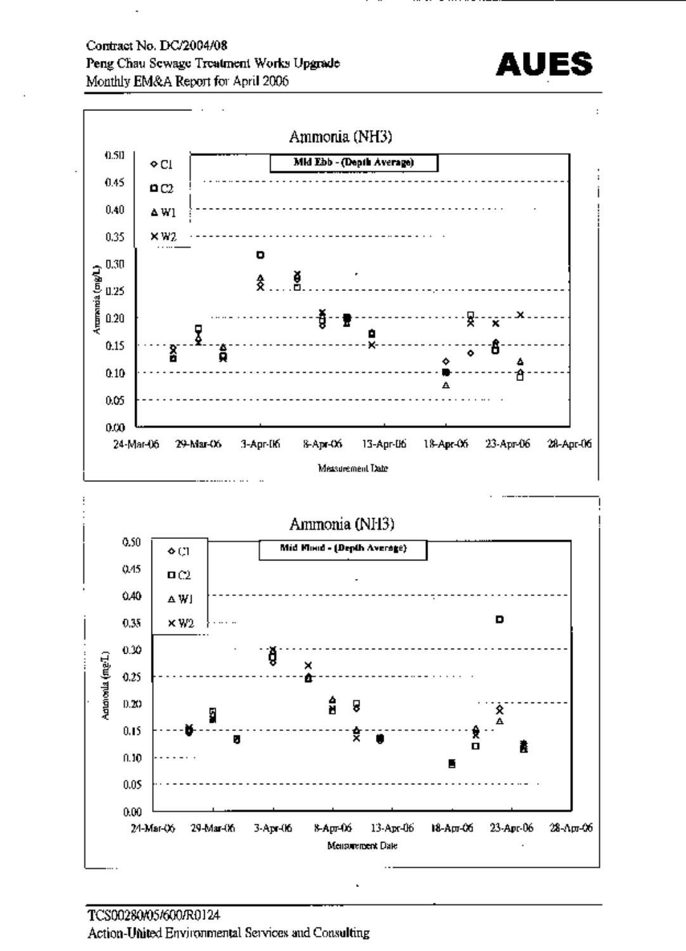

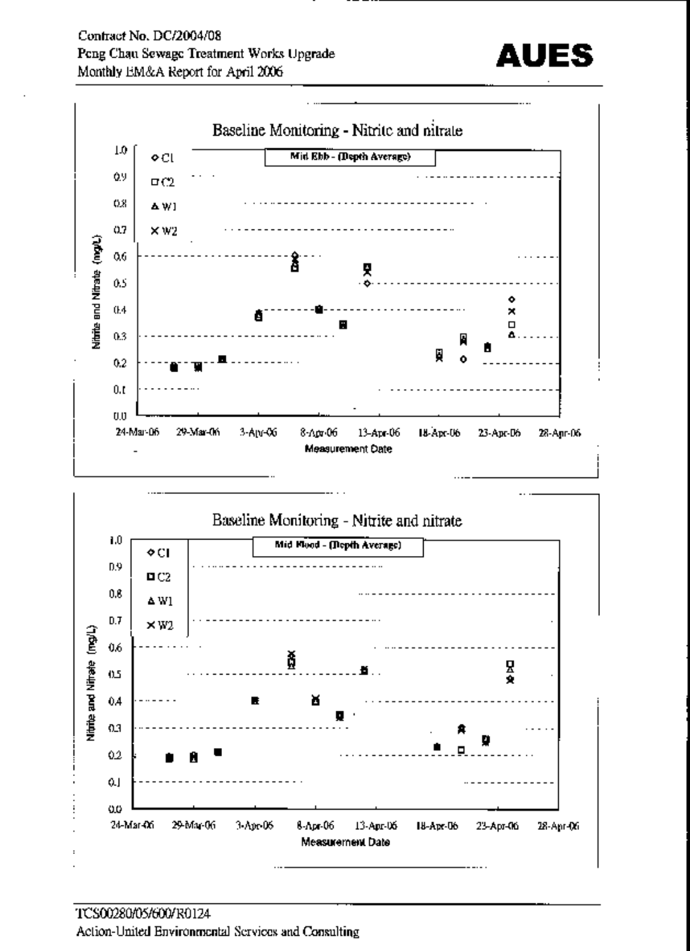Contract No. DC/2004/08 Peng Chau Sewage Treatment Works Upgrade Monthly EM&A Report for April 2006



UES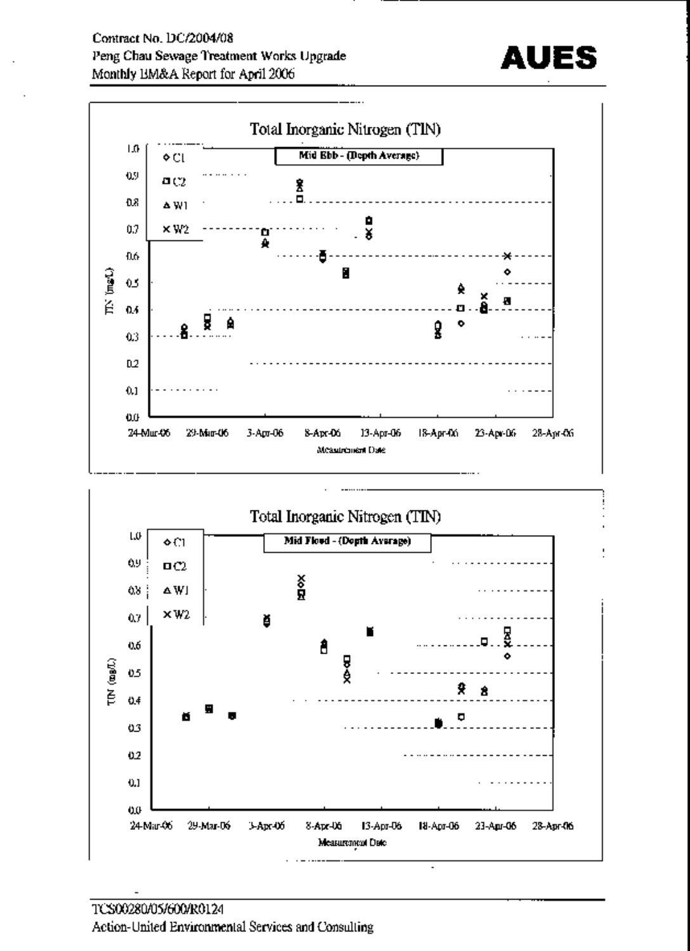



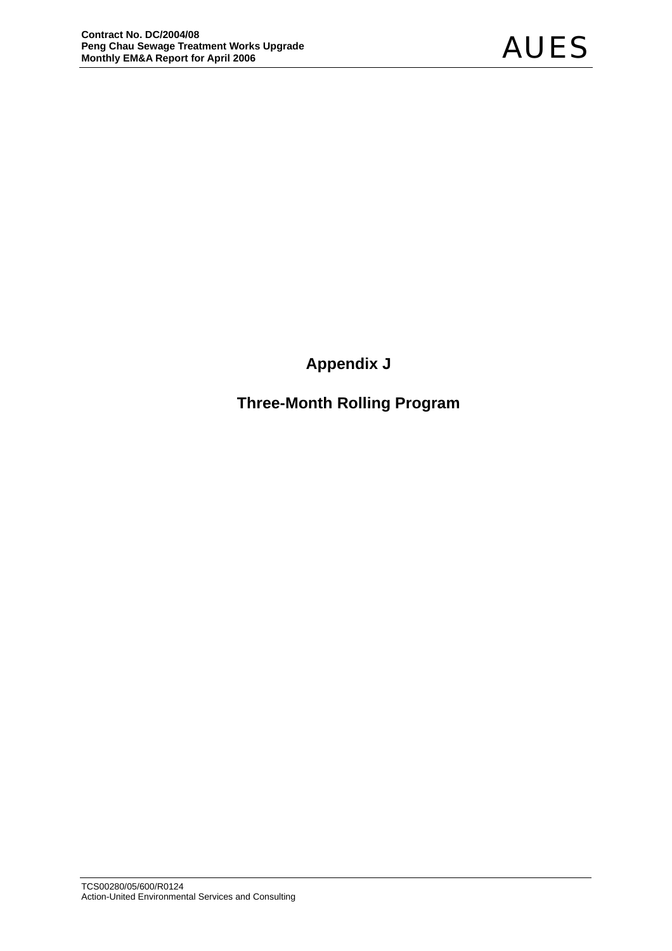**Appendix J** 

**Three-Month Rolling Program**